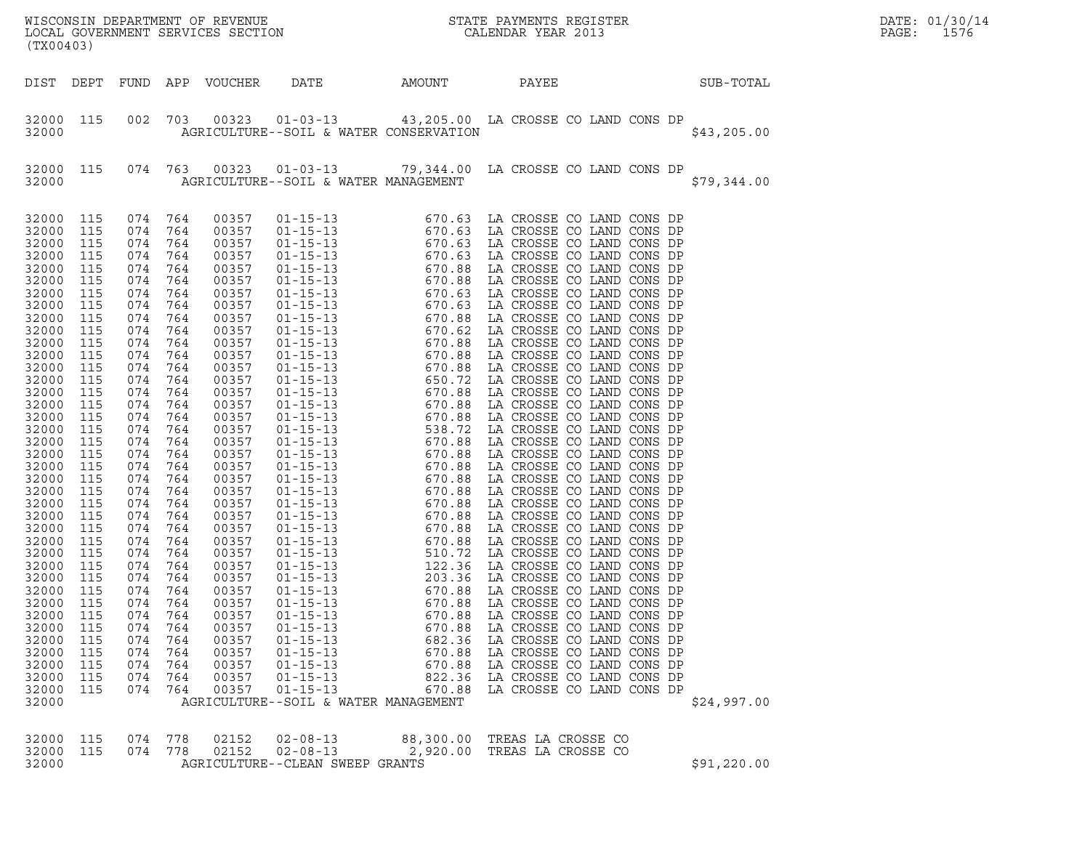| (TX00403)                                                                                                                                                                                                                                                                                                                                                                |                                                                                                                                                                                                                                                                        |                                                                                                                                                                                                                                                                                               |                                                                                                                                                                                                                                                   | LOCAL GOVERNMENT SERVICES SECTION                                                                                                                                                                                                                                                                                                                           |                                                                                                                                                                                                                                                                                                                                                                                                                                                                                        |                                                                                        | WISCONSIN DEPARTMENT OF REVENUE<br>LOCAL GOVERNMENT SERVICES SECTION<br>(TILO 400) CALENDAR YEAR 2013                                                                                                                                                                                                                                                                                                                                                                                                                                                                                                                                                                                                                                                                                                                                                                                                                                                                                                                                                                                                                                                                   |             | DATE: 01/30/14<br>PAGE:<br>1576 |
|--------------------------------------------------------------------------------------------------------------------------------------------------------------------------------------------------------------------------------------------------------------------------------------------------------------------------------------------------------------------------|------------------------------------------------------------------------------------------------------------------------------------------------------------------------------------------------------------------------------------------------------------------------|-----------------------------------------------------------------------------------------------------------------------------------------------------------------------------------------------------------------------------------------------------------------------------------------------|---------------------------------------------------------------------------------------------------------------------------------------------------------------------------------------------------------------------------------------------------|-------------------------------------------------------------------------------------------------------------------------------------------------------------------------------------------------------------------------------------------------------------------------------------------------------------------------------------------------------------|----------------------------------------------------------------------------------------------------------------------------------------------------------------------------------------------------------------------------------------------------------------------------------------------------------------------------------------------------------------------------------------------------------------------------------------------------------------------------------------|----------------------------------------------------------------------------------------|-------------------------------------------------------------------------------------------------------------------------------------------------------------------------------------------------------------------------------------------------------------------------------------------------------------------------------------------------------------------------------------------------------------------------------------------------------------------------------------------------------------------------------------------------------------------------------------------------------------------------------------------------------------------------------------------------------------------------------------------------------------------------------------------------------------------------------------------------------------------------------------------------------------------------------------------------------------------------------------------------------------------------------------------------------------------------------------------------------------------------------------------------------------------------|-------------|---------------------------------|
| DIST DEPT                                                                                                                                                                                                                                                                                                                                                                |                                                                                                                                                                                                                                                                        | FUND                                                                                                                                                                                                                                                                                          |                                                                                                                                                                                                                                                   | APP VOUCHER                                                                                                                                                                                                                                                                                                                                                 | DATE                                                                                                                                                                                                                                                                                                                                                                                                                                                                                   | AMOUNT                                                                                 | PAYEE                                                                                                                                                                                                                                                                                                                                                                                                                                                                                                                                                                                                                                                                                                                                                                                                                                                                                                                                                                                                                                                                                                                                                                   | SUB-TOTAL   |                                 |
| 32000 115<br>32000                                                                                                                                                                                                                                                                                                                                                       |                                                                                                                                                                                                                                                                        | 002                                                                                                                                                                                                                                                                                           | 703                                                                                                                                                                                                                                               |                                                                                                                                                                                                                                                                                                                                                             | AGRICULTURE--SOIL & WATER CONSERVATION                                                                                                                                                                                                                                                                                                                                                                                                                                                 |                                                                                        | 00323  01-03-13  43,205.00 LA CROSSE CO LAND CONS DP                                                                                                                                                                                                                                                                                                                                                                                                                                                                                                                                                                                                                                                                                                                                                                                                                                                                                                                                                                                                                                                                                                                    | \$43,205.00 |                                 |
| 32000 115<br>32000                                                                                                                                                                                                                                                                                                                                                       |                                                                                                                                                                                                                                                                        | 074 763                                                                                                                                                                                                                                                                                       |                                                                                                                                                                                                                                                   |                                                                                                                                                                                                                                                                                                                                                             | AGRICULTURE--SOIL & WATER MANAGEMENT                                                                                                                                                                                                                                                                                                                                                                                                                                                   |                                                                                        | 00323  01-03-13  79,344.00 LA CROSSE CO LAND CONS DP                                                                                                                                                                                                                                                                                                                                                                                                                                                                                                                                                                                                                                                                                                                                                                                                                                                                                                                                                                                                                                                                                                                    | \$79,344.00 |                                 |
| 32000 115<br>32000<br>32000<br>32000<br>32000<br>32000<br>32000<br>32000<br>32000<br>32000<br>32000<br>32000<br>32000<br>32000<br>32000<br>32000<br>32000<br>32000<br>32000<br>32000<br>32000<br>32000<br>32000<br>32000<br>32000<br>32000<br>32000<br>32000<br>32000<br>32000<br>32000<br>32000<br>32000<br>32000<br>32000<br>32000<br>32000<br>32000<br>32000<br>32000 | 115<br>115<br>115<br>115<br>115<br>115<br>115<br>115<br>115<br>115<br>115<br>115<br>115<br>115<br>115<br>115<br>115<br>115<br>115<br>115<br>115<br>115<br>115<br>115<br>115<br>115<br>115<br>115<br>115<br>115<br>115<br>115<br>115<br>115<br>115<br>115<br>115<br>115 | 074 764<br>074<br>074<br>074<br>074<br>074<br>074<br>074<br>074<br>074<br>074<br>074<br>074<br>074<br>074<br>074<br>074<br>074<br>074<br>074<br>074<br>074<br>074<br>074<br>074<br>074<br>074<br>074<br>074 764<br>074 764<br>074 764<br>074<br>074<br>074<br>074<br>074<br>074<br>074<br>074 | 764<br>764<br>764<br>764<br>764<br>764<br>764<br>764<br>764<br>764<br>764<br>764<br>764<br>764<br>764<br>764<br>764<br>764<br>764<br>764<br>764<br>764<br>764<br>764<br>764<br>764<br>764<br>764<br>764<br>764<br>764<br>764<br>764<br>764<br>764 | 00357<br>00357<br>00357<br>00357<br>00357<br>00357<br>00357<br>00357<br>00357<br>00357<br>00357<br>00357<br>00357<br>00357<br>00357<br>00357<br>00357<br>00357<br>00357<br>00357<br>00357<br>00357<br>00357<br>00357<br>00357<br>00357<br>00357<br>00357<br>00357<br>00357<br>00357<br>00357<br>00357<br>00357<br>00357<br>00357<br>00357<br>00357<br>00357 | $\begin{array}{cccc} 01-15-13 & 670.63 \\ 01-15-13 & 670.63 \\ 01-15-13 & 670.63 \\ 01-15-13 & 670.88 \\ 01-15-13 & 670.88 \\ 01-15-13 & 670.88 \\ 01-15-13 & 670.63 \\ 01-15-13 & 670.63 \\ 01-15-13 & 670.63 \\ 01-15-13 & 670.62 \\ 01-15-13 & 670.88 \\ 01-15-13 & 670.$<br>$01 - 15 - 13$<br>$01 - 15 - 13$<br>$01 - 15 - 13$<br>$01 - 15 - 13$<br>$01 - 15 - 13$<br>$01 - 15 - 13$<br>$01 - 15 - 13$<br>$01 - 15 - 13$<br>$01 - 15 - 13$<br>AGRICULTURE--SOIL & WATER MANAGEMENT | 670.88<br>670.88<br>670.88<br>670.88<br>682.36<br>670.88<br>670.88<br>822.36<br>670.88 | LA CROSSE CO LAND CONS DP<br>LA CROSSE CO LAND CONS DP<br>LA CROSSE CO LAND CONS DP<br>LA CROSSE CO LAND CONS DP<br>LA CROSSE CO LAND CONS DP<br>LA CROSSE CO LAND CONS DP<br>LA CROSSE CO LAND CONS DP<br>LA CROSSE CO LAND CONS DP<br>LA CROSSE CO LAND CONS DP<br>LA CROSSE CO LAND CONS DP<br>LA CROSSE CO LAND CONS DP<br>LA CROSSE CO LAND CONS DP<br>LA CROSSE CO LAND CONS DP<br>LA CROSSE CO LAND CONS DP<br>LA CROSSE CO LAND CONS DP<br>LA CROSSE CO LAND CONS DP<br>LA CROSSE CO LAND CONS DP<br>LA CROSSE CO LAND CONS DP<br>LA CROSSE CO LAND CONS DP<br>LA CROSSE CO LAND CONS DP<br>LA CROSSE CO LAND CONS DP<br>LA CROSSE CO LAND CONS DP<br>LA CROSSE CO LAND CONS DP<br>LA CROSSE CO LAND CONS DP<br>LA CROSSE CO LAND CONS DP<br>LA CROSSE CO LAND CONS DP<br>LA CROSSE CO LAND CONS DP<br>LA CROSSE CO LAND CONS DP<br>LA CROSSE CO LAND CONS DP<br>LA CROSSE CO LAND CONS DP<br>LA CROSSE CO LAND CONS DP<br>LA CROSSE CO LAND CONS DP<br>LA CROSSE CO LAND CONS DP<br>LA CROSSE CO LAND CONS DP<br>LA CROSSE CO LAND CONS DP<br>LA CROSSE CO LAND CONS DP<br>LA CROSSE CO LAND CONS DP<br>LA CROSSE CO LAND CONS DP<br>LA CROSSE CO LAND CONS DP | \$24,997.00 |                                 |
| 32000<br>32000<br>32000                                                                                                                                                                                                                                                                                                                                                  | 115<br>115                                                                                                                                                                                                                                                             | 074<br>074 778                                                                                                                                                                                                                                                                                | 778                                                                                                                                                                                                                                               | 02152<br>02152                                                                                                                                                                                                                                                                                                                                              | $02 - 08 - 13$<br>$02 - 08 - 13$<br>AGRICULTURE--CLEAN SWEEP GRANTS                                                                                                                                                                                                                                                                                                                                                                                                                    | 88,300.00<br>2,920.00                                                                  | TREAS LA CROSSE CO<br>TREAS LA CROSSE CO                                                                                                                                                                                                                                                                                                                                                                                                                                                                                                                                                                                                                                                                                                                                                                                                                                                                                                                                                                                                                                                                                                                                | \$91,220.00 |                                 |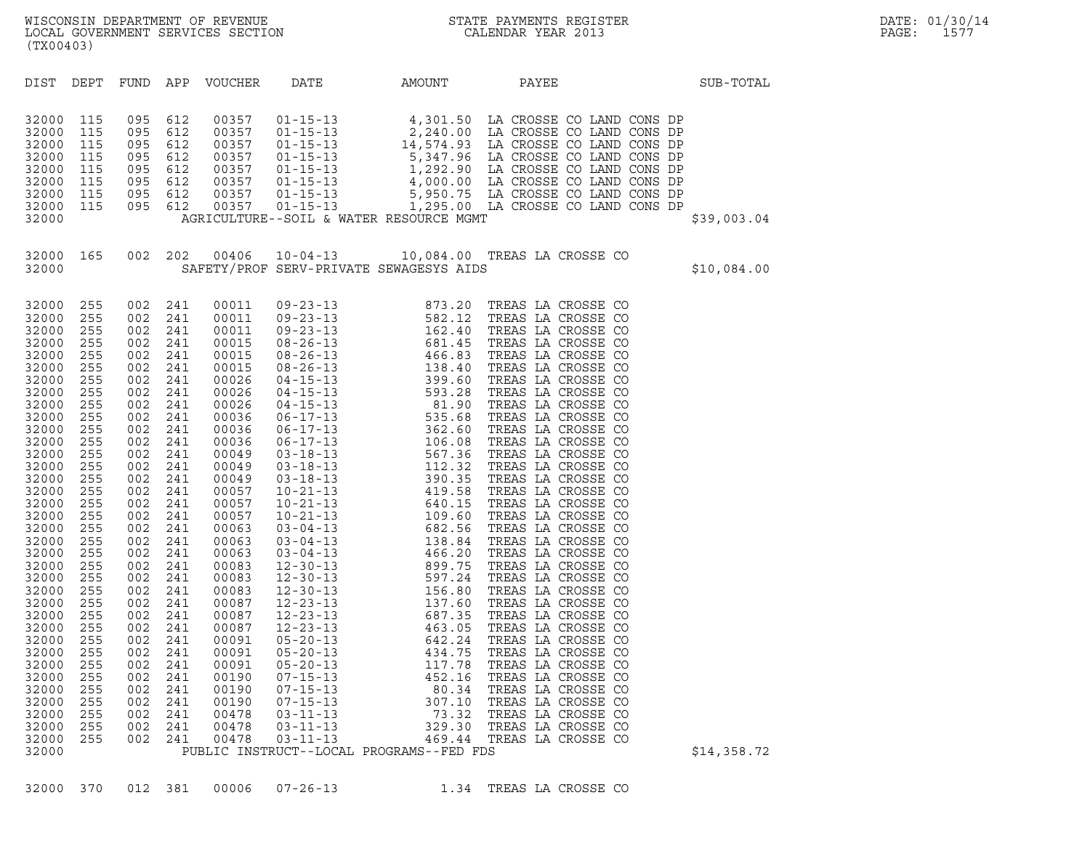| AMOUNT<br>APP<br>PAYEE<br>DIST<br>DEPT<br>FUND<br>VOUCHER<br>DATE<br>SUB-TOTAL<br>32000<br>115<br>095<br>612<br>32000<br>115<br>095<br>612<br>115<br>32000<br>095<br>612<br>32000<br>115<br>095<br>612<br>115<br>32000<br>095<br>612<br>612<br>32000<br>115<br>095<br>115<br>095<br>612<br>32000<br>115<br>095<br>612<br>32000<br>AGRICULTURE--SOIL & WATER RESOURCE MGMT<br>32000<br>\$39,003.04<br>002 202<br>10-04-13 10,084.00 TREAS LA CROSSE CO<br>32000<br>165<br>00406<br>SAFETY/PROF SERV-PRIVATE SEWAGESYS AIDS<br>32000<br>\$10,084.00<br>TREAS LA CROSSE CO<br>32000<br>255<br>002<br>241<br>00011<br>$\begin{array}{cccc} 09-23-13 & 873.20 \\ 09-23-13 & 582.12 \\ 09-23-13 & 162.40 \\ 08-26-13 & 681.45 \\ 08-26-13 & 138.40 \\ 04-15-13 & 399.60 \\ 04-15-13 & 593.28 \\ 06-17-13 & 535.68 \\ 06-17-13 & 535.68 \\ 06-17-13 & 567.36 \\ 06-17-13 & 106.08 \\ 03-18-13 & 567.$<br>32000<br>255<br>002<br>241<br>00011<br>TREAS LA CROSSE CO<br>TREAS LA CROSSE CO<br>32000<br>255<br>002<br>241<br>00011<br>32000<br>255<br>002<br>241<br>00015<br>TREAS LA CROSSE CO<br>32000<br>255<br>002<br>241<br>00015<br>TREAS LA CROSSE CO<br>255<br>32000<br>002<br>241<br>00015<br>TREAS LA CROSSE CO<br>TREAS LA CROSSE CO<br>32000<br>255<br>002<br>241<br>00026<br>32000<br>255<br>002<br>241<br>00026<br>TREAS LA CROSSE CO<br>32000<br>255<br>002<br>241<br>00026<br>TREAS LA CROSSE CO<br>255<br>32000<br>002<br>241<br>00036<br>TREAS LA CROSSE CO<br>TREAS LA CROSSE CO<br>32000<br>255<br>002<br>241<br>00036<br>32000<br>255<br>002<br>241<br>00036<br>TREAS LA CROSSE CO<br>32000<br>255<br>002<br>241<br>00049<br>TREAS LA CROSSE CO<br>255<br>32000<br>002<br>241<br>00049<br>TREAS LA CROSSE CO<br>TREAS LA CROSSE CO<br>32000<br>255<br>002<br>241<br>00049<br>32000<br>255<br>002<br>241<br>00057<br>TREAS LA CROSSE CO<br>32000<br>255<br>002<br>241<br>00057<br>TREAS LA CROSSE CO<br>255<br>32000<br>002<br>241<br>00057<br>TREAS LA CROSSE CO<br>TREAS LA CROSSE CO<br>32000<br>255<br>002<br>241<br>00063<br>32000<br>255<br>002<br>241<br>00063<br>TREAS LA CROSSE CO<br>32000<br>255<br>002<br>241<br>00063<br>TREAS LA CROSSE CO<br>32000<br>255<br>002<br>241<br>00083<br>TREAS LA CROSSE CO<br>32000<br>255<br>002<br>241<br>00083<br>TREAS LA CROSSE CO<br>32000<br>255<br>002<br>241<br>00083<br>TREAS LA CROSSE CO<br>32000<br>255<br>002<br>241<br>00087<br>TREAS LA CROSSE CO<br>32000<br>255<br>002<br>241<br>00087<br>TREAS LA CROSSE CO<br>TREAS LA CROSSE CO<br>32000<br>255<br>002<br>241<br>00087<br>255<br>TREAS LA CROSSE CO<br>32000<br>002<br>241<br>00091<br>32000<br>255<br>002<br>241<br>00091<br>TREAS LA CROSSE CO<br>32000<br>255<br>002<br>241<br>00091<br>$05 - 20 - 13$<br>117.78<br>TREAS LA CROSSE CO<br>32000<br>255<br>241<br>00190<br>$07 - 15 - 13$<br>452.16<br>TREAS LA CROSSE CO<br>002<br>32000<br>255<br>002<br>241<br>00190<br>$07 - 15 - 13$<br>80.34<br>TREAS LA CROSSE CO<br>32000<br>255<br>002<br>241<br>00190<br>$07 - 15 - 13$<br>307.10<br>TREAS LA CROSSE CO<br>32000<br>255<br>002<br>00478<br>$03 - 11 - 13$<br>73.32<br>TREAS LA CROSSE CO<br>241<br>32000<br>255<br>002<br>241<br>00478<br>$03 - 11 - 13$<br>329.30<br>TREAS LA CROSSE CO<br>32000<br>255<br>002<br>241<br>00478<br>$03 - 11 - 13$<br>469.44<br>TREAS LA CROSSE CO<br>PUBLIC INSTRUCT--LOCAL PROGRAMS--FED FDS | (TX00403) |  |  |  |             |
|---------------------------------------------------------------------------------------------------------------------------------------------------------------------------------------------------------------------------------------------------------------------------------------------------------------------------------------------------------------------------------------------------------------------------------------------------------------------------------------------------------------------------------------------------------------------------------------------------------------------------------------------------------------------------------------------------------------------------------------------------------------------------------------------------------------------------------------------------------------------------------------------------------------------------------------------------------------------------------------------------------------------------------------------------------------------------------------------------------------------------------------------------------------------------------------------------------------------------------------------------------------------------------------------------------------------------------------------------------------------------------------------------------------------------------------------------------------------------------------------------------------------------------------------------------------------------------------------------------------------------------------------------------------------------------------------------------------------------------------------------------------------------------------------------------------------------------------------------------------------------------------------------------------------------------------------------------------------------------------------------------------------------------------------------------------------------------------------------------------------------------------------------------------------------------------------------------------------------------------------------------------------------------------------------------------------------------------------------------------------------------------------------------------------------------------------------------------------------------------------------------------------------------------------------------------------------------------------------------------------------------------------------------------------------------------------------------------------------------------------------------------------------------------------------------------------------------------------------------------------------------------------------------------------------------------------------------------------------------------------------------------------------------------------------------------------------------------------------------------------------------------------------------------------------------------------------------------------------------------------------------------------------------------------------------------------------------------------------------------------|-----------|--|--|--|-------------|
|                                                                                                                                                                                                                                                                                                                                                                                                                                                                                                                                                                                                                                                                                                                                                                                                                                                                                                                                                                                                                                                                                                                                                                                                                                                                                                                                                                                                                                                                                                                                                                                                                                                                                                                                                                                                                                                                                                                                                                                                                                                                                                                                                                                                                                                                                                                                                                                                                                                                                                                                                                                                                                                                                                                                                                                                                                                                                                                                                                                                                                                                                                                                                                                                                                                                                                                                                                     |           |  |  |  |             |
|                                                                                                                                                                                                                                                                                                                                                                                                                                                                                                                                                                                                                                                                                                                                                                                                                                                                                                                                                                                                                                                                                                                                                                                                                                                                                                                                                                                                                                                                                                                                                                                                                                                                                                                                                                                                                                                                                                                                                                                                                                                                                                                                                                                                                                                                                                                                                                                                                                                                                                                                                                                                                                                                                                                                                                                                                                                                                                                                                                                                                                                                                                                                                                                                                                                                                                                                                                     |           |  |  |  |             |
|                                                                                                                                                                                                                                                                                                                                                                                                                                                                                                                                                                                                                                                                                                                                                                                                                                                                                                                                                                                                                                                                                                                                                                                                                                                                                                                                                                                                                                                                                                                                                                                                                                                                                                                                                                                                                                                                                                                                                                                                                                                                                                                                                                                                                                                                                                                                                                                                                                                                                                                                                                                                                                                                                                                                                                                                                                                                                                                                                                                                                                                                                                                                                                                                                                                                                                                                                                     |           |  |  |  |             |
|                                                                                                                                                                                                                                                                                                                                                                                                                                                                                                                                                                                                                                                                                                                                                                                                                                                                                                                                                                                                                                                                                                                                                                                                                                                                                                                                                                                                                                                                                                                                                                                                                                                                                                                                                                                                                                                                                                                                                                                                                                                                                                                                                                                                                                                                                                                                                                                                                                                                                                                                                                                                                                                                                                                                                                                                                                                                                                                                                                                                                                                                                                                                                                                                                                                                                                                                                                     | 32000     |  |  |  | \$14,358.72 |

32000 370 012 381 00006 07-26-13 1.34 TREAS LA CROSSE CO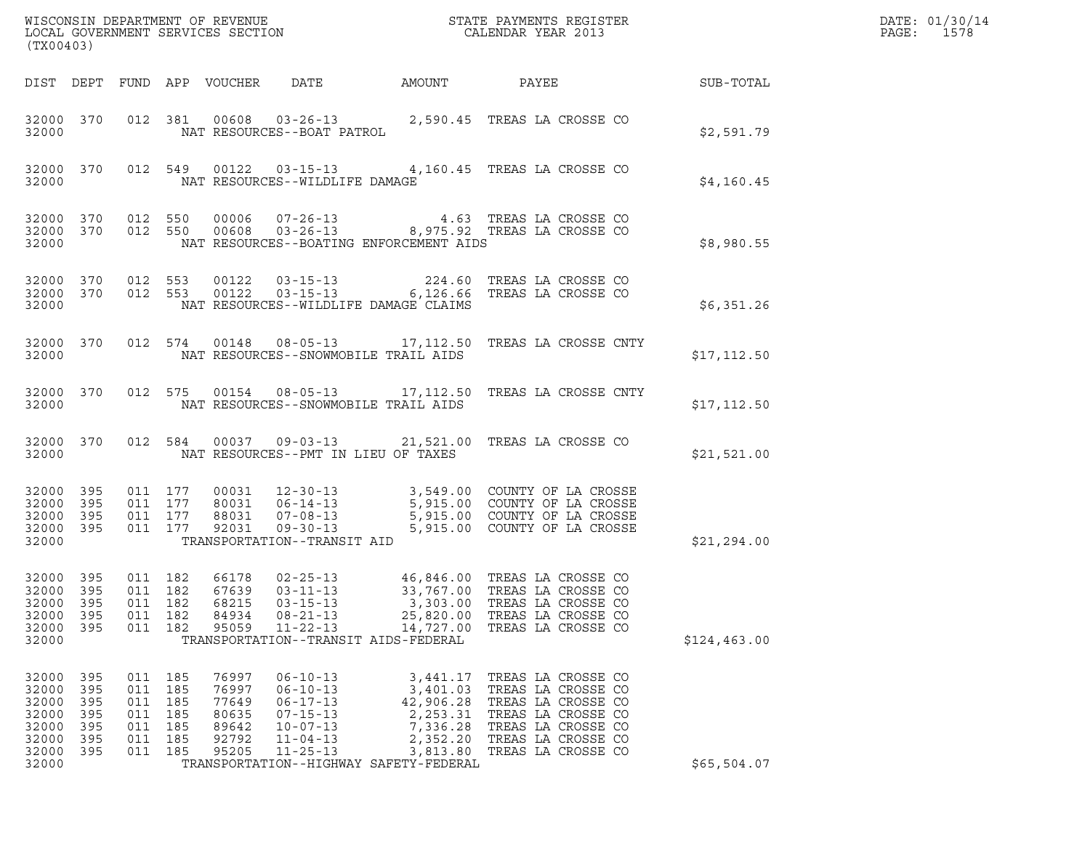| (TX00403)                                                            |                                               |                                                       |                                 |                                                             |                                                                                                                                                                      |                                                                                   |                                                                                                                                                                                             |                  | DATE: 01/30/14<br>PAGE:<br>1578 |
|----------------------------------------------------------------------|-----------------------------------------------|-------------------------------------------------------|---------------------------------|-------------------------------------------------------------|----------------------------------------------------------------------------------------------------------------------------------------------------------------------|-----------------------------------------------------------------------------------|---------------------------------------------------------------------------------------------------------------------------------------------------------------------------------------------|------------------|---------------------------------|
|                                                                      |                                               |                                                       |                                 | DIST DEPT FUND APP VOUCHER DATE                             |                                                                                                                                                                      | AMOUNT                                                                            | PAYEE                                                                                                                                                                                       | <b>SUB-TOTAL</b> |                                 |
| 32000                                                                | 32000 370                                     |                                                       |                                 |                                                             |                                                                                                                                                                      |                                                                                   | 012 381 00608 03-26-13 2,590.45 TREAS LA CROSSE CO<br>NAT RESOURCES--BOAT PATROL                                                                                                            | \$2,591.79       |                                 |
| 32000                                                                | 32000 370                                     |                                                       |                                 |                                                             | NAT RESOURCES--WILDLIFE DAMAGE                                                                                                                                       |                                                                                   | 012 549 00122 03-15-13 4,160.45 TREAS LA CROSSE CO                                                                                                                                          | \$4,160.45       |                                 |
| 32000                                                                | 32000 370                                     | 32000 370 012 550                                     | 012 550                         |                                                             | NAT RESOURCES--BOATING ENFORCEMENT AIDS                                                                                                                              |                                                                                   | 00006  07-26-13  4.63  TREAS LA CROSSE CO<br>00608  03-26-13  8,975.92  TREAS LA CROSSE CO                                                                                                  | \$8,980.55       |                                 |
| 32000                                                                | 32000 370<br>32000 370                        |                                                       |                                 |                                                             | NAT RESOURCES--WILDLIFE DAMAGE CLAIMS                                                                                                                                |                                                                                   | 012 553 00122 03-15-13 224.60 TREAS LA CROSSE CO<br>012 553 00122 03-15-13 6,126.66 TREAS LA CROSSE CO                                                                                      | \$6,351.26       |                                 |
| 32000                                                                | 32000 370                                     |                                                       |                                 |                                                             | NAT RESOURCES--SNOWMOBILE TRAIL AIDS                                                                                                                                 |                                                                                   | 012 574 00148 08-05-13 17,112.50 TREAS LA CROSSE CNTY                                                                                                                                       | \$17, 112.50     |                                 |
| 32000                                                                | 32000 370                                     |                                                       |                                 |                                                             | NAT RESOURCES--SNOWMOBILE TRAIL AIDS                                                                                                                                 |                                                                                   | 012 575 00154 08-05-13 17,112.50 TREAS LA CROSSE CNTY                                                                                                                                       | \$17, 112.50     |                                 |
| 32000                                                                | 32000 370                                     |                                                       |                                 |                                                             | NAT RESOURCES--PMT IN LIEU OF TAXES                                                                                                                                  |                                                                                   | 012 584 00037 09-03-13 21,521.00 TREAS LA CROSSE CO                                                                                                                                         | \$21,521.00      |                                 |
| 32000 395<br>32000<br>32000 395<br>32000 395<br>32000                | 395                                           | 011 177<br>011 177<br>011 177                         | 011 177                         | 92031                                                       | TRANSPORTATION--TRANSIT AID                                                                                                                                          |                                                                                   | 00031  12-30-13  3,549.00  COUNTY OF LA CROSSE<br>80031 16-14-13 5,915.00 COUNTY OF LA CROSSE<br>88031 07-08-13 5,915.00 COUNTY OF LA CROSSE<br>92031 09-30-13 5,915.00 COUNTY OF LA CROSSE | \$21, 294.00     |                                 |
| 32000 395<br>32000 395<br>32000<br>32000<br>32000<br>32000           | 395<br>395<br>395                             | 011 182<br>011<br>011<br>011 182                      | 011 182<br>182<br>182           | 66178<br>67639<br>68215<br>84934<br>95059                   | $02 - 25 - 13$<br>$03 - 11 - 13$<br>$03 - 15 - 13$<br>$08 - 21 - 13$<br>$11 - 22 - 13$<br>TRANSPORTATION--TRANSIT AIDS-FEDERAL                                       | 3,303.00<br>25,820.00<br>14,727.00                                                | 46,846.00 TREAS LA CROSSE CO<br>33,767.00 TREAS LA CROSSE CO<br>TREAS LA CROSSE CO<br>TREAS LA CROSSE CO<br>TREAS LA CROSSE CO                                                              | \$124,463.00     |                                 |
| 32000<br>32000<br>32000<br>32000<br>32000<br>32000<br>32000<br>32000 | 395<br>395<br>395<br>395<br>395<br>395<br>395 | 011 185<br>011<br>011<br>011<br>011<br>011<br>011 185 | 185<br>185<br>185<br>185<br>185 | 76997<br>76997<br>77649<br>80635<br>89642<br>92792<br>95205 | $06 - 10 - 13$<br>$06 - 10 - 13$<br>$06 - 17 - 13$<br>$07 - 15 - 13$<br>$10 - 07 - 13$<br>$11 - 04 - 13$<br>$11 - 25 - 13$<br>TRANSPORTATION--HIGHWAY SAFETY-FEDERAL | 3,441.17<br>3,401.03<br>42,906.28<br>2,253.31<br>7,336.28<br>2,352.20<br>3,813.80 | TREAS LA CROSSE CO<br>TREAS LA CROSSE CO<br>TREAS LA CROSSE CO<br>TREAS LA CROSSE CO<br>TREAS LA CROSSE CO<br>TREAS LA CROSSE CO<br>TREAS LA CROSSE CO                                      | \$65,504.07      |                                 |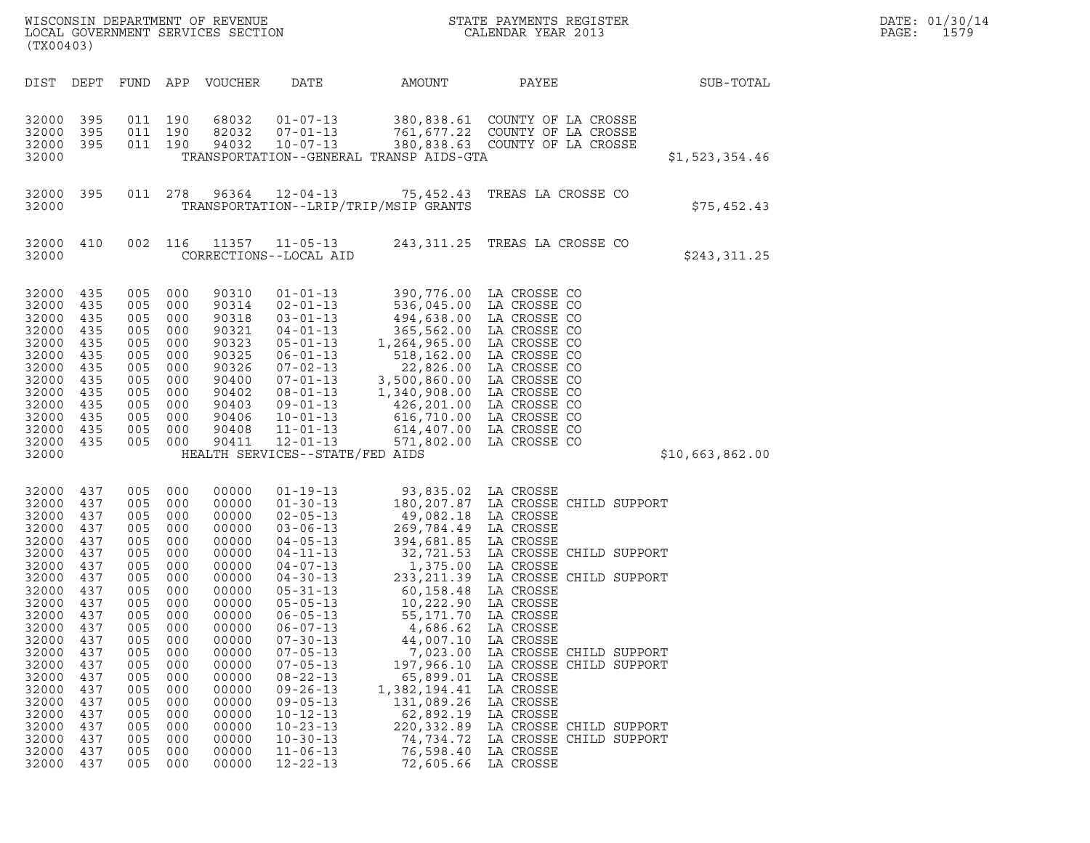| (TX00403)                                                                                                                                                                                                   |                                                                                                                                                               |                                                                                                                                                               |                                                                                                                                                               | WISCONSIN DEPARTMENT OF REVENUE<br>LOCAL GOVERNMENT SERVICES SECTION                                                                                                                                        | $\overline{N}$                                                                                                                                                                                                                                                                                                                                                                                                             |                                                                                                                                                                                                                                                                                                                                         | STATE PAYMENTS REGISTER<br>CALENDAR YEAR 2013                                                                                                                                                                                                                                                                                                                 |                 | DATE: 01/30/14<br>PAGE:<br>1579 |
|-------------------------------------------------------------------------------------------------------------------------------------------------------------------------------------------------------------|---------------------------------------------------------------------------------------------------------------------------------------------------------------|---------------------------------------------------------------------------------------------------------------------------------------------------------------|---------------------------------------------------------------------------------------------------------------------------------------------------------------|-------------------------------------------------------------------------------------------------------------------------------------------------------------------------------------------------------------|----------------------------------------------------------------------------------------------------------------------------------------------------------------------------------------------------------------------------------------------------------------------------------------------------------------------------------------------------------------------------------------------------------------------------|-----------------------------------------------------------------------------------------------------------------------------------------------------------------------------------------------------------------------------------------------------------------------------------------------------------------------------------------|---------------------------------------------------------------------------------------------------------------------------------------------------------------------------------------------------------------------------------------------------------------------------------------------------------------------------------------------------------------|-----------------|---------------------------------|
| DIST                                                                                                                                                                                                        | DEPT                                                                                                                                                          |                                                                                                                                                               |                                                                                                                                                               | FUND APP VOUCHER                                                                                                                                                                                            | DATE                                                                                                                                                                                                                                                                                                                                                                                                                       | AMOUNT                                                                                                                                                                                                                                                                                                                                  | PAYEE                                                                                                                                                                                                                                                                                                                                                         | SUB-TOTAL       |                                 |
| 32000 395<br>32000<br>32000 395<br>32000                                                                                                                                                                    | 395                                                                                                                                                           |                                                                                                                                                               | 011 190<br>011 190<br>011 190                                                                                                                                 | 68032<br>82032<br>94032                                                                                                                                                                                     | $01 - 07 - 13$<br>$07 - 01 - 13$<br>$10 - 07 - 13$                                                                                                                                                                                                                                                                                                                                                                         | TRANSPORTATION--GENERAL TRANSP AIDS-GTA                                                                                                                                                                                                                                                                                                 | 380,838.61 COUNTY OF LA CROSSE<br>761,677.22 COUNTY OF LA CROSSE<br>380,838.63 COUNTY OF LA CROSSE                                                                                                                                                                                                                                                            | \$1,523,354.46  |                                 |
| 32000 395<br>32000                                                                                                                                                                                          |                                                                                                                                                               |                                                                                                                                                               | 011 278                                                                                                                                                       | 96364                                                                                                                                                                                                       | $12 - 04 - 13$                                                                                                                                                                                                                                                                                                                                                                                                             | TRANSPORTATION--LRIP/TRIP/MSIP GRANTS                                                                                                                                                                                                                                                                                                   | 75,452.43 TREAS LA CROSSE CO                                                                                                                                                                                                                                                                                                                                  | \$75,452.43     |                                 |
| 32000 410<br>32000                                                                                                                                                                                          |                                                                                                                                                               |                                                                                                                                                               | 002 116                                                                                                                                                       | 11357                                                                                                                                                                                                       | $11 - 05 - 13$<br>CORRECTIONS--LOCAL AID                                                                                                                                                                                                                                                                                                                                                                                   |                                                                                                                                                                                                                                                                                                                                         | 243,311.25 TREAS LA CROSSE CO                                                                                                                                                                                                                                                                                                                                 | \$243,311.25    |                                 |
| 32000 435<br>32000<br>32000<br>32000<br>32000<br>32000<br>32000<br>32000<br>32000<br>32000<br>32000<br>32000<br>32000<br>32000                                                                              | 435<br>435<br>435<br>435<br>435<br>435<br>435<br>435<br>435<br>435<br>435<br>435                                                                              | 005<br>005<br>005<br>005<br>005<br>005<br>005<br>005<br>005<br>005<br>005<br>005<br>005 000                                                                   | 000<br>000<br>000<br>000<br>000<br>000<br>000<br>000<br>000<br>000<br>000<br>000                                                                              | 90310<br>90314<br>90318<br>90321<br>90323<br>90325<br>90326<br>90400<br>90402<br>90403<br>90406<br>90408<br>90411                                                                                           | $01 - 01 - 13$<br>$02 - 01 - 13$<br>$03 - 01 - 13$<br>$04 - 01 - 13$<br>$05 - 01 - 13$<br>$06 - 01 - 13$<br>$07 - 02 - 13$<br>$07 - 01 - 13$<br>$08 - 01 - 13$<br>$09 - 01 - 13$<br>$10 - 01 - 13$<br>$11 - 01 - 13$<br>$12 - 01 - 13$<br>HEALTH SERVICES--STATE/FED AIDS                                                                                                                                                  | 1,264,965.00 LA CROSSE CO<br>3,500,860.00 LA CROSSE CO<br>1,340,908.00 LA CROSSE CO                                                                                                                                                                                                                                                     | 390,776.00 LA CROSSE CO<br>536,045.00 LA CROSSE CO<br>494,638.00 LA CROSSE CO<br>365,562.00 LA CROSSE CO<br>518,162.00 LA CROSSE CO<br>22,826.00 LA CROSSE CO<br>426,201.00 LA CROSSE CO<br>616,710.00 LA CROSSE CO<br>614,407.00 LA CROSSE CO<br>571,802.00 LA CROSSE CO                                                                                     | \$10,663,862.00 |                                 |
| 32000<br>32000<br>32000<br>32000<br>32000<br>32000<br>32000<br>32000<br>32000<br>32000<br>32000<br>32000<br>32000<br>32000<br>32000<br>32000<br>32000<br>32000<br>32000<br>32000<br>32000<br>32000<br>32000 | 437<br>437<br>437<br>437<br>437<br>437<br>437<br>437<br>437<br>437<br>437<br>437<br>437<br>437<br>437<br>437<br>437<br>437<br>437<br>437<br>437<br>437<br>437 | 005<br>005<br>005<br>005<br>005<br>005<br>005<br>005<br>005<br>005<br>005<br>005<br>005<br>005<br>005<br>005<br>005<br>005<br>005<br>005<br>005<br>005<br>005 | 000<br>000<br>000<br>000<br>000<br>000<br>000<br>000<br>000<br>000<br>000<br>000<br>000<br>000<br>000<br>000<br>000<br>000<br>000<br>000<br>000<br>000<br>000 | 00000<br>00000<br>00000<br>00000<br>00000<br>00000<br>00000<br>00000<br>00000<br>00000<br>00000<br>00000<br>00000<br>00000<br>00000<br>00000<br>00000<br>00000<br>00000<br>00000<br>00000<br>00000<br>00000 | $01 - 19 - 13$<br>$01 - 30 - 13$<br>$02 - 05 - 13$<br>$03 - 06 - 13$<br>$04 - 05 - 13$<br>$04 - 11 - 13$<br>$04 - 07 - 13$<br>$04 - 30 - 13$<br>$05 - 31 - 13$<br>$05 - 05 - 13$<br>$06 - 05 - 13$<br>$06 - 07 - 13$<br>$07 - 30 - 13$<br>$07 - 05 - 13$<br>$07 - 05 - 13$<br>$08 - 22 - 13$<br>$09 - 26 - 13$<br>$09 - 05 - 13$<br>$10 - 12 - 13$<br>$10 - 23 - 13$<br>$10 - 30 - 13$<br>$11 - 06 - 13$<br>$12 - 22 - 13$ | 93,835.02 LA CROSSE<br>49,082.18 LA CROSSE<br>269,784.49 LA CROSSE<br>394,681.85 LA CROSSE<br>1,375.00 LA CROSSE<br>233,211.39<br>60,158.48<br>10,222.90<br>55, 171.70<br>4,686.62<br>44,007.10<br>7,023.00<br>197,966.10<br>65,899.01<br>1,382,194.41<br>131,089.26<br>62,892.19<br>220, 332.89<br>74,734.72<br>76,598.40<br>72,605.66 | 180,207.87 LA CROSSE CHILD SUPPORT<br>32,721.53 LA CROSSE CHILD SUPPORT<br>LA CROSSE CHILD SUPPORT<br>LA CROSSE<br>LA CROSSE<br>LA CROSSE<br>LA CROSSE<br>LA CROSSE<br>LA CROSSE CHILD SUPPORT<br>LA CROSSE CHILD SUPPORT<br>LA CROSSE<br>LA CROSSE<br>LA CROSSE<br>LA CROSSE<br>LA CROSSE CHILD SUPPORT<br>LA CROSSE CHILD SUPPORT<br>LA CROSSE<br>LA CROSSE |                 |                                 |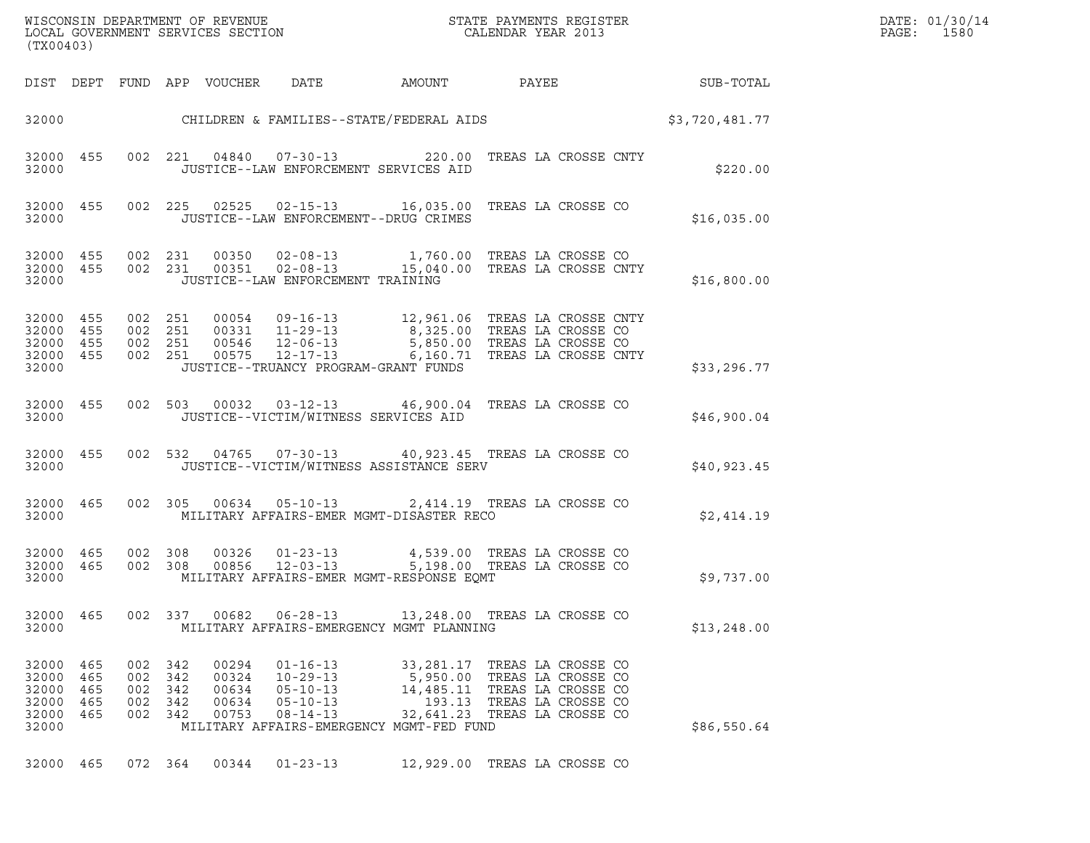| WISCONSIN DEPARTMENT OF REVENUE   | STATE PAYMENTS REGISTER | DATE: 01/30/14 |
|-----------------------------------|-------------------------|----------------|
| LOCAL GOVERNMENT SERVICES SECTION | CALENDAR YEAR 2013      | 1580<br>PAGE : |

| (TX00403)                                              |                          |                                                     |         |                                           |                                                                                        |                                                                                                                                                                                                                                                                                 |                           |  |              | DATE: 01/30/14<br>PAGE: 1580 |
|--------------------------------------------------------|--------------------------|-----------------------------------------------------|---------|-------------------------------------------|----------------------------------------------------------------------------------------|---------------------------------------------------------------------------------------------------------------------------------------------------------------------------------------------------------------------------------------------------------------------------------|---------------------------|--|--------------|------------------------------|
|                                                        |                          |                                                     |         |                                           |                                                                                        | DIST DEPT FUND APP VOUCHER DATE AMOUNT PAYEE PAYER SUB-TOTAL                                                                                                                                                                                                                    |                           |  |              |                              |
|                                                        |                          |                                                     |         |                                           |                                                                                        | 32000 CHILDREN & FAMILIES--STATE/FEDERAL AIDS \$3,720,481.77                                                                                                                                                                                                                    |                           |  |              |                              |
| 32000                                                  |                          |                                                     |         |                                           |                                                                                        | 32000 455 002 221 04840 07-30-13 220.00 TREAS LA CROSSE CNTY<br>JUSTICE--LAW ENFORCEMENT SERVICES AID                                                                                                                                                                           |                           |  | \$220.00     |                              |
|                                                        |                          |                                                     |         |                                           |                                                                                        | 32000 455 002 225 02525 02-15-13 16,035.00 TREAS LA CROSSE CO<br>32000 JUSTICE--LAW ENFORCEMENT--DRUG CRIMES                                                                                                                                                                    |                           |  | \$16,035.00  |                              |
| 32000                                                  |                          |                                                     |         |                                           | JUSTICE--LAW ENFORCEMENT TRAINING                                                      | 32000 455 002 231 00350 02-08-13 1,760.00 TREAS LA CROSSE CO<br>32000 455 002 231 00351 02-08-13 15,040.00 TREAS LA CROSSE CNTY                                                                                                                                                 |                           |  | \$16,800.00  |                              |
| 32000 455<br>32000 455<br>32000 455<br>32000           | 32000 455                |                                                     |         |                                           |                                                                                        | 002  251  00054  09-16-13  12,961.06  TREAS LA CROSSE CNTY<br>002  251  00331  11-29-13  8,325.00  TREAS LA CROSSE CO<br>002  251  00546  12-06-13  5,850.00  TREAS LA CROSSE CO<br>002  251  00575  12-17-13  6,160.71  TREAS LA CROSS<br>JUSTICE--TRUANCY PROGRAM-GRANT FUNDS |                           |  | \$33,296.77  |                              |
| 32000                                                  |                          |                                                     |         |                                           |                                                                                        | 32000 455 002 503 00032 03-12-13 46,900.04 TREAS LA CROSSE CO<br>JUSTICE--VICTIM/WITNESS SERVICES AID                                                                                                                                                                           |                           |  | \$46,900.04  |                              |
| 32000                                                  |                          |                                                     |         |                                           |                                                                                        | 32000 455 002 532 04765 07-30-13 40,923.45 TREAS LA CROSSE CO<br>JUSTICE--VICTIM/WITNESS ASSISTANCE SERV                                                                                                                                                                        |                           |  | \$40,923.45  |                              |
| 32000                                                  |                          |                                                     |         |                                           |                                                                                        | 32000 465 002 305 00634 05-10-13 2,414.19 TREAS LA CROSSE CO<br>MILITARY AFFAIRS-EMER MGMT-DISASTER RECO                                                                                                                                                                        |                           |  | \$2,414.19   |                              |
| 32000                                                  |                          |                                                     |         |                                           |                                                                                        | 32000 465 002 308 00326 01-23-13 4,539.00 TREAS LA CROSSE CO 32000 465 002 308 00856 12-03-13 5,198.00 TREAS LA CROSSE CO<br>MILITARY AFFAIRS-EMER MGMT-RESPONSE EQMT                                                                                                           |                           |  | \$9,737.00   |                              |
| 32000 465<br>32000                                     |                          |                                                     | 002 337 | 00682                                     | $06 - 28 - 13$                                                                         | 13,248.00 TREAS LA CROSSE CO<br>MILITARY AFFAIRS-EMERGENCY MGMT PLANNING                                                                                                                                                                                                        |                           |  | \$13, 248.00 |                              |
| 32000 465<br>32000<br>32000<br>32000<br>32000<br>32000 | 465<br>465<br>465<br>465 | 002 342<br>002 342<br>002 342<br>002 342<br>002 342 |         | 00294<br>00324<br>00634<br>00634<br>00753 | $01 - 16 - 13$<br>$10 - 29 - 13$<br>$05 - 10 - 13$<br>$05 - 10 - 13$<br>$08 - 14 - 13$ | 33,281.17 TREAS LA CROSSE CO<br>5,950.00 TREAS LA CROSSE CO<br>14,485.11 TREAS LA CROSSE CO<br>32,641.23 TREAS LA CROSSE CO<br>MILITARY AFFAIRS-EMERGENCY MGMT-FED FUND                                                                                                         | 193.13 TREAS LA CROSSE CO |  | \$86,550.64  |                              |

32000 465 072 364 00344 01-23-13 12,929.00 TREAS LA CROSSE CO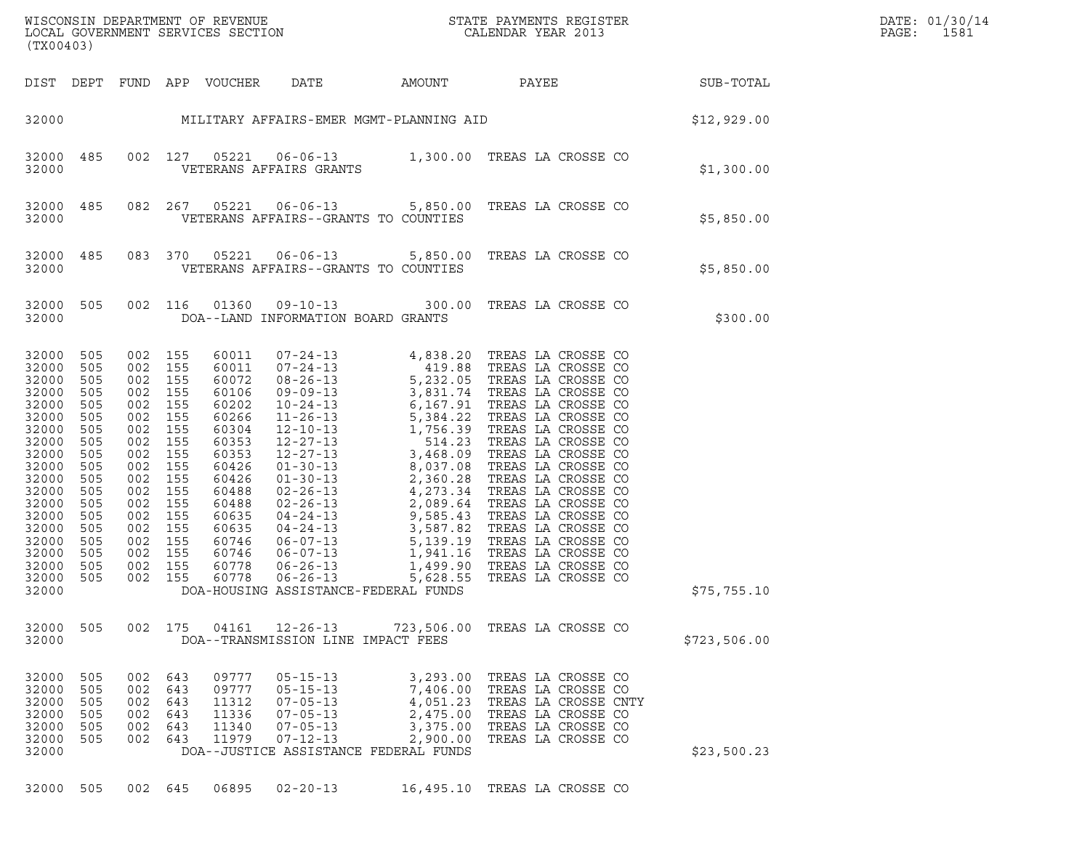WISCONSIN DEPARTMENT OF REVENUE<br>LOCAL GOVERNMENT SERVICES SECTION STATE PAYMENTS REGISTER SECONDER STATE PASSES OF STATE PASSES AND DESSERIES WISCONSIN DEPARTMENT OF REVENUE<br>LOCAL GOVERNMENT SERVICES SECTION FOR THE STATE PAYMENTS REGISTER FOR THE PAGE: 1581<br>(TX00403) (TX00403)

| (TX00403)                                                                                                                                                                        |                                                                                                                                   |                                                                                                                                   |                                                                                                                                   |                                                                                                                                                                         |                                                                                                                                                                                                                                                                                                                                                    |                                                                                                                                                                                                                                                                                                                   |                                                                                                                                                                                                                                                                                                                                                                                                                                |              |
|----------------------------------------------------------------------------------------------------------------------------------------------------------------------------------|-----------------------------------------------------------------------------------------------------------------------------------|-----------------------------------------------------------------------------------------------------------------------------------|-----------------------------------------------------------------------------------------------------------------------------------|-------------------------------------------------------------------------------------------------------------------------------------------------------------------------|----------------------------------------------------------------------------------------------------------------------------------------------------------------------------------------------------------------------------------------------------------------------------------------------------------------------------------------------------|-------------------------------------------------------------------------------------------------------------------------------------------------------------------------------------------------------------------------------------------------------------------------------------------------------------------|--------------------------------------------------------------------------------------------------------------------------------------------------------------------------------------------------------------------------------------------------------------------------------------------------------------------------------------------------------------------------------------------------------------------------------|--------------|
| DIST                                                                                                                                                                             | DEPT                                                                                                                              | FUND APP                                                                                                                          |                                                                                                                                   | VOUCHER                                                                                                                                                                 | DATE                                                                                                                                                                                                                                                                                                                                               | AMOUNT                                                                                                                                                                                                                                                                                                            | PAYEE                                                                                                                                                                                                                                                                                                                                                                                                                          | SUB-TOTAL    |
| 32000                                                                                                                                                                            |                                                                                                                                   |                                                                                                                                   |                                                                                                                                   |                                                                                                                                                                         |                                                                                                                                                                                                                                                                                                                                                    | MILITARY AFFAIRS-EMER MGMT-PLANNING AID                                                                                                                                                                                                                                                                           |                                                                                                                                                                                                                                                                                                                                                                                                                                | \$12,929.00  |
| 32000<br>32000                                                                                                                                                                   | 485                                                                                                                               | 002                                                                                                                               | 127                                                                                                                               | 05221                                                                                                                                                                   | VETERANS AFFAIRS GRANTS                                                                                                                                                                                                                                                                                                                            |                                                                                                                                                                                                                                                                                                                   | 06-06-13 1,300.00 TREAS LA CROSSE CO                                                                                                                                                                                                                                                                                                                                                                                           | \$1,300.00   |
| 32000<br>32000                                                                                                                                                                   | 485                                                                                                                               | 082                                                                                                                               | 267                                                                                                                               | 05221                                                                                                                                                                   | $06 - 06 - 13$                                                                                                                                                                                                                                                                                                                                     | 5,850.00<br>VETERANS AFFAIRS--GRANTS TO COUNTIES                                                                                                                                                                                                                                                                  | TREAS LA CROSSE CO                                                                                                                                                                                                                                                                                                                                                                                                             | \$5,850.00   |
| 32000<br>32000                                                                                                                                                                   | 485                                                                                                                               | 083                                                                                                                               | 370                                                                                                                               | 05221                                                                                                                                                                   | $06 - 06 - 13$                                                                                                                                                                                                                                                                                                                                     | 5,850.00<br>VETERANS AFFAIRS--GRANTS TO COUNTIES                                                                                                                                                                                                                                                                  | TREAS LA CROSSE CO                                                                                                                                                                                                                                                                                                                                                                                                             | \$5,850.00   |
| 32000<br>32000                                                                                                                                                                   | 505                                                                                                                               | 002                                                                                                                               | 116                                                                                                                               | 01360                                                                                                                                                                   | $09 - 10 - 13$<br>DOA--LAND INFORMATION BOARD GRANTS                                                                                                                                                                                                                                                                                               | 300.00                                                                                                                                                                                                                                                                                                            | TREAS LA CROSSE CO                                                                                                                                                                                                                                                                                                                                                                                                             | \$300.00     |
| 32000<br>32000<br>32000<br>32000<br>32000<br>32000<br>32000<br>32000<br>32000<br>32000<br>32000<br>32000<br>32000<br>32000<br>32000<br>32000<br>32000<br>32000<br>32000<br>32000 | 505<br>505<br>505<br>505<br>505<br>505<br>505<br>505<br>505<br>505<br>505<br>505<br>505<br>505<br>505<br>505<br>505<br>505<br>505 | 002<br>002<br>002<br>002<br>002<br>002<br>002<br>002<br>002<br>002<br>002<br>002<br>002<br>002<br>002<br>002<br>002<br>002<br>002 | 155<br>155<br>155<br>155<br>155<br>155<br>155<br>155<br>155<br>155<br>155<br>155<br>155<br>155<br>155<br>155<br>155<br>155<br>155 | 60011<br>60011<br>60072<br>60106<br>60202<br>60266<br>60304<br>60353<br>60353<br>60426<br>60426<br>60488<br>60488<br>60635<br>60635<br>60746<br>60746<br>60778<br>60778 | $07 - 24 - 13$<br>$07 - 24 - 13$<br>$08 - 26 - 13$<br>$09 - 09 - 13$<br>$10 - 24 - 13$<br>$11 - 26 - 13$<br>$12 - 10 - 13$<br>$12 - 27 - 13$<br>$12 - 27 - 13$<br>$01 - 30 - 13$<br>$01 - 30 - 13$<br>$02 - 26 - 13$<br>$02 - 26 - 13$<br>$04 - 24 - 13$<br>$04 - 24 - 13$<br>$06 - 07 - 13$<br>$06 - 07 - 13$<br>$06 - 26 - 13$<br>$06 - 26 - 13$ | 4,838.20<br>419.88<br>5,232.05<br>3,831.74<br>6,167.91<br>5,384.22<br>1,756.39<br>$514.23$<br>3,468.09<br>3,468.09<br>$8,037.08$<br>$2,360.28$<br>$4,273.34$<br>$2,089.64$<br>2,089.64<br>$2,001$<br>9,585.43<br>3,587.82<br>5,139.19<br>1,941.16<br>1,499.90<br>5,628.55<br>DOA-HOUSING ASSISTANCE-FEDERAL FUNDS | TREAS LA CROSSE CO<br>TREAS LA CROSSE CO<br>TREAS LA CROSSE CO<br>TREAS LA CROSSE CO<br>TREAS LA CROSSE CO<br>TREAS LA CROSSE CO<br>TREAS LA CROSSE CO<br>TREAS LA CROSSE CO<br>TREAS LA CROSSE CO<br>TREAS LA CROSSE CO<br>TREAS LA CROSSE CO<br>TREAS LA CROSSE CO<br>TREAS LA CROSSE CO<br>TREAS LA CROSSE CO<br>TREAS LA CROSSE CO<br>TREAS LA CROSSE CO<br>TREAS LA CROSSE CO<br>TREAS LA CROSSE CO<br>TREAS LA CROSSE CO | \$75,755.10  |
| 32000<br>32000                                                                                                                                                                   | 505                                                                                                                               | 002                                                                                                                               | 175                                                                                                                               |                                                                                                                                                                         | 04161 12-26-13<br>DOA--TRANSMISSION LINE IMPACT FEES                                                                                                                                                                                                                                                                                               | 723,506.00                                                                                                                                                                                                                                                                                                        | TREAS LA CROSSE CO                                                                                                                                                                                                                                                                                                                                                                                                             | \$723,506.00 |
| 32000<br>32000<br>32000<br>32000<br>32000<br>32000<br>32000                                                                                                                      | 505<br>505<br>505<br>505<br>505<br>505                                                                                            | 002<br>002<br>002<br>002<br>002<br>002                                                                                            | 643<br>643<br>643<br>643<br>643<br>643                                                                                            | 09777<br>09777<br>11312<br>11336<br>11340<br>11979                                                                                                                      | $05 - 15 - 13$<br>$05 - 15 - 13$<br>$07 - 05 - 13$<br>$07 - 05 - 13$<br>$07 - 05 - 13$<br>$07 - 12 - 13$                                                                                                                                                                                                                                           | 3,293.00<br>7,406.00<br>4,051.23<br>2,475.00<br>3,375.00<br>2,900.00<br>DOA--JUSTICE ASSISTANCE FEDERAL FUNDS                                                                                                                                                                                                     | TREAS LA CROSSE CO<br>TREAS LA CROSSE CO<br>TREAS LA CROSSE CNTY<br>TREAS LA CROSSE CO<br>TREAS LA CROSSE CO<br>TREAS LA CROSSE CO                                                                                                                                                                                                                                                                                             | \$23,500.23  |

32000 505 002 645 06895 02-20-13 16,495.10 TREAS LA CROSSE CO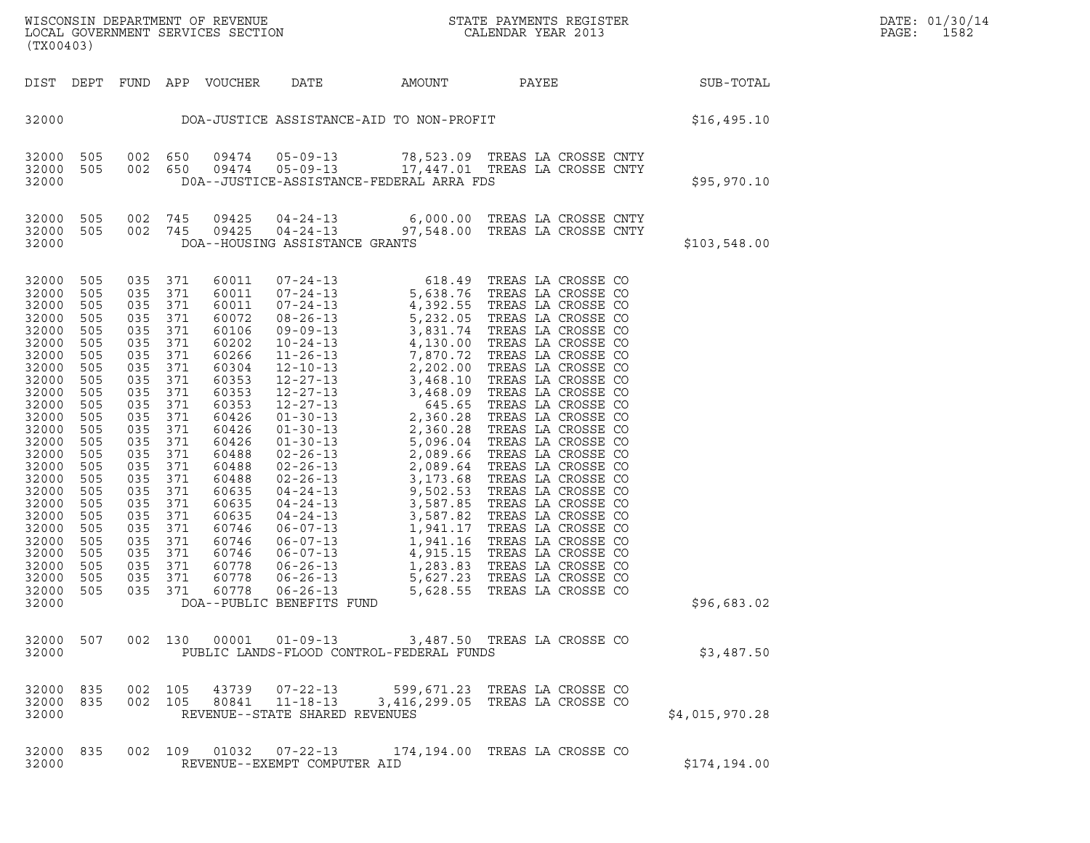| (TX00403)                                                                                                                                                                                                                                       |                                                                                                                                                                                    |                                                                                                                                                                                                                                                                      |                    |                                                                                                                                                                                                                                        |                                |                                          | WISCONSIN DEPARTMENT OF REVENUE<br>LOCAL GOVERNMENT SERVICES SECTION THE SERVE RESERVED ON THE CALENDAR YEAR 2013                 |                | DATE: 01/30/14<br>PAGE:<br>1582 |
|-------------------------------------------------------------------------------------------------------------------------------------------------------------------------------------------------------------------------------------------------|------------------------------------------------------------------------------------------------------------------------------------------------------------------------------------|----------------------------------------------------------------------------------------------------------------------------------------------------------------------------------------------------------------------------------------------------------------------|--------------------|----------------------------------------------------------------------------------------------------------------------------------------------------------------------------------------------------------------------------------------|--------------------------------|------------------------------------------|-----------------------------------------------------------------------------------------------------------------------------------|----------------|---------------------------------|
|                                                                                                                                                                                                                                                 |                                                                                                                                                                                    |                                                                                                                                                                                                                                                                      |                    | DIST DEPT FUND APP VOUCHER DATE                                                                                                                                                                                                        |                                | AMOUNT PAYEE                             |                                                                                                                                   | SUB-TOTAL      |                                 |
| 32000                                                                                                                                                                                                                                           |                                                                                                                                                                                    |                                                                                                                                                                                                                                                                      |                    |                                                                                                                                                                                                                                        |                                |                                          | DOA-JUSTICE ASSISTANCE-AID TO NON-PROFIT                                                                                          | \$16,495.10    |                                 |
| 32000 505<br>32000 505<br>32000                                                                                                                                                                                                                 |                                                                                                                                                                                    |                                                                                                                                                                                                                                                                      |                    |                                                                                                                                                                                                                                        |                                | DOA--JUSTICE-ASSISTANCE-FEDERAL ARRA FDS | 002 650 09474 05-09-13 78,523.09 TREAS LA CROSSE CNTY<br>002 650 09474 05-09-13 17,447.01 TREAS LA CROSSE CNTY                    | \$95,970.10    |                                 |
| 32000                                                                                                                                                                                                                                           |                                                                                                                                                                                    |                                                                                                                                                                                                                                                                      |                    |                                                                                                                                                                                                                                        | DOA--HOUSING ASSISTANCE GRANTS |                                          | 32000 505 002 745 09425 04-24-13 6,000.00 TREAS LA CROSSE CNTY<br>32000 505 002 745 09425 04-24-13 97,548.00 TREAS LA CROSSE CNTY | \$103,548.00   |                                 |
| 32000<br>32000<br>32000<br>32000<br>32000<br>32000<br>32000<br>32000<br>32000<br>32000<br>32000<br>32000<br>32000<br>32000<br>32000<br>32000<br>32000<br>32000<br>32000<br>32000<br>32000<br>32000<br>32000<br>32000<br>32000<br>32000<br>32000 | 505<br>505<br>505<br>505<br>505<br>505<br>505<br>505<br>505<br>505<br>505<br>505<br>505<br>505<br>505<br>505<br>505<br>505<br>505<br>505<br>505<br>505<br>505<br>505<br>505<br>505 | 035 371<br>035 371<br>035 371<br>035 371<br>035 371<br>035 371<br>035 371<br>035 371<br>035 371<br>035 371<br>035 371<br>035 371<br>035 371<br>035 371<br>035 371<br>035 371<br>035 371<br>035 371<br>035 371<br>035 371<br>035 371<br>035 371<br>035 371<br>035 371 | 035 371<br>035 371 | 60011<br>60011<br>60011<br>60072<br>60106<br>60202<br>60266<br>60304<br>60353<br>60353<br>60353<br>60426<br>60426<br>60426<br>60488<br>60488<br>60488<br>60635<br>60635<br>60635<br>60746<br>60746<br>60746<br>60778<br>60778<br>60778 | DOA--PUBLIC BENEFITS FUND      |                                          |                                                                                                                                   | \$96,683.02    |                                 |
| 32000                                                                                                                                                                                                                                           |                                                                                                                                                                                    |                                                                                                                                                                                                                                                                      |                    |                                                                                                                                                                                                                                        |                                | PUBLIC LANDS-FLOOD CONTROL-FEDERAL FUNDS | 32000 507 002 130 00001 01-09-13 3,487.50 TREAS LA CROSSE CO                                                                      | \$3,487.50     |                                 |
| 32000 835<br>32000                                                                                                                                                                                                                              |                                                                                                                                                                                    |                                                                                                                                                                                                                                                                      |                    |                                                                                                                                                                                                                                        | REVENUE--STATE SHARED REVENUES |                                          | 32000 835 002 105 43739 07-22-13 599,671.23 TREAS LA CROSSE CO<br>002 105 80841 11-18-13 3,416,299.05 TREAS LA CROSSE CO          | \$4,015,970.28 |                                 |
| 32000 835<br>32000                                                                                                                                                                                                                              |                                                                                                                                                                                    |                                                                                                                                                                                                                                                                      |                    |                                                                                                                                                                                                                                        | REVENUE--EXEMPT COMPUTER AID   |                                          | 002 109 01032 07-22-13 174,194.00 TREAS LA CROSSE CO                                                                              | \$174,194.00   |                                 |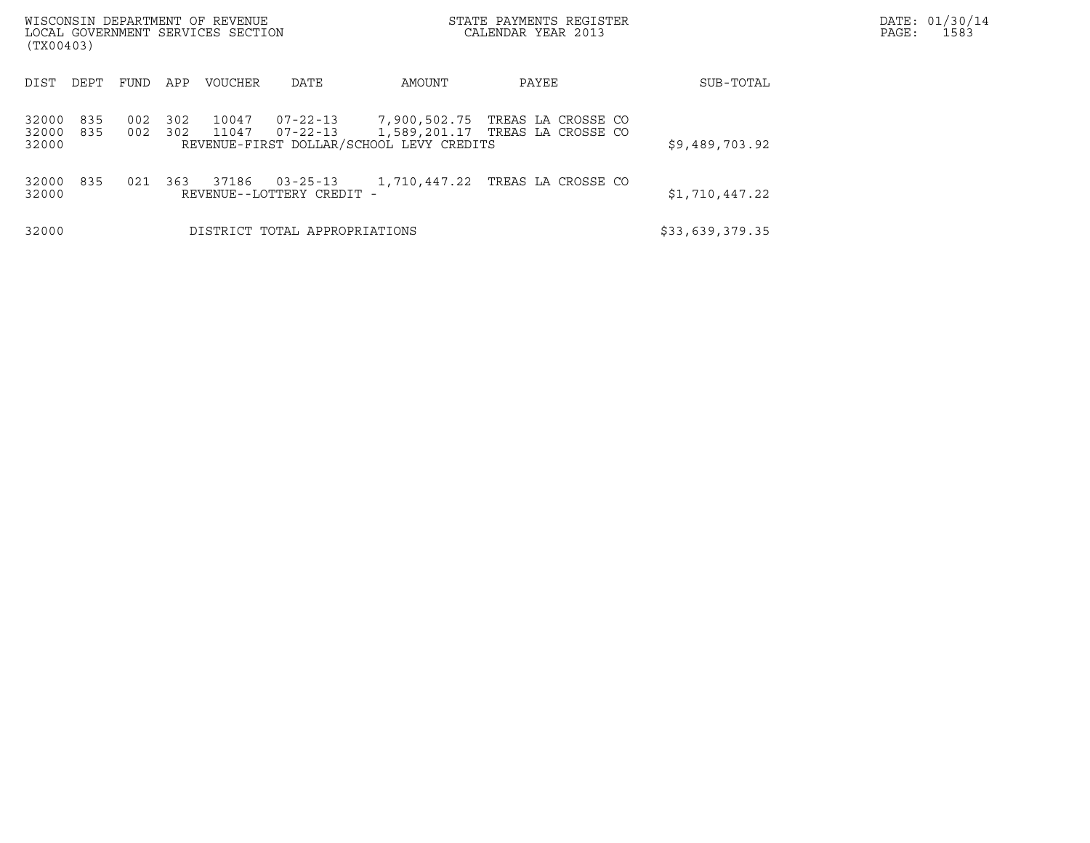| WISCONSIN DEPARTMENT OF REVENUE<br>LOCAL GOVERNMENT SERVICES SECTION<br>(TX00403) |            |            |                |                                             |                                                                         | STATE PAYMENTS REGISTER<br>CALENDAR YEAR 2013         | DATE: 01/30/14<br>PAGE:<br>1583 |  |
|-----------------------------------------------------------------------------------|------------|------------|----------------|---------------------------------------------|-------------------------------------------------------------------------|-------------------------------------------------------|---------------------------------|--|
| DEPT<br>DIST                                                                      | FUND       | APP        | <b>VOUCHER</b> | DATE                                        | AMOUNT                                                                  | PAYEE                                                 | SUB-TOTAL                       |  |
| 32000<br>835<br>32000<br>835<br>32000                                             | 002<br>002 | 302<br>302 | 10047<br>11047 | $07 - 22 - 13$                              | $07 - 22 - 13$ 7,900,502.75<br>REVENUE-FIRST DOLLAR/SCHOOL LEVY CREDITS | TREAS LA CROSSE CO<br>1,589,201.17 TREAS LA CROSSE CO | \$9,489,703.92                  |  |
| 32000<br>835<br>32000                                                             | 021        | 363        | 37186          | $03 - 25 - 13$<br>REVENUE--LOTTERY CREDIT - |                                                                         | 1,710,447.22 TREAS LA CROSSE CO                       | \$1,710,447.22                  |  |
| 32000                                                                             |            |            |                | DISTRICT TOTAL APPROPRIATIONS               |                                                                         |                                                       | \$33,639,379.35                 |  |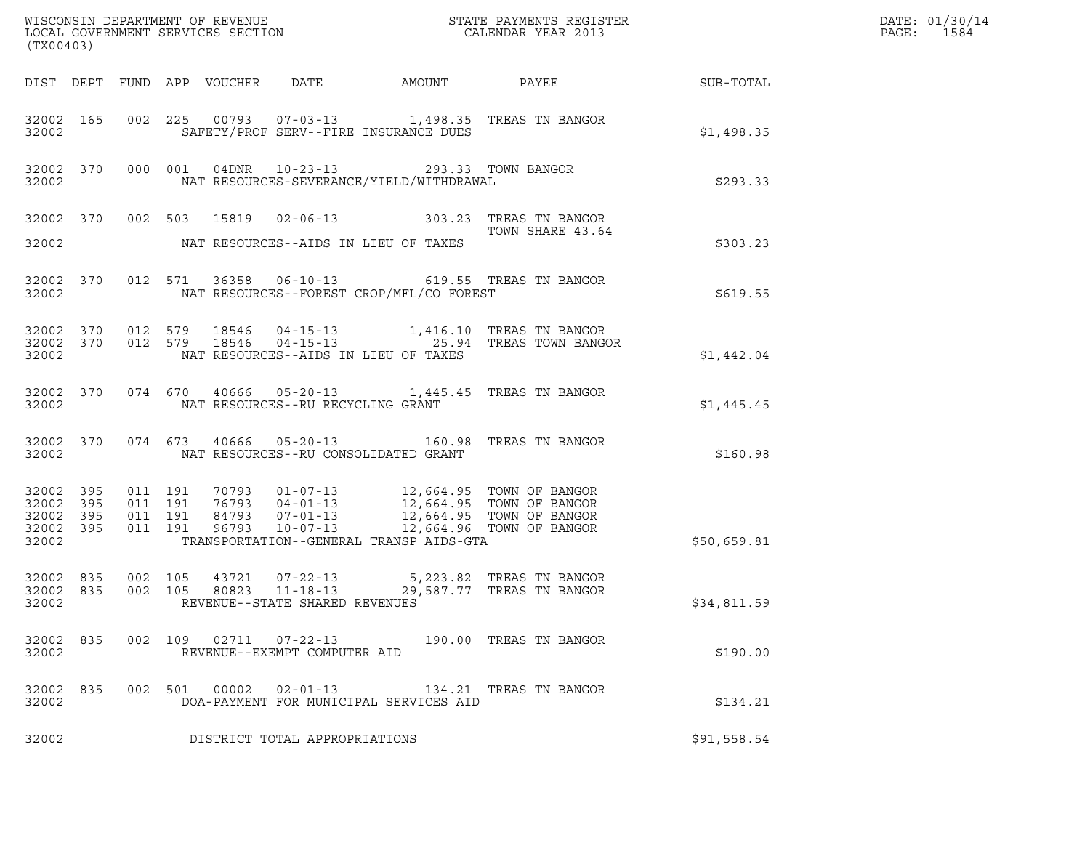| (TX00403)                                    |           |                    |                               |                                                  |                                                                                                 |                                                                                                                                                                                                                                                                                   |             | DATE: 01/30/14<br>PAGE: 1584 |
|----------------------------------------------|-----------|--------------------|-------------------------------|--------------------------------------------------|-------------------------------------------------------------------------------------------------|-----------------------------------------------------------------------------------------------------------------------------------------------------------------------------------------------------------------------------------------------------------------------------------|-------------|------------------------------|
|                                              |           |                    |                               |                                                  |                                                                                                 | DIST DEPT FUND APP VOUCHER DATE AMOUNT PAYEE TO SUB-TOTAL                                                                                                                                                                                                                         |             |                              |
| 32002                                        |           |                    |                               |                                                  | SAFETY/PROF SERV--FIRE INSURANCE DUES                                                           | 32002 165 002 225 00793 07-03-13 1,498.35 TREAS TN BANGOR                                                                                                                                                                                                                         | \$1,498.35  |                              |
|                                              | 32002     |                    |                               |                                                  | 32002 370 000 001 04DNR 10-23-13 293.33 TOWN BANGOR<br>NAT RESOURCES-SEVERANCE/YIELD/WITHDRAWAL |                                                                                                                                                                                                                                                                                   | \$293.33    |                              |
| 32002                                        |           |                    |                               |                                                  | NAT RESOURCES--AIDS IN LIEU OF TAXES                                                            | 32002 370 002 503 15819 02-06-13 303.23 TREAS TN BANGOR<br>TOWN SHARE 43.64<br>TOWN SHARE 43.64                                                                                                                                                                                   | \$303.23    |                              |
|                                              |           | 32002 2003         |                               |                                                  | NAT RESOURCES--FOREST CROP/MFL/CO FOREST                                                        | 32002 370 012 571 36358 06-10-13 619.55 TREAS TN BANGOR                                                                                                                                                                                                                           | \$619.55    |                              |
| 32002                                        |           |                    |                               |                                                  | NAT RESOURCES--AIDS IN LIEU OF TAXES                                                            | $\begin{array}{cccccc} 32002 & 370 & 012 & 579 & 18546 & 04-15-13 & & 1,416.10 & \text{TREAS TN BANGOR} \\ 32002 & 370 & 012 & 579 & 18546 & 04-15-13 & & 25.94 & \text{TREAS TOWN BANGOR} \end{array}$                                                                           | \$1,442.04  |                              |
|                                              |           |                    |                               | 32002 NAT RESOURCES--RU RECYCLING GRANT          |                                                                                                 | 32002 370 074 670 40666 05-20-13 1,445.45 TREAS TN BANGOR                                                                                                                                                                                                                         | \$1,445.45  |                              |
|                                              |           |                    |                               |                                                  | 32002 NAT RESOURCES--RU CONSOLIDATED GRANT                                                      | 32002 370 074 673 40666 05-20-13 160.98 TREAS TN BANGOR                                                                                                                                                                                                                           | \$160.98    |                              |
| 32002 395<br>32002 395<br>32002 395<br>32002 | 32002 395 | 011 191            | 011 191<br>011 191<br>011 191 |                                                  | TRANSPORTATION--GENERAL TRANSP AIDS-GTA                                                         | $\begin{array}{cccc} 70793 & 01 - 07 - 13 & 12,664.95 & \text{TOWN OF BANGOR} \\ 76793 & 04 - 01 - 13 & 12,664.95 & \text{TOWN OF BANGOR} \\ 84793 & 07 - 01 - 13 & 12,664.95 & \text{TOWN OF BANGOR} \\ 96793 & 10 - 07 - 13 & 12,664.96 & \text{TOWN OF BANGOR} \\ \end{array}$ | \$50,659.81 |                              |
| 32002 835<br>32002 835<br>32002              |           | 002 105<br>002 105 |                               | 80823 11-18-13<br>REVENUE--STATE SHARED REVENUES |                                                                                                 | 43721 07-22-13 5,223.82 TREAS TN BANGOR<br>29,587.77 TREAS TN BANGOR                                                                                                                                                                                                              | \$34,811.59 |                              |
| 32002 835<br>32002                           |           |                    |                               | REVENUE--EXEMPT COMPUTER AID                     |                                                                                                 | 002 109 02711 07-22-13 190.00 TREAS TN BANGOR                                                                                                                                                                                                                                     | \$190.00    |                              |
| 32002                                        | 32002 835 |                    |                               |                                                  | DOA-PAYMENT FOR MUNICIPAL SERVICES AID                                                          | 002 501 00002 02-01-13 134.21 TREAS TN BANGOR                                                                                                                                                                                                                                     | \$134.21    |                              |
| 32002                                        |           |                    |                               | DISTRICT TOTAL APPROPRIATIONS                    |                                                                                                 |                                                                                                                                                                                                                                                                                   | \$91,558.54 |                              |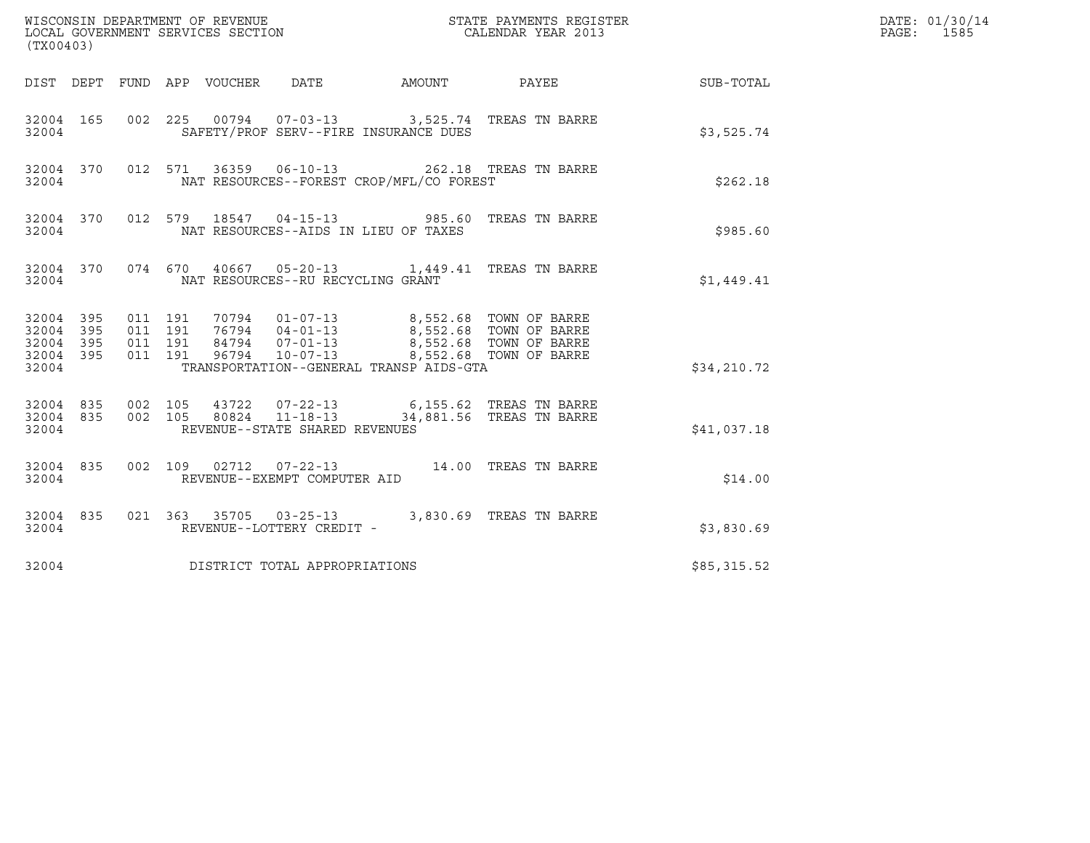| (TX00403)                                         |            |                                          |                                 |                                      |                                                                                                                                                                                                                         |                        | DATE: 01/30/14<br>PAGE: 1585 |
|---------------------------------------------------|------------|------------------------------------------|---------------------------------|--------------------------------------|-------------------------------------------------------------------------------------------------------------------------------------------------------------------------------------------------------------------------|------------------------|------------------------------|
|                                                   |            |                                          | DIST DEPT FUND APP VOUCHER DATE |                                      |                                                                                                                                                                                                                         | AMOUNT PAYEE SUB-TOTAL |                              |
| 32004 165<br>32004                                |            |                                          |                                 |                                      | 002 225 00794 07-03-13 3,525.74 TREAS TN BARRE<br>SAFETY/PROF SERV--FIRE INSURANCE DUES                                                                                                                                 | \$3,525.74             |                              |
| 32004 370<br>32004                                |            |                                          |                                 |                                      | 012 571 36359 06-10-13 262.18 TREAS TN BARRE<br>NAT RESOURCES--FOREST CROP/MFL/CO FOREST                                                                                                                                | \$262.18               |                              |
| 32004 370<br>32004                                |            |                                          |                                 | NAT RESOURCES--AIDS IN LIEU OF TAXES | 012 579 18547 04-15-13 985.60 TREAS TN BARRE                                                                                                                                                                            | \$985.60               |                              |
| 32004                                             |            |                                          |                                 | NAT RESOURCES--RU RECYCLING GRANT    | 32004 370 074 670 40667 05-20-13 1,449.41 TREAS TN BARRE                                                                                                                                                                | \$1,449.41             |                              |
| 32004 395<br>32004<br>32004<br>32004 395<br>32004 | 395<br>395 | 011 191<br>011 191<br>011 191<br>011 191 |                                 |                                      | 70794  01-07-13  8,552.68  TOWN OF BARRE<br>76794  04-01-13  8,552.68  TOWN OF BARRE<br>84794  07-01-13  8,552.68  TOWN OF BARRE<br>96794  10-07-13  8,552.68  TOWN OF BARRE<br>TRANSPORTATION--GENERAL TRANSP AIDS-GTA | \$34,210.72            |                              |
| 32004 835<br>32004                                |            |                                          |                                 | REVENUE--STATE SHARED REVENUES       | 32004 835 002 105 43722 07-22-13 6,155.62 TREAS TN BARRE<br>32004 835 002 105 80824 11-18-13 34,881.56 TREAS TN BARRE                                                                                                   | \$41,037.18            |                              |
| 32004 835<br>32004                                |            |                                          |                                 | REVENUE--EXEMPT COMPUTER AID         | 002 109 02712 07-22-13 14.00 TREAS TN BARRE                                                                                                                                                                             | \$14.00                |                              |
| 32004 835<br>32004                                |            |                                          |                                 | REVENUE--LOTTERY CREDIT -            | 021 363 35705 03-25-13 3,830.69 TREAS TN BARRE                                                                                                                                                                          | \$3,830.69             |                              |
| 32004                                             |            |                                          |                                 | DISTRICT TOTAL APPROPRIATIONS        |                                                                                                                                                                                                                         | \$85,315.52            |                              |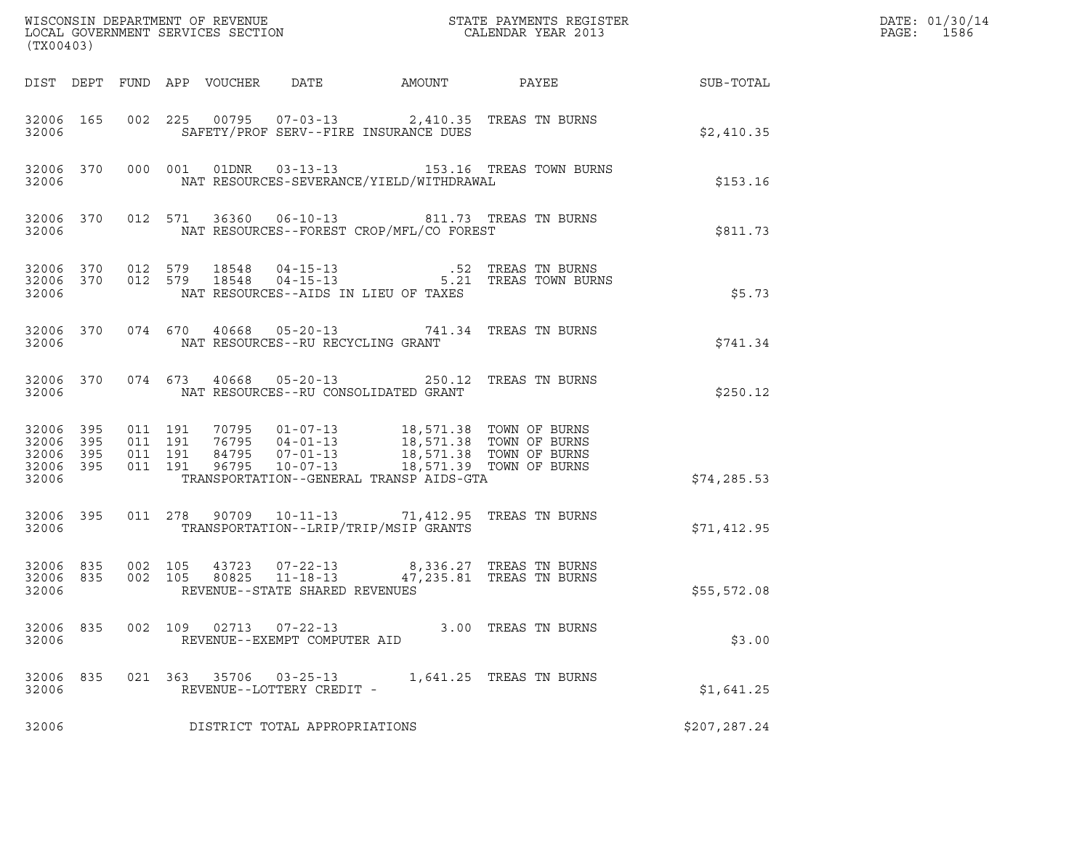| (TX00403)                                                 |     |                    |                    |                                 |                                                |                                                                                                                                                                                                                 | % WISCONSIN DEPARTMENT OF REVENUE $$\tt STATE~PAYMEMTS~REGISTER~LOCAL~GOVERNMENT~SERVICES~SECTION~CALENDAR~YEAR~2013$                                                                        |                        | DATE: 01/30/14<br>PAGE:<br>1586 |
|-----------------------------------------------------------|-----|--------------------|--------------------|---------------------------------|------------------------------------------------|-----------------------------------------------------------------------------------------------------------------------------------------------------------------------------------------------------------------|----------------------------------------------------------------------------------------------------------------------------------------------------------------------------------------------|------------------------|---------------------------------|
|                                                           |     |                    |                    | DIST DEPT FUND APP VOUCHER DATE |                                                |                                                                                                                                                                                                                 |                                                                                                                                                                                              | AMOUNT PAYEE SUB-TOTAL |                                 |
| 32006                                                     |     |                    |                    |                                 |                                                | 32006 165 002 225 00795 07-03-13 2,410.35 TREAS TN BURNS<br>SAFETY/PROF SERV--FIRE INSURANCE DUES                                                                                                               |                                                                                                                                                                                              | \$2,410.35             |                                 |
| 32006                                                     |     |                    |                    |                                 |                                                | NAT RESOURCES-SEVERANCE/YIELD/WITHDRAWAL                                                                                                                                                                        | 32006 370 000 001 01DNR 03-13-13 153.16 TREAS TOWN BURNS                                                                                                                                     | \$153.16               |                                 |
| 32006                                                     |     |                    |                    |                                 |                                                | 32006 370 012 571 36360 06-10-13 811.73 TREAS TN BURNS<br>NAT RESOURCES--FOREST CROP/MFL/CO FOREST                                                                                                              |                                                                                                                                                                                              | \$811.73               |                                 |
| 32006                                                     |     |                    |                    |                                 |                                                | NAT RESOURCES--AIDS IN LIEU OF TAXES                                                                                                                                                                            | $\begin{array}{cccccc} 32006 & 370 & 012 & 579 & 18548 & 04-15-13 & .52 & \text{TREAS TN BURNS} \\ 32006 & 370 & 012 & 579 & 18548 & 04-15-13 & .5.21 & \text{TREAS TOWN BURNS} \end{array}$ | \$5.73                 |                                 |
| 32006                                                     |     |                    |                    |                                 | NAT RESOURCES--RU RECYCLING GRANT              | 32006 370 074 670 40668 05-20-13 741.34 TREAS TN BURNS                                                                                                                                                          |                                                                                                                                                                                              | \$741.34               |                                 |
| 32006                                                     |     |                    |                    |                                 |                                                | 32006 370 074 673 40668 05-20-13 250.12 TREAS TN BURNS<br>NAT RESOURCES--RU CONSOLIDATED GRANT                                                                                                                  |                                                                                                                                                                                              | \$250.12               |                                 |
| 32006 395<br>32006 395<br>32006 395<br>32006 395<br>32006 |     | 011 191<br>011 191 | 011 191<br>011 191 |                                 |                                                | 70795 01-07-13 18,571.38 TOWN OF BURNS<br>76795 04-01-13 18,571.38 TOWN OF BURNS<br>84795 07-01-13 18,571.38 TOWN OF BURNS<br>96795 10-07-13 18,571.39 TOWN OF BURNS<br>TRANSPORTATION--GENERAL TRANSP AIDS-GTA |                                                                                                                                                                                              | \$74, 285.53           |                                 |
| 32006 395<br>32006                                        |     |                    |                    |                                 |                                                | 011  278  90709  10-11-13  71,412.95  TREAS TN BURNS<br>TRANSPORTATION--LRIP/TRIP/MSIP GRANTS                                                                                                                   |                                                                                                                                                                                              | \$71,412.95            |                                 |
| 32006                                                     |     |                    |                    |                                 | REVENUE--STATE SHARED REVENUES                 | $\begin{array}{cccccc} 32006 & 835 & 002 & 105 & 43723 & 07-22-13 & & & 8,336.27 & \text{TREAS TN BURNS} \\ 32006 & 835 & 002 & 105 & 80825 & 11-18-13 & & & 47,235.81 & \text{TREAS TN BURNS} \end{array}$     |                                                                                                                                                                                              | \$55,572.08            |                                 |
| 32006 835<br>32006                                        |     | 002 109            |                    | 02713                           | $07 - 22 - 13$<br>REVENUE--EXEMPT COMPUTER AID |                                                                                                                                                                                                                 | 3.00 TREAS TN BURNS                                                                                                                                                                          | \$3.00                 |                                 |
| 32006<br>32006                                            | 835 |                    | 021 363            | 35706                           | $03 - 25 - 13$<br>REVENUE--LOTTERY CREDIT -    |                                                                                                                                                                                                                 | 1,641.25 TREAS TN BURNS                                                                                                                                                                      | \$1,641.25             |                                 |
| 32006                                                     |     |                    |                    |                                 | DISTRICT TOTAL APPROPRIATIONS                  |                                                                                                                                                                                                                 |                                                                                                                                                                                              | \$207,287.24           |                                 |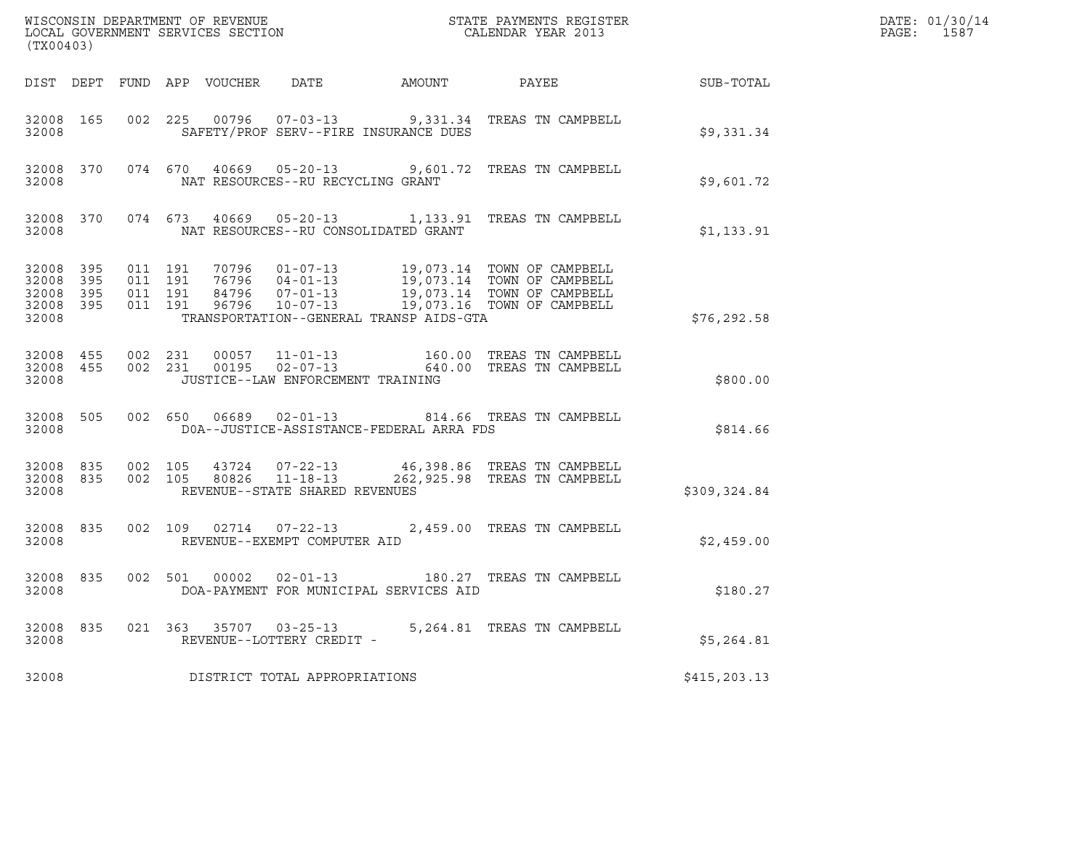| (TX00403)                                                 |  |  |                                            | $\tt WISCONSIM DEPARTMENT OF REVENUE$ $\tt WISCONMIN S REGISTER$ $\tt LOCAL BONERNMENT$ $SERVICES$ $SECTION$                                                                                                                                                                                 |              | DATE: 01/30/14<br>PAGE: 1587 |
|-----------------------------------------------------------|--|--|--------------------------------------------|----------------------------------------------------------------------------------------------------------------------------------------------------------------------------------------------------------------------------------------------------------------------------------------------|--------------|------------------------------|
|                                                           |  |  |                                            | DIST DEPT FUND APP VOUCHER DATE AMOUNT PAYEE TO SUB-TOTAL                                                                                                                                                                                                                                    |              |                              |
| 32008                                                     |  |  | SAFETY/PROF SERV--FIRE INSURANCE DUES      | 32008 165 002 225 00796 07-03-13 9,331.34 TREAS TN CAMPBELL                                                                                                                                                                                                                                  | \$9,331.34   |                              |
| 32008                                                     |  |  | NAT RESOURCES--RU RECYCLING GRANT          | 32008 370 074 670 40669 05-20-13 9,601.72 TREAS TN CAMPBELL                                                                                                                                                                                                                                  | \$9,601.72   |                              |
|                                                           |  |  | 32008 NAT RESOURCES--RU CONSOLIDATED GRANT | 32008 370 074 673 40669 05-20-13 1,133.91 TREAS TN CAMPBELL                                                                                                                                                                                                                                  | \$1,133.91   |                              |
| 32008 395<br>32008 395<br>32008 395<br>32008 395<br>32008 |  |  | TRANSPORTATION--GENERAL TRANSP AIDS-GTA    | $\begin{array}{cccccc} 011 & 191 & 70796 & 01-07-13 & 19,073.14 & TOWN OF CAMPBELL \\ 011 & 191 & 76796 & 04-01-13 & 19,073.14 & TOWN OF CAMPBELL \\ 011 & 191 & 84796 & 07-01-13 & 19,073.14 & TOWN OF CAMPBELL \\ 011 & 191 & 96796 & 10-07-13 & 19,073.16 & TOWN OF CAMPBELL \end{array}$ | \$76, 292.58 |                              |
| 32008                                                     |  |  | JUSTICE--LAW ENFORCEMENT TRAINING          | $\begin{array}{cccccc} 32008 & 455 & 002 & 231 & 00057 & 11-01-13 & & 160.00 & \text{TREAS TN CAMPBELL} \\ 32008 & 455 & 002 & 231 & 00195 & 02-07-13 & & 640.00 & \text{TREAS TN CAMPBELL} \end{array}$                                                                                     | \$800.00     |                              |
| 32008                                                     |  |  | DOA--JUSTICE-ASSISTANCE-FEDERAL ARRA FDS   | 32008 505 002 650 06689 02-01-13 814.66 TREAS TN CAMPBELL                                                                                                                                                                                                                                    | \$814.66     |                              |
| 32008 835<br>32008                                        |  |  | REVENUE--STATE SHARED REVENUES             | 32008 835 002 105 43724 07-22-13 46,398.86 TREAS TN CAMPBELL<br>002 105 80826 11-18-13 262,925.98 TREAS TN CAMPBELL                                                                                                                                                                          | \$309,324.84 |                              |
| 32008 835<br>32008                                        |  |  | REVENUE--EXEMPT COMPUTER AID               | 002 109 02714 07-22-13 2,459.00 TREAS TN CAMPBELL                                                                                                                                                                                                                                            | \$2,459.00   |                              |
| 32008 835<br>32008                                        |  |  | DOA-PAYMENT FOR MUNICIPAL SERVICES AID     | 002 501 00002 02-01-13 180.27 TREAS TN CAMPBELL                                                                                                                                                                                                                                              | \$180.27     |                              |
| 32008                                                     |  |  | REVENUE--LOTTERY CREDIT -                  | 32008 835 021 363 35707 03-25-13 5,264.81 TREAS TN CAMPBELL                                                                                                                                                                                                                                  | \$5,264.81   |                              |
| 32008                                                     |  |  | DISTRICT TOTAL APPROPRIATIONS              |                                                                                                                                                                                                                                                                                              | \$415,203.13 |                              |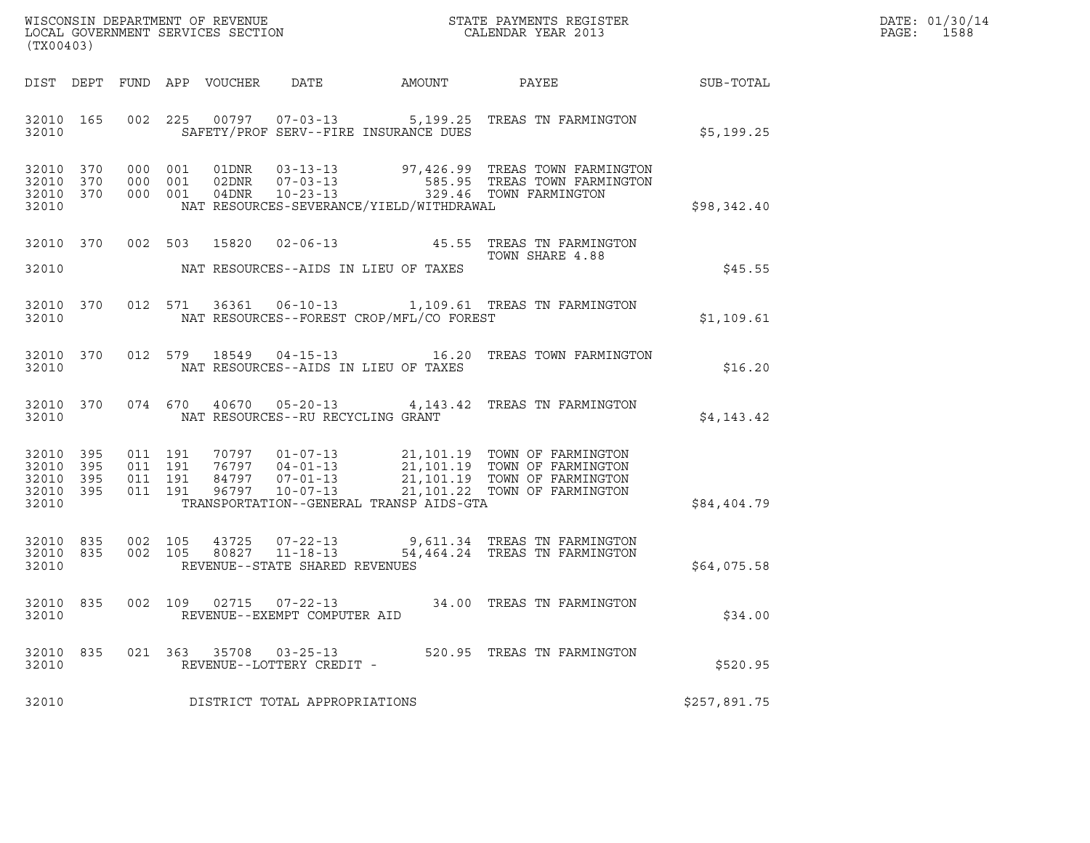| WISCONSIN DEPARTMENT OF REVENUE   | STATE PAYMENTS REGISTER | DATE: 01/30/14 |
|-----------------------------------|-------------------------|----------------|
| LOCAL GOVERNMENT SERVICES SECTION | CALENDAR YEAR 2013      | 1588<br>PAGE : |

| (TX00403)          |  | WISCONSIN DEPARTMENT OF REVENUE<br>LOCAL GOVERNMENT SERVICES SECTION THE SERVICES OF CALENDAR YEAR 2013 |                                             | DATE: 01/30/14<br>PAGE: 1588                   |                                                                                                                                                                                                                                                                                                               |              |  |
|--------------------|--|---------------------------------------------------------------------------------------------------------|---------------------------------------------|------------------------------------------------|---------------------------------------------------------------------------------------------------------------------------------------------------------------------------------------------------------------------------------------------------------------------------------------------------------------|--------------|--|
|                    |  |                                                                                                         |                                             |                                                | DIST DEPT FUND APP VOUCHER DATE AMOUNT PAYEE PAYER SUB-TOTAL                                                                                                                                                                                                                                                  |              |  |
| 32010              |  |                                                                                                         |                                             | SAFETY/PROF SERV--FIRE INSURANCE DUES          | 32010 165 002 225 00797 07-03-13 5,199.25 TREAS TN FARMINGTON                                                                                                                                                                                                                                                 | \$5,199.25   |  |
| 32010              |  |                                                                                                         |                                             |                                                | NAT RESOURCES-SEVERANCE/YIELD/WITHDRAWAL                                                                                                                                                                                                                                                                      | \$98,342.40  |  |
|                    |  |                                                                                                         |                                             | 32010 NAT RESOURCES--AIDS IN LIEU OF TAXES     | 32010 370 002 503 15820 02-06-13 45.55 TREAS TN FARMINGTON<br>TOWN SHARE 4.88                                                                                                                                                                                                                                 | \$45.55      |  |
|                    |  |                                                                                                         |                                             | 32010 NAT RESOURCES--FOREST CROP/MFL/CO FOREST | 32010 370 012 571 36361 06-10-13 1,109.61 TREAS TN FARMINGTON                                                                                                                                                                                                                                                 | \$1,109.61   |  |
|                    |  |                                                                                                         |                                             | 32010 NAT RESOURCES--AIDS IN LIEU OF TAXES     | 32010 370 012 579 18549 04-15-13 16.20 TREAS TOWN FARMINGTON                                                                                                                                                                                                                                                  | \$16.20      |  |
|                    |  |                                                                                                         | 32010 NAT RESOURCES--RU RECYCLING GRANT     |                                                | 32010 370 074 670 40670 05-20-13 4,143.42 TREAS TN FARMINGTON                                                                                                                                                                                                                                                 | \$4,143.42   |  |
| 32010              |  |                                                                                                         |                                             | TRANSPORTATION--GENERAL TRANSP AIDS-GTA        | $\begin{tabular}{cccccc} 32010 & 395 & 011 & 191 & 70797 & 01-07-13 & 21,101.19 & TOMN OF FARMINGTON \\ 32010 & 395 & 011 & 191 & 76797 & 04-01-13 & 21,101.19 & TOMN OF FARMINGTON \\ 32010 & 395 & 011 & 191 & 84797 & 07-01-13 & 21,101.19 & TOMN OF FARMINGTON \\ 32010 & 395 & 011 & 191 & 96797 & 10-0$ | \$84,404.79  |  |
| 32010              |  |                                                                                                         | REVENUE--STATE SHARED REVENUES              |                                                |                                                                                                                                                                                                                                                                                                               | \$64,075.58  |  |
| 32010              |  |                                                                                                         | REVENUE--EXEMPT COMPUTER AID                |                                                | 32010 835 002 109 02715 07-22-13 34.00 TREAS TN FARMINGTON                                                                                                                                                                                                                                                    | \$34.00      |  |
| 32010 835<br>32010 |  | 021 363 35708                                                                                           | $03 - 25 - 13$<br>REVENUE--LOTTERY CREDIT - |                                                | 520.95 TREAS TN FARMINGTON                                                                                                                                                                                                                                                                                    | \$520.95     |  |
| 32010              |  |                                                                                                         | DISTRICT TOTAL APPROPRIATIONS               |                                                |                                                                                                                                                                                                                                                                                                               | \$257,891.75 |  |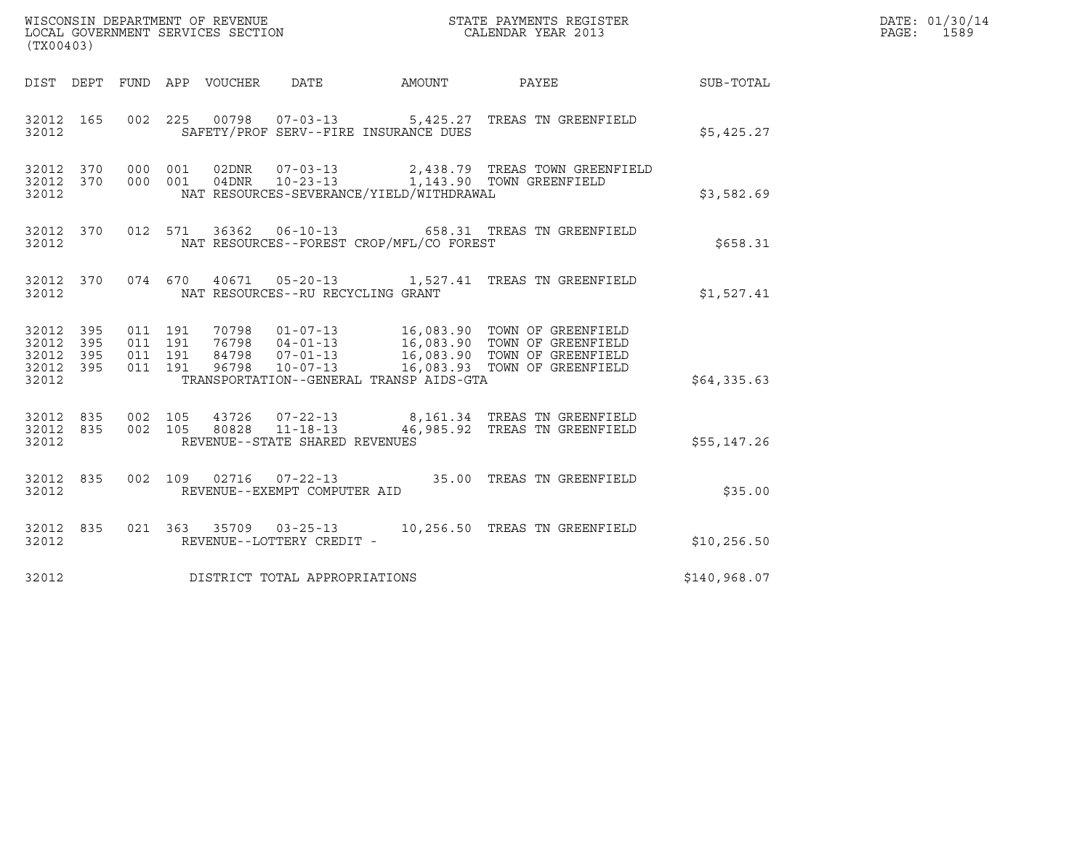| (TX00403)                                             |     |                                          |                            |                                          |                                                                                                                                                                                                                       |              | DATE: 01/30/14<br>$\mathtt{PAGE:}$<br>1589 |
|-------------------------------------------------------|-----|------------------------------------------|----------------------------|------------------------------------------|-----------------------------------------------------------------------------------------------------------------------------------------------------------------------------------------------------------------------|--------------|--------------------------------------------|
|                                                       |     |                                          | DIST DEPT FUND APP VOUCHER | DATE                                     | AMOUNT PAYEE SUB-TOTAL                                                                                                                                                                                                |              |                                            |
| 32012 165<br>32012                                    |     |                                          |                            | SAFETY/PROF SERV--FIRE INSURANCE DUES    | 002 225 00798 07-03-13 5,425.27 TREAS TN GREENFIELD                                                                                                                                                                   | \$5,425.27   |                                            |
| 32012 370<br>32012                                    |     | 32012 370 000 001                        |                            | NAT RESOURCES-SEVERANCE/YIELD/WITHDRAWAL | 000 001 02DNR 07-03-13 2,438.79 TREAS TOWN GREENFIELD 000 001 04DNR 10-23-13 1,143.90 TOWN GREENFIELD                                                                                                                 | \$3,582.69   |                                            |
| 32012 370<br>32012                                    |     |                                          |                            | NAT RESOURCES--FOREST CROP/MFL/CO FOREST | 012 571 36362 06-10-13 658.31 TREAS TN GREENFIELD                                                                                                                                                                     | \$658.31     |                                            |
| 32012 370<br>32012                                    |     |                                          |                            | NAT RESOURCES--RU RECYCLING GRANT        | 074 670 40671 05-20-13 1,527.41 TREAS TN GREENFIELD                                                                                                                                                                   | \$1,527.41   |                                            |
| 32012 395<br>32012<br>32012 395<br>32012 395<br>32012 | 395 | 011 191<br>011 191<br>011 191<br>011 191 |                            | TRANSPORTATION--GENERAL TRANSP AIDS-GTA  | 70798  01-07-13  16,083.90 TOWN OF GREENFIELD<br>76798  04-01-13  16,083.90 TOWN OF GREENFIELD<br>84798  07-01-13  16,083.90 TOWN OF GREENFIELD<br>96798  10-07-13                 ______16,083.93 TOWN OF GREENFIELD | \$64,335.63  |                                            |
| 32012 835<br>32012 835<br>32012                       |     |                                          |                            | REVENUE--STATE SHARED REVENUES           | 002 105  43726  07-22-13  8,161.34 TREAS TN GREENFIELD<br>002  105  80828  11-18-13  46,985.92 TREAS TN GREENFIELD                                                                                                    | \$55,147.26  |                                            |
| 32012 835<br>32012                                    |     |                                          |                            | REVENUE--EXEMPT COMPUTER AID             | 002 109 02716 07-22-13 35.00 TREAS TN GREENFIELD                                                                                                                                                                      | \$35.00      |                                            |
| 32012 835<br>32012                                    |     |                                          |                            | REVENUE--LOTTERY CREDIT -                | 021  363  35709  03-25-13  10,256.50  TREAS TN GREENFIELD                                                                                                                                                             | \$10, 256.50 |                                            |
| 32012                                                 |     |                                          |                            | DISTRICT TOTAL APPROPRIATIONS            |                                                                                                                                                                                                                       | \$140,968.07 |                                            |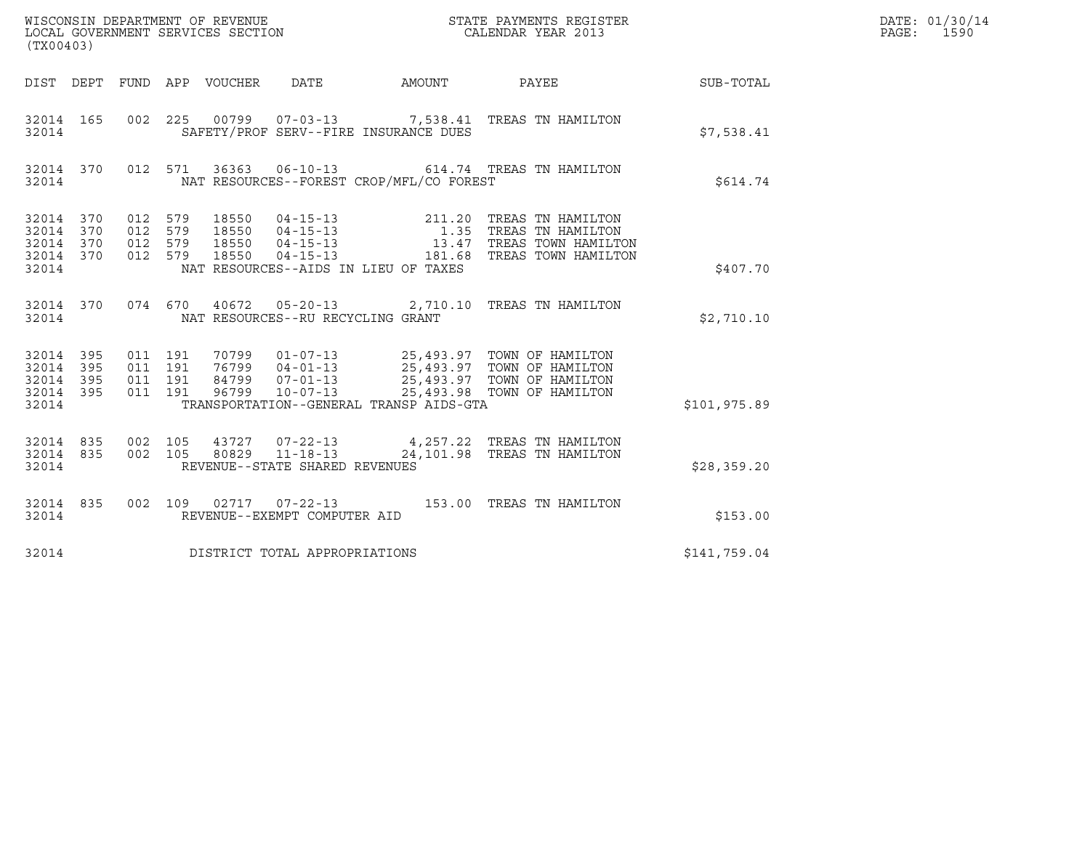| (TX00403)                                             |           |                                          |         |                                 | WISCONSIN DEPARTMENT OF REVENUE<br>LOCAL GOVERNMENT SERVICES SECTION |                                          | STATE PAYMENTS REGISTER<br>CALENDAR YEAR 2013                                                                                                                                                |              | DATE: 01/30/14<br>PAGE: 1590 |
|-------------------------------------------------------|-----------|------------------------------------------|---------|---------------------------------|----------------------------------------------------------------------|------------------------------------------|----------------------------------------------------------------------------------------------------------------------------------------------------------------------------------------------|--------------|------------------------------|
|                                                       |           |                                          |         | DIST DEPT FUND APP VOUCHER DATE |                                                                      |                                          | AMOUNT PAYEE SUB-TOTAL                                                                                                                                                                       |              |                              |
| 32014 165<br>32014                                    |           |                                          |         |                                 |                                                                      | SAFETY/PROF SERV--FIRE INSURANCE DUES    | 002 225 00799 07-03-13 7,538.41 TREAS TN HAMILTON                                                                                                                                            | \$7,538.41   |                              |
| 32014                                                 | 32014 370 |                                          |         |                                 |                                                                      | NAT RESOURCES--FOREST CROP/MFL/CO FOREST | 012 571 36363 06-10-13 614.74 TREAS TN HAMILTON                                                                                                                                              | \$614.74     |                              |
| 32014 370<br>32014 370<br>32014<br>32014 370<br>32014 | 370       | 012 579<br>012 579<br>012 579<br>012 579 |         | 18550                           |                                                                      | NAT RESOURCES--AIDS IN LIEU OF TAXES     | 18550  04-15-13  211.20 TREAS TN HAMILTON<br>18550  04-15-13   1.35 TREAS TN HAMILTON<br>18550  04-15-13   13.47 TREAS TOWN HAMILTON<br>18550  04-15-13   181.68 TREAS TOWN HAMILTON         | \$407.70     |                              |
| 32014                                                 | 32014 370 |                                          |         |                                 | NAT RESOURCES--RU RECYCLING GRANT                                    |                                          | 074 670 40672 05-20-13 2,710.10 TREAS TN HAMILTON                                                                                                                                            | \$2,710.10   |                              |
| 32014 395<br>32014<br>32014 395<br>32014 395<br>32014 | 395       | 011 191<br>011 191<br>011 191<br>011 191 |         |                                 |                                                                      | TRANSPORTATION--GENERAL TRANSP AIDS-GTA  | 70799  01-07-13  25,493.97  TOWN OF HAMILTON<br>76799  04-01-13  25,493.97  TOWN OF HAMILTON<br>84799  07-01-13  25,493.97  TOWN OF HAMILTON<br>96799  10-07-13  25,493.98  TOWN OF HAMILTON | \$101,975.89 |                              |
| 32014 835<br>32014                                    | 32014 835 | 002 105                                  | 002 105 |                                 | REVENUE--STATE SHARED REVENUES                                       |                                          | 43727  07-22-13  4,257.22  TREAS TN HAMILTON<br>80829  11-18-13  24,101.98  TREAS TN HAMILTON                                                                                                | \$28,359.20  |                              |
| 32014 835<br>32014                                    |           |                                          |         |                                 | REVENUE--EXEMPT COMPUTER AID                                         |                                          | 002 109 02717 07-22-13 153.00 TREAS TN HAMILTON                                                                                                                                              | \$153.00     |                              |
| 32014                                                 |           |                                          |         |                                 | DISTRICT TOTAL APPROPRIATIONS                                        |                                          |                                                                                                                                                                                              | \$141,759.04 |                              |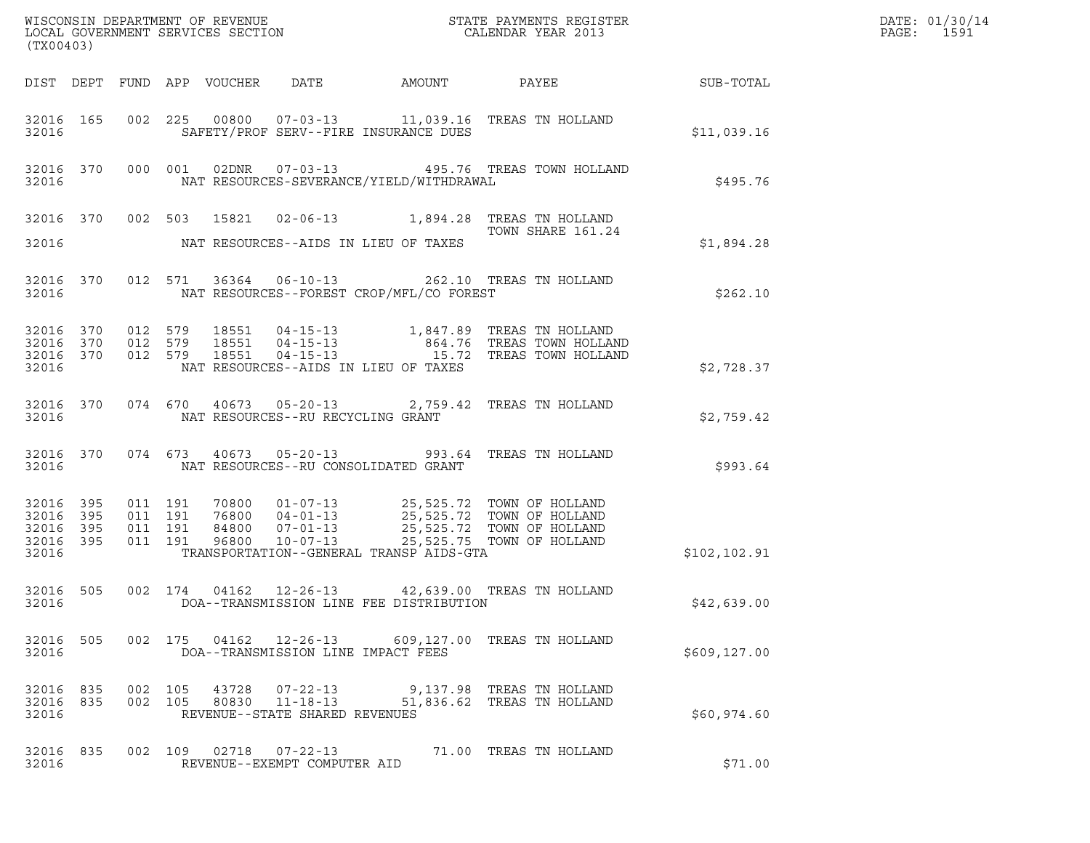| ${\tt WISCONSIM\ DEPARTMENT\ OF\ REVENUE}\qquad \qquad {\tt STATE\ PAYMENTS\ REGISTER} \\ {\tt LOCAL\ GOVERNMENT\ SERVICES\ SECTION}\qquad \qquad {\tt CALENDAR\ YEAR\ 2013}$<br>(TX00403) |           |                               |         |                                 |                                                        |                                          |                                                                                                                                                               |                 | DATE: 01/30/14<br>PAGE:<br>1591 |
|--------------------------------------------------------------------------------------------------------------------------------------------------------------------------------------------|-----------|-------------------------------|---------|---------------------------------|--------------------------------------------------------|------------------------------------------|---------------------------------------------------------------------------------------------------------------------------------------------------------------|-----------------|---------------------------------|
|                                                                                                                                                                                            |           |                               |         | DIST DEPT FUND APP VOUCHER DATE |                                                        | AMOUNT                                   |                                                                                                                                                               | PAYEE SUB-TOTAL |                                 |
| 32016                                                                                                                                                                                      | 32016 165 |                               |         |                                 |                                                        | SAFETY/PROF SERV--FIRE INSURANCE DUES    | 002 225 00800 07-03-13 11,039.16 TREAS TN HOLLAND                                                                                                             | \$11,039.16     |                                 |
| 32016                                                                                                                                                                                      | 32016 370 |                               |         |                                 |                                                        | NAT RESOURCES-SEVERANCE/YIELD/WITHDRAWAL | 000 001 02DNR  07-03-13  495.76 TREAS TOWN HOLLAND                                                                                                            | \$495.76        |                                 |
|                                                                                                                                                                                            |           |                               |         |                                 |                                                        |                                          | 32016 370 002 503 15821 02-06-13 1,894.28 TREAS TN HOLLAND<br>TOWN SHARE 161.24                                                                               |                 |                                 |
| 32016                                                                                                                                                                                      |           |                               |         |                                 |                                                        | NAT RESOURCES--AIDS IN LIEU OF TAXES     |                                                                                                                                                               | \$1,894.28      |                                 |
| 32016                                                                                                                                                                                      | 32016 370 |                               |         |                                 |                                                        | NAT RESOURCES--FOREST CROP/MFL/CO FOREST | 012 571 36364 06-10-13 262.10 TREAS TN HOLLAND                                                                                                                | \$262.10        |                                 |
| 32016 370<br>32016 370<br>32016                                                                                                                                                            | 32016 370 | 012 579<br>012 579<br>012 579 |         |                                 |                                                        | NAT RESOURCES--AIDS IN LIEU OF TAXES     | 18551    04-15-13    1,847.89    TREAS TN HOLLAND<br>18551    04-15-13    1,847.89    TREAS TOWN HOLLAND<br>18551    04-15-13    15.72    TREAS TOWN HOLLAND  | \$2,728.37      |                                 |
| 32016                                                                                                                                                                                      | 32016 370 |                               |         |                                 | NAT RESOURCES--RU RECYCLING GRANT                      |                                          | 074 670 40673 05-20-13 2,759.42 TREAS TN HOLLAND                                                                                                              | \$2,759.42      |                                 |
| 32016                                                                                                                                                                                      | 32016 370 |                               | 074 673 |                                 |                                                        | NAT RESOURCES--RU CONSOLIDATED GRANT     | 40673  05-20-13  993.64  TREAS TN HOLLAND                                                                                                                     | \$993.64        |                                 |
| 32016<br>32016 395<br>32016 395<br>32016 395<br>32016                                                                                                                                      | 395       | 011 191<br>011 191<br>011 191 | 011 191 | 96800                           | $10 - 07 - 13$                                         | TRANSPORTATION--GENERAL TRANSP AIDS-GTA  | 70800 01-07-13 25,525.72 TOWN OF HOLLAND<br>76800 04-01-13 25,525.72 TOWN OF HOLLAND<br>84800 07-01-13 25,525.72 TOWN OF HOLLAND<br>25,525.75 TOWN OF HOLLAND | \$102,102.91    |                                 |
| 32016 505<br>32016                                                                                                                                                                         |           |                               |         |                                 |                                                        | DOA--TRANSMISSION LINE FEE DISTRIBUTION  | 002 174 04162 12-26-13 42,639.00 TREAS TN HOLLAND                                                                                                             | \$42,639.00     |                                 |
| 32016                                                                                                                                                                                      | 32016 505 |                               |         |                                 | DOA--TRANSMISSION LINE IMPACT FEES                     |                                          | 002 175 04162 12-26-13 609,127.00 TREAS TN HOLLAND                                                                                                            | \$609, 127.00   |                                 |
| 32016 835<br>32016                                                                                                                                                                         |           | 32016 835 002 105             | 002 105 |                                 | 43728 07-22-13<br>REVENUE--STATE SHARED REVENUES       |                                          | 9,137.98 TREAS TN HOLLAND<br>80830  11-18-13  51,836.62  TREAS TN HOLLAND                                                                                     | \$60,974.60     |                                 |
| 32016 835<br>32016                                                                                                                                                                         |           |                               |         |                                 | 002 109 02718 07-22-13<br>REVENUE--EXEMPT COMPUTER AID |                                          | 71.00 TREAS TN HOLLAND                                                                                                                                        | \$71.00         |                                 |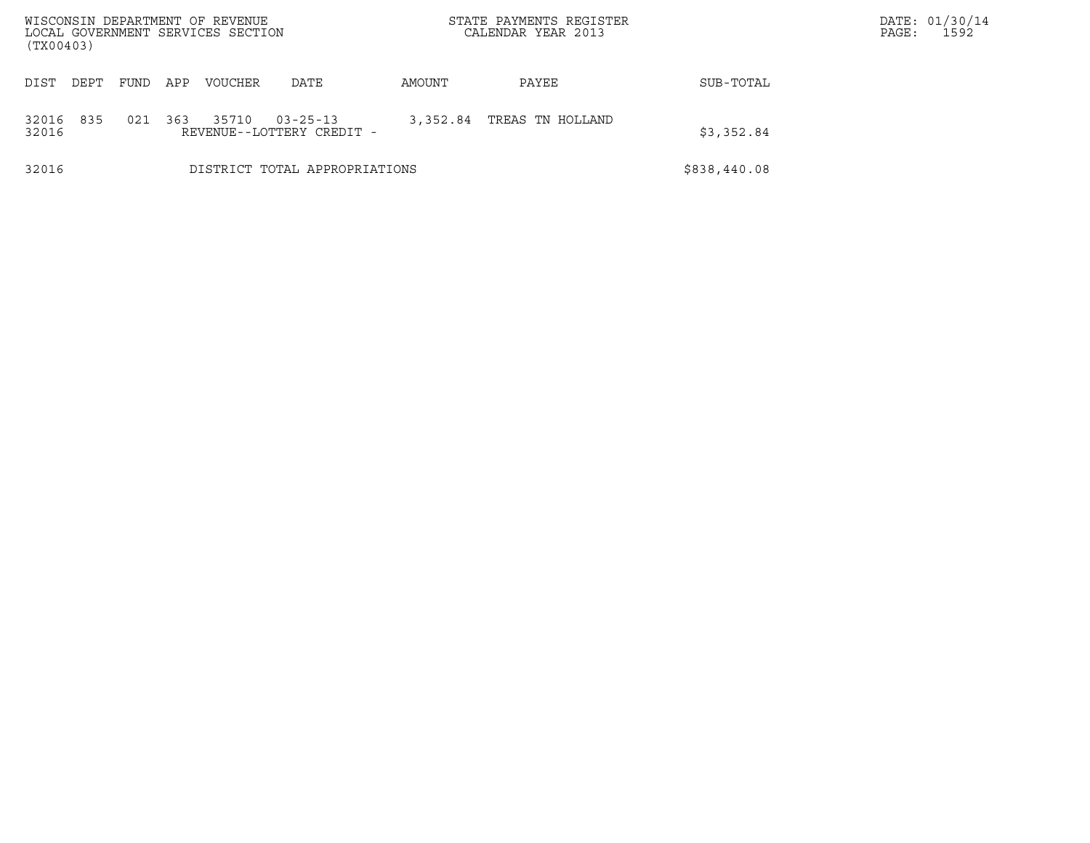| (TX00403)      |                                                                                       |      |     | WISCONSIN DEPARTMENT OF REVENUE<br>LOCAL GOVERNMENT SERVICES SECTION |                               |        | STATE PAYMENTS REGISTER<br>CALENDAR YEAR 2013 |              | DATE: 01/30/14<br>1592<br>PAGE: |
|----------------|---------------------------------------------------------------------------------------|------|-----|----------------------------------------------------------------------|-------------------------------|--------|-----------------------------------------------|--------------|---------------------------------|
| DIST           | DEPT                                                                                  | FUND | APP | <b>VOUCHER</b>                                                       | <b>DATE</b>                   | AMOUNT | PAYEE                                         | SUB-TOTAL    |                                 |
| 32016<br>32016 | 835<br>021<br>363<br>35710<br>3,352.84<br>$03 - 25 - 13$<br>REVENUE--LOTTERY CREDIT - |      |     |                                                                      |                               |        | TREAS TN HOLLAND                              | \$3,352.84   |                                 |
| 32016          |                                                                                       |      |     |                                                                      | DISTRICT TOTAL APPROPRIATIONS |        |                                               | \$838,440.08 |                                 |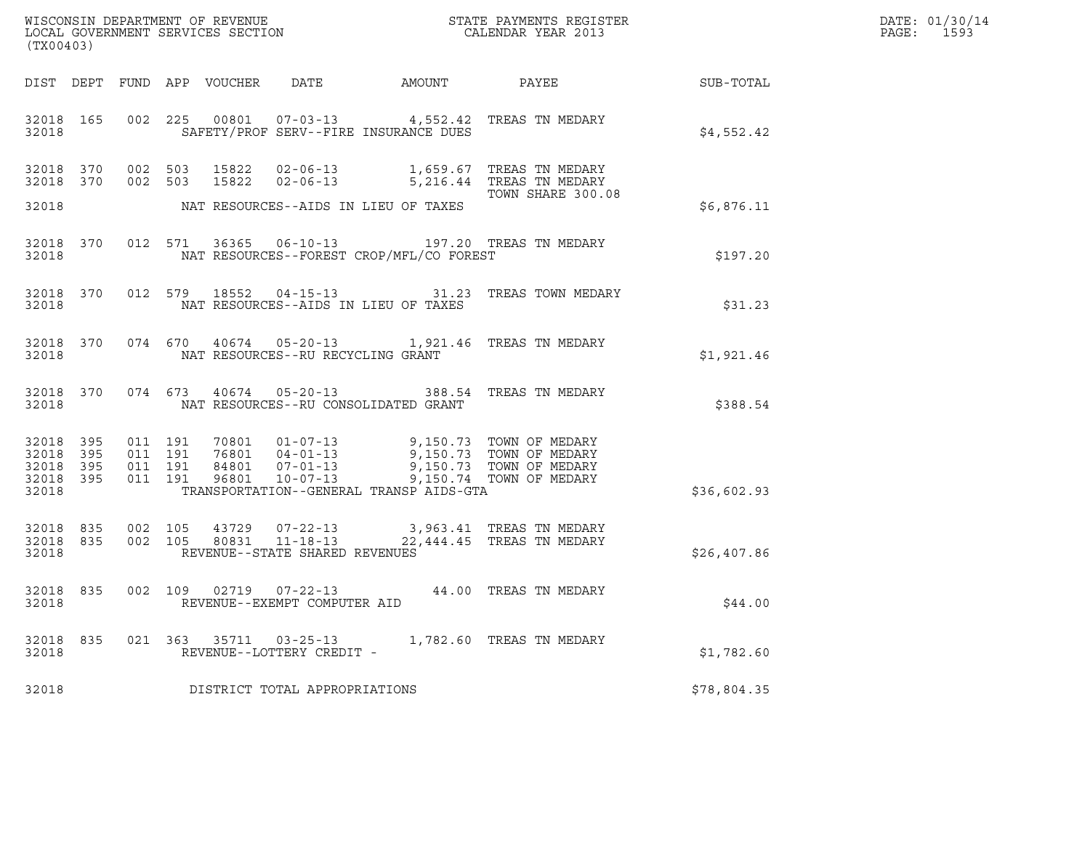| (TX00403)                                                 |     |                                          |  |                                                     |                                            | ${\tt WISCONSIM\ DEPARTMENT\ OF\ REVENUE}\qquad \qquad {\tt STATE\ PAYMENTS\ REGISTER} \\ {\tt LOCAL\ GOVERNMENT\ SERVICES\ SECTION}\qquad \qquad {\tt CALENDAR\ YEAR\ 2013}$                                                 |             | DATE: 01/30/14<br>PAGE: 1593 |
|-----------------------------------------------------------|-----|------------------------------------------|--|-----------------------------------------------------|--------------------------------------------|-------------------------------------------------------------------------------------------------------------------------------------------------------------------------------------------------------------------------------|-------------|------------------------------|
|                                                           |     |                                          |  |                                                     |                                            | DIST DEPT FUND APP VOUCHER DATE AMOUNT PAYEE TO SUB-TOTAL                                                                                                                                                                     |             |                              |
| 32018                                                     |     |                                          |  |                                                     | SAFETY/PROF SERV--FIRE INSURANCE DUES      | 32018 165 002 225 00801 07-03-13 4,552.42 TREAS TN MEDARY                                                                                                                                                                     | \$4,552.42  |                              |
|                                                           |     |                                          |  |                                                     | 32018 MAT RESOURCES--AIDS IN LIEU OF TAXES | $\begin{array}{cccccc} 32018 & 370 & 002 & 503 & 15822 & 02-06-13 & & 1,659.67 & \text{TREAS TN MEDARY} \\ 32018 & 370 & 002 & 503 & 15822 & 02-06-13 & & 5,216.44 & \text{TREAS TN MEDARY} \end{array}$<br>TOWN SHARE 300.08 | \$6,876.11  |                              |
| 32018                                                     |     |                                          |  |                                                     | NAT RESOURCES--FOREST CROP/MFL/CO FOREST   | 32018 370 012 571 36365 06-10-13 197.20 TREAS TN MEDARY                                                                                                                                                                       | \$197.20    |                              |
| 32018                                                     |     |                                          |  |                                                     | NAT RESOURCES--AIDS IN LIEU OF TAXES       | 32018 370 012 579 18552 04-15-13 31.23 TREAS TOWN MEDARY                                                                                                                                                                      | \$31.23     |                              |
|                                                           |     |                                          |  | 32018 NAT RESOURCES--RU RECYCLING GRANT             |                                            | 32018 370 074 670 40674 05-20-13 1,921.46 TREAS TN MEDARY                                                                                                                                                                     | \$1,921.46  |                              |
|                                                           |     |                                          |  |                                                     | 32018 MAT RESOURCES--RU CONSOLIDATED GRANT | 32018 370 074 673 40674 05-20-13 388.54 TREAS TN MEDARY                                                                                                                                                                       | \$388.54    |                              |
| 32018 395<br>32018 395<br>32018 395<br>32018 395<br>32018 |     | 011 191<br>011 191<br>011 191<br>011 191 |  |                                                     | TRANSPORTATION--GENERAL TRANSP AIDS-GTA    | 70801  01-07-13  9,150.73  TOWN OF MEDARY<br>76801  04-01-13  9,150.73  TOWN OF MEDARY<br>84801  07-01-13  9,150.73  TOWN OF MEDARY<br>96801  10-07-13  9,150.74  TOWN OF MEDARY                                              | \$36,602.93 |                              |
| 32018                                                     |     |                                          |  | REVENUE--STATE SHARED REVENUES                      |                                            | $\begin{array}{cccccc} 32018 & 835 & 002 & 105 & 43729 & 07-22-13 & & 3,963.41 & \text{TREAS TN MEDARY} \\ 32018 & 835 & 002 & 105 & 80831 & 11-18-13 & & 22,444.45 & \text{TREAS TN MEDARY} \end{array}$                     | \$26,407.86 |                              |
| 32018                                                     |     |                                          |  | REVENUE--EXEMPT COMPUTER AID                        |                                            | 32018 835 002 109 02719 07-22-13 44.00 TREAS TN MEDARY                                                                                                                                                                        | \$44.00     |                              |
| 32018<br>32018                                            | 835 |                                          |  | 021 363 35711 03-25-13<br>REVENUE--LOTTERY CREDIT - |                                            | 1,782.60 TREAS TN MEDARY                                                                                                                                                                                                      | \$1,782.60  |                              |
| 32018                                                     |     |                                          |  | DISTRICT TOTAL APPROPRIATIONS                       |                                            |                                                                                                                                                                                                                               | \$78,804.35 |                              |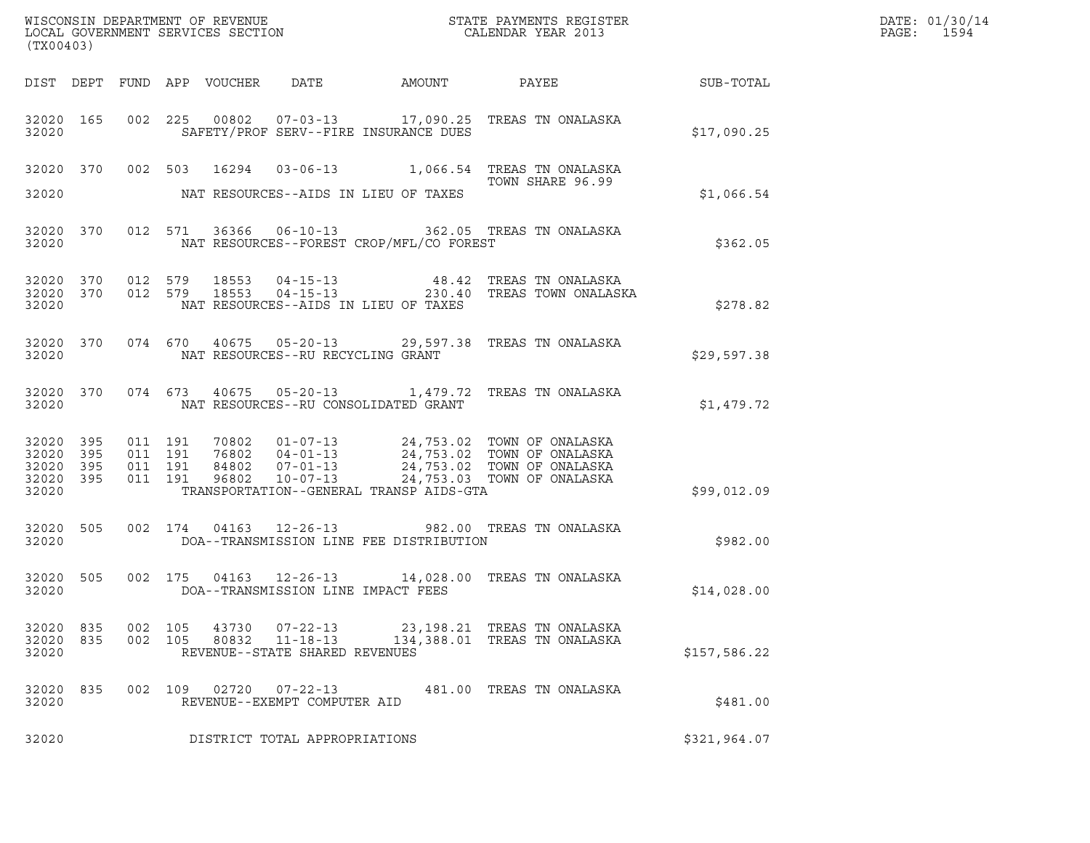| (TX00403)                                                 |                    |         |       |                                                  |                                            |                                                                                                                                                                                                                                                                                                                                                               |              | DATE: 01/30/14<br>PAGE: 1594 |
|-----------------------------------------------------------|--------------------|---------|-------|--------------------------------------------------|--------------------------------------------|---------------------------------------------------------------------------------------------------------------------------------------------------------------------------------------------------------------------------------------------------------------------------------------------------------------------------------------------------------------|--------------|------------------------------|
|                                                           |                    |         |       |                                                  |                                            |                                                                                                                                                                                                                                                                                                                                                               |              |                              |
| 32020                                                     |                    |         |       |                                                  | SAFETY/PROF SERV--FIRE INSURANCE DUES      | 32020 165 002 225 00802 07-03-13 17,090.25 TREAS TN ONALASKA                                                                                                                                                                                                                                                                                                  | \$17,090.25  |                              |
|                                                           |                    |         |       |                                                  | 32020 NAT RESOURCES--AIDS IN LIEU OF TAXES | 32020 370 002 503 16294 03-06-13 1,066.54 TREAS TN ONALASKA<br>TOWN SHARE 96.99                                                                                                                                                                                                                                                                               | \$1,066.54   |                              |
| 32020                                                     |                    |         |       |                                                  | NAT RESOURCES--FOREST CROP/MFL/CO FOREST   | 32020 370 012 571 36366 06-10-13 362.05 TREAS TN ONALASKA                                                                                                                                                                                                                                                                                                     | \$362.05     |                              |
| 32020                                                     |                    |         |       |                                                  | NAT RESOURCES--AIDS IN LIEU OF TAXES       | $32020$ $370$ $012$ $579$ $18553$ $04-15-13$ $48.42$ TREAS TN ONALASKA<br>$32020$ $370$ $012$ $579$ $18553$ $04-15-13$ $230.40$ TREAS TOWN ONALASKA                                                                                                                                                                                                           | \$278.82     |                              |
|                                                           |                    |         |       | 32020 NAT RESOURCES--RU RECYCLING GRANT          |                                            | 32020 370 074 670 40675 05-20-13 29,597.38 TREAS TN ONALASKA                                                                                                                                                                                                                                                                                                  | \$29,597.38  |                              |
|                                                           |                    |         |       |                                                  | 32020 NAT RESOURCES--RU CONSOLIDATED GRANT | 32020 370 074 673 40675 05-20-13 1,479.72 TREAS TN ONALASKA                                                                                                                                                                                                                                                                                                   | \$1,479.72   |                              |
| 32020 395<br>32020 395<br>32020 395<br>32020 395<br>32020 |                    |         |       |                                                  | TRANSPORTATION--GENERAL TRANSP AIDS-GTA    | $\begin{array}{cccccc} 011 & 191 & 70802 & 01\texttt{-}07\texttt{-}13 & 24\texttt{,}753.02 & \texttt{TOWN OF ONALASKA} \\ 011 & 191 & 76802 & 04\texttt{-}01\texttt{-}13 & 24\texttt{,}753.02 & \texttt{TOWN OF ONALASKA} \\ 011 & 191 & 84802 & 07\texttt{-}01\texttt{-}13 & 24\texttt{,}753.02 & \texttt{TOWN OF ONALLASKA} \\ 011 & 191 & 96802 & 10\text$ | \$99,012.09  |                              |
| 32020                                                     |                    |         |       |                                                  | DOA--TRANSMISSION LINE FEE DISTRIBUTION    | 32020 505 002 174 04163 12-26-13 982.00 TREAS TN ONALASKA                                                                                                                                                                                                                                                                                                     | \$982.00     |                              |
| 32020                                                     |                    |         |       |                                                  | DOA--TRANSMISSION LINE IMPACT FEES         | 32020 505 002 175 04163 12-26-13 14,028.00 TREAS TN ONALASKA                                                                                                                                                                                                                                                                                                  | \$14,028.00  |                              |
| 32020 835<br>32020 835<br>32020                           | 002 105<br>002 105 |         | 80832 | $11 - 18 - 13$<br>REVENUE--STATE SHARED REVENUES |                                            | 43730  07-22-13  23,198.21  TREAS TN ONALASKA<br>134,388.01 TREAS TN ONALASKA                                                                                                                                                                                                                                                                                 | \$157,586.22 |                              |
| 32020 835<br>32020                                        |                    | 002 109 | 02720 | $07 - 22 - 13$<br>REVENUE--EXEMPT COMPUTER AID   |                                            | 481.00 TREAS TN ONALASKA                                                                                                                                                                                                                                                                                                                                      | \$481.00     |                              |
| 32020                                                     |                    |         |       | DISTRICT TOTAL APPROPRIATIONS                    |                                            |                                                                                                                                                                                                                                                                                                                                                               | \$321,964.07 |                              |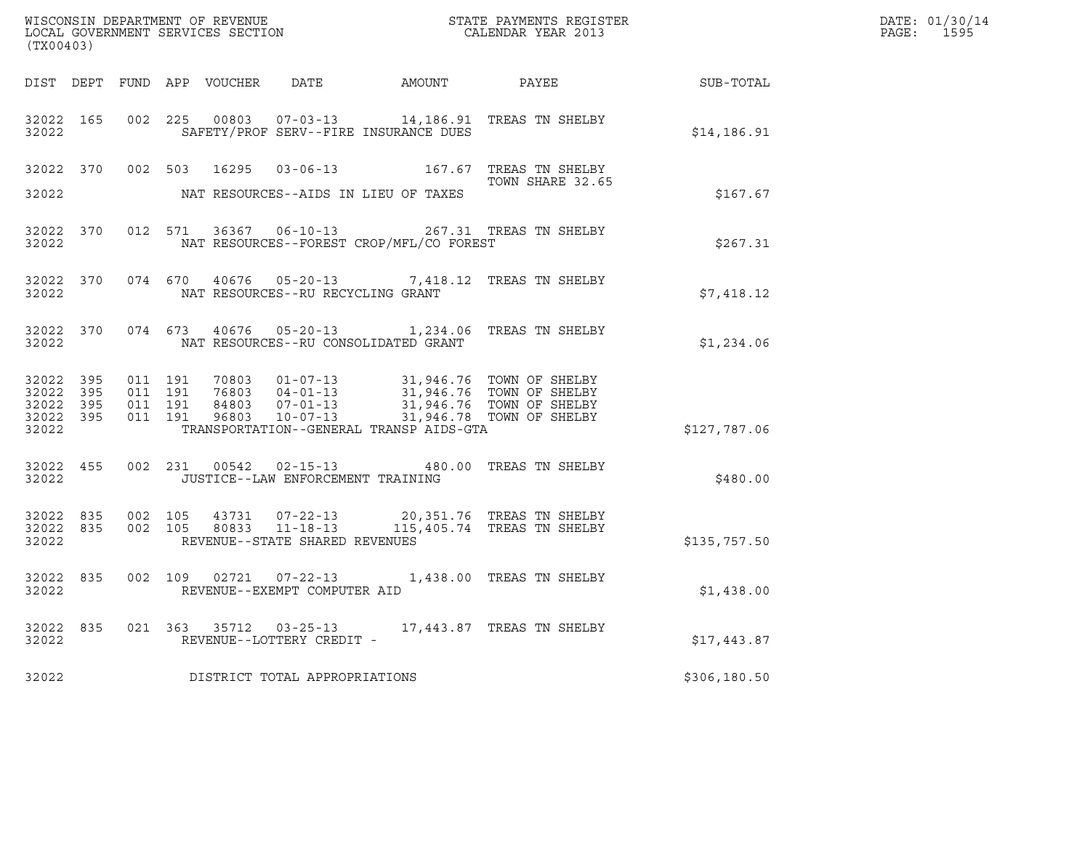| (TX00403)                                                 |           |         |                               |                                   |                                            |                                                                                                                                                                                      |              | DATE: 01/30/14<br>PAGE: 1595 |
|-----------------------------------------------------------|-----------|---------|-------------------------------|-----------------------------------|--------------------------------------------|--------------------------------------------------------------------------------------------------------------------------------------------------------------------------------------|--------------|------------------------------|
|                                                           |           |         |                               |                                   |                                            | DIST DEPT FUND APP VOUCHER DATE AMOUNT PAYEE THE SUB-TOTAL                                                                                                                           |              |                              |
| 32022                                                     | 32022 165 |         |                               |                                   | SAFETY/PROF SERV--FIRE INSURANCE DUES      | 002 225 00803 07-03-13 14,186.91 TREAS TN SHELBY                                                                                                                                     | \$14,186.91  |                              |
|                                                           |           |         |                               |                                   |                                            | 32022 370 002 503 16295 03-06-13 167.67 TREAS TN SHELBY<br>TOWN SHARE 32.65                                                                                                          |              |                              |
| 32022                                                     |           |         |                               |                                   | NAT RESOURCES--AIDS IN LIEU OF TAXES       |                                                                                                                                                                                      | \$167.67     |                              |
| 32022                                                     | 32022 370 |         |                               |                                   | NAT RESOURCES--FOREST CROP/MFL/CO FOREST   | 012 571 36367 06-10-13 267.31 TREAS TN SHELBY                                                                                                                                        | \$267.31     |                              |
| 32022                                                     | 32022 370 |         |                               | NAT RESOURCES--RU RECYCLING GRANT |                                            | 074 670 40676 05-20-13 7,418.12 TREAS TN SHELBY                                                                                                                                      | \$7,418.12   |                              |
|                                                           |           |         |                               |                                   | 32022 NAT RESOURCES--RU CONSOLIDATED GRANT | 32022 370 074 673 40676 05-20-13 1,234.06 TREAS TN SHELBY                                                                                                                            | \$1,234.06   |                              |
| 32022 395<br>32022 395<br>32022 395<br>32022 395<br>32022 |           | 011 191 | 011 191<br>011 191<br>011 191 |                                   | TRANSPORTATION--GENERAL TRANSP AIDS-GTA    | 70803  01-07-13  31,946.76  TOWN OF SHELBY<br>76803  04-01-13  31,946.76  TOWN OF SHELBY<br>84803  07-01-13  31,946.76  TOWN OF SHELBY<br>96803  10-07-13  31,946.78  TOWN OF SHELBY | \$127,787.06 |                              |
| 32022                                                     | 32022 455 |         |                               | JUSTICE--LAW ENFORCEMENT TRAINING |                                            | 002 231 00542 02-15-13 480.00 TREAS TN SHELBY                                                                                                                                        | \$480.00     |                              |
| 32022 835<br>32022                                        | 32022 835 |         |                               | REVENUE--STATE SHARED REVENUES    |                                            | 002 105 43731 07-22-13 20,351.76 TREAS TN SHELBY<br>002 105 80833 11-18-13 115,405.74 TREAS TN SHELBY                                                                                | \$135,757.50 |                              |
| 32022                                                     | 32022 835 |         |                               | REVENUE--EXEMPT COMPUTER AID      |                                            | 002 109 02721 07-22-13 1,438.00 TREAS TN SHELBY                                                                                                                                      | \$1,438.00   |                              |
| 32022                                                     | 32022 835 |         |                               | REVENUE--LOTTERY CREDIT -         |                                            | 021 363 35712 03-25-13 17,443.87 TREAS TN SHELBY                                                                                                                                     | \$17,443.87  |                              |
| 32022                                                     |           |         |                               | DISTRICT TOTAL APPROPRIATIONS     |                                            |                                                                                                                                                                                      | \$306,180.50 |                              |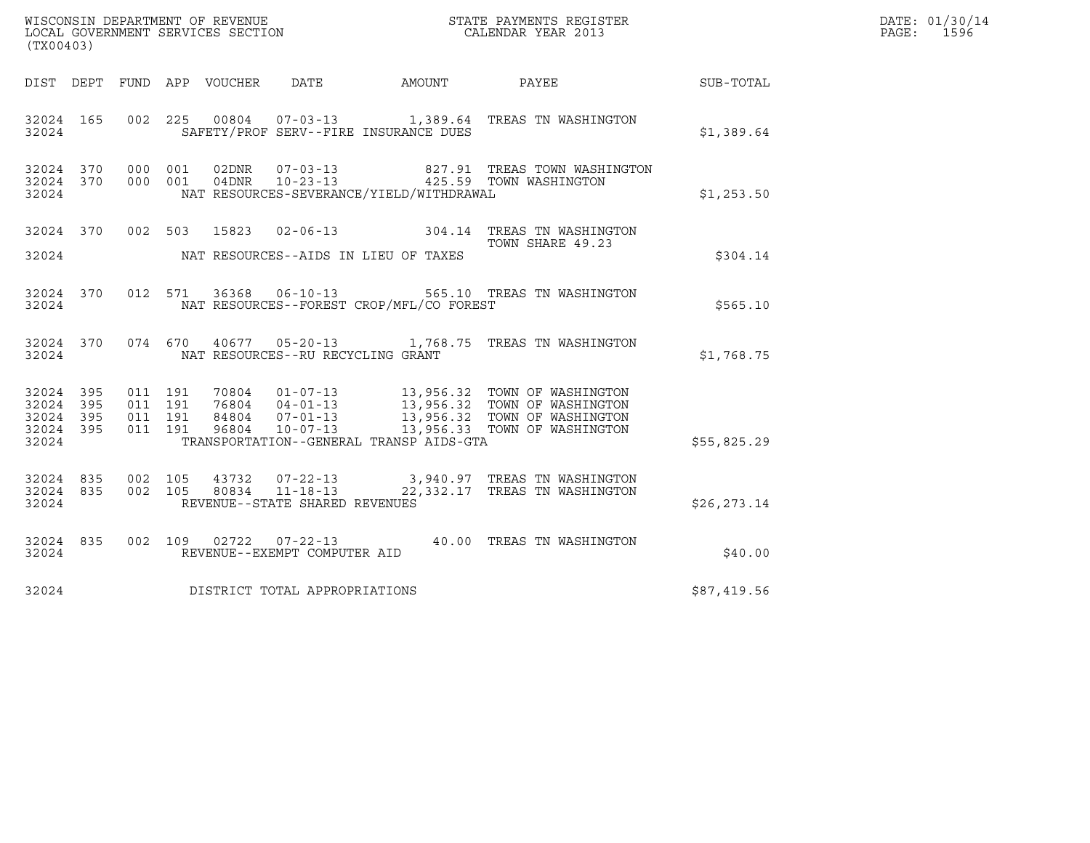|                                                           |           |                               |         |                                 |                                                                    |                                          |                                                                                                                                                                                                      |              | DATE: 01/30/14 |
|-----------------------------------------------------------|-----------|-------------------------------|---------|---------------------------------|--------------------------------------------------------------------|------------------------------------------|------------------------------------------------------------------------------------------------------------------------------------------------------------------------------------------------------|--------------|----------------|
| (TX00403)                                                 |           |                               |         |                                 |                                                                    |                                          |                                                                                                                                                                                                      |              | PAGE:<br>1596  |
|                                                           |           |                               |         | DIST DEPT FUND APP VOUCHER DATE |                                                                    | AMOUNT                                   | PAYEE                                                                                                                                                                                                | SUB-TOTAL    |                |
| 32024                                                     | 32024 165 |                               |         |                                 |                                                                    | SAFETY/PROF SERV--FIRE INSURANCE DUES    | 002 225 00804 07-03-13 1,389.64 TREAS TN WASHINGTON                                                                                                                                                  | \$1,389.64   |                |
| 32024 370<br>32024                                        |           | 32024 370 000 001<br>000 001  |         | 02DNR                           | $07 - 03 - 13$<br>04DNR 10-23-13                                   | NAT RESOURCES-SEVERANCE/YIELD/WITHDRAWAL | 827.91 TREAS TOWN WASHINGTON<br>425.59 TOWN WASHINGTON                                                                                                                                               | \$1,253.50   |                |
| 32024                                                     |           |                               |         |                                 |                                                                    | NAT RESOURCES--AIDS IN LIEU OF TAXES     | 32024 370 002 503 15823 02-06-13 304.14 TREAS TN WASHINGTON<br>TOWN SHARE 49.23                                                                                                                      | \$304.14     |                |
| 32024                                                     | 32024 370 |                               |         |                                 |                                                                    | NAT RESOURCES--FOREST CROP/MFL/CO FOREST | 012 571 36368 06-10-13 565.10 TREAS TN WASHINGTON                                                                                                                                                    | \$565.10     |                |
| 32024                                                     | 32024 370 |                               |         |                                 | NAT RESOURCES--RU RECYCLING GRANT                                  |                                          | 074 670 40677 05-20-13 1,768.75 TREAS TN WASHINGTON                                                                                                                                                  | \$1,768.75   |                |
| 32024 395<br>32024 395<br>32024 395<br>32024 395<br>32024 |           | 011 191<br>011 191<br>011 191 | 011 191 |                                 |                                                                    | TRANSPORTATION--GENERAL TRANSP AIDS-GTA  | 70804  01-07-13  13,956.32  TOWN OF WASHINGTON<br>76804  04-01-13  13,956.32  TOWN OF WASHINGTON<br>84804  07-01-13  13,956.32  TOWN OF WASHINGTON<br>96804  10-07-13  13,956.33  TOWN OF WASHINGTON | \$55,825.29  |                |
| 32024 835<br>32024 835<br>32024                           |           | 002 105<br>002 105            |         | 43732<br>80834                  | $07 - 22 - 13$<br>$11 - 18 - 13$<br>REVENUE--STATE SHARED REVENUES |                                          | 3,940.97 TREAS TN WASHINGTON<br>22,332.17 TREAS TN WASHINGTON                                                                                                                                        | \$26, 273.14 |                |
| 32024                                                     | 32024 835 |                               |         |                                 | REVENUE--EXEMPT COMPUTER AID                                       |                                          | 002 109 02722 07-22-13 40.00 TREAS TN WASHINGTON                                                                                                                                                     | \$40.00      |                |
| 32024                                                     |           |                               |         |                                 | DISTRICT TOTAL APPROPRIATIONS                                      |                                          |                                                                                                                                                                                                      | \$87,419.56  |                |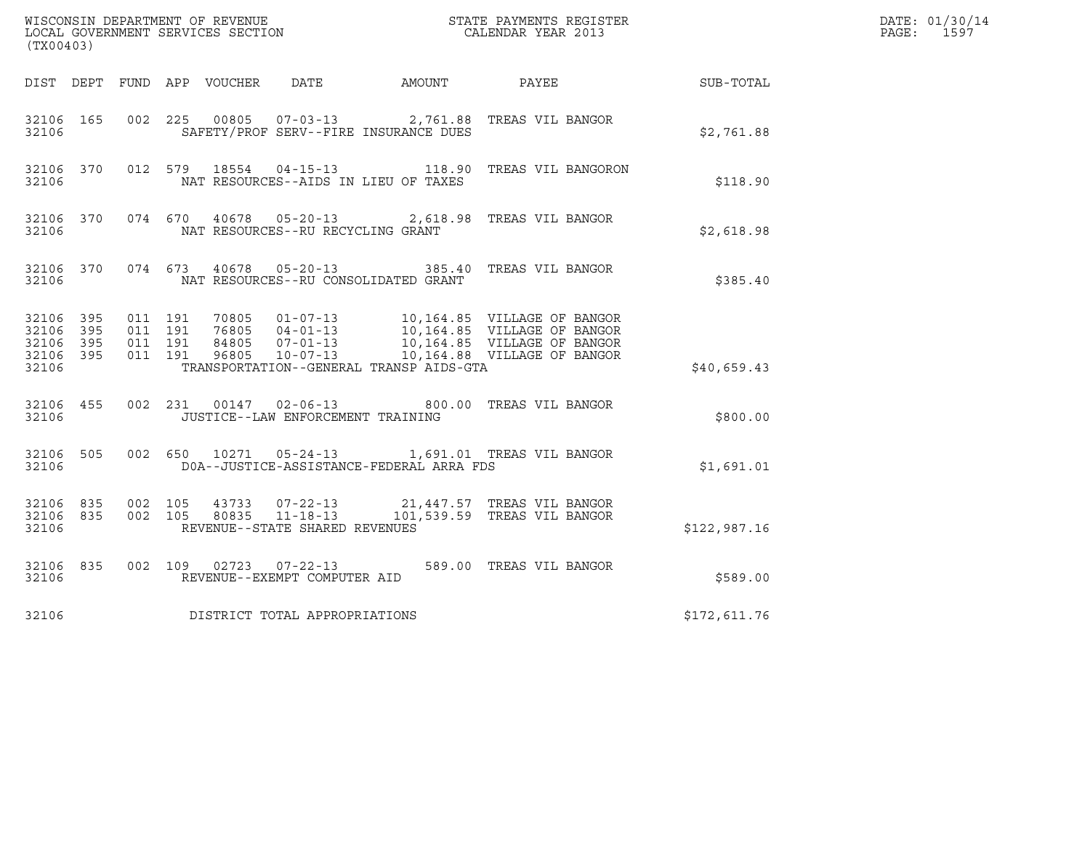| (TX00403)                                                 |           |                                          |         |               |                                                        |                                          |                                                                                                                                                                                |              | DATE: 01/30/14<br>$\mathtt{PAGE:}$<br>1597 |
|-----------------------------------------------------------|-----------|------------------------------------------|---------|---------------|--------------------------------------------------------|------------------------------------------|--------------------------------------------------------------------------------------------------------------------------------------------------------------------------------|--------------|--------------------------------------------|
|                                                           |           |                                          |         |               |                                                        |                                          | DIST DEPT FUND APP VOUCHER DATE AMOUNT PAYEE TO SUB-TOTAL                                                                                                                      |              |                                            |
| 32106 165<br>32106                                        |           |                                          |         |               |                                                        | SAFETY/PROF SERV--FIRE INSURANCE DUES    | 002  225  00805  07-03-13  2,761.88  TREAS VIL BANGOR                                                                                                                          | \$2,761.88   |                                            |
| 32106                                                     | 32106 370 |                                          |         | 012 579 18554 |                                                        | NAT RESOURCES--AIDS IN LIEU OF TAXES     | 04-15-13 118.90 TREAS VIL BANGORON                                                                                                                                             | \$118.90     |                                            |
| 32106                                                     | 32106 370 |                                          |         |               | NAT RESOURCES--RU RECYCLING GRANT                      |                                          | 074 670 40678 05-20-13 2,618.98 TREAS VIL BANGOR                                                                                                                               | \$2,618.98   |                                            |
| 32106                                                     | 32106 370 |                                          |         |               |                                                        | NAT RESOURCES--RU CONSOLIDATED GRANT     | 074 673 40678 05-20-13 385.40 TREAS VIL BANGOR                                                                                                                                 | \$385.40     |                                            |
| 32106 395<br>32106 395<br>32106 395<br>32106 395<br>32106 |           | 011 191<br>011 191<br>011 191<br>011 191 |         | 96805         | $10 - 07 - 13$                                         | TRANSPORTATION--GENERAL TRANSP AIDS-GTA  | 70805  01-07-13  10,164.85  VILLAGE OF BANGOR<br>76805  04-01-13  10,164.85  VILLAGE OF BANGOR<br>84805  07-01-13  10,164.85  VILLAGE OF BANGOR<br>10,164.88 VILLAGE OF BANGOR | \$40,659.43  |                                            |
| 32106                                                     | 32106 455 |                                          | 002 231 |               |                                                        | JUSTICE--LAW ENFORCEMENT TRAINING        | 00147  02-06-13  800.00 TREAS VIL BANGOR                                                                                                                                       | \$800.00     |                                            |
| 32106 505<br>32106                                        |           |                                          |         |               |                                                        | DOA--JUSTICE-ASSISTANCE-FEDERAL ARRA FDS | 002 650 10271 05-24-13 1,691.01 TREAS VIL BANGOR                                                                                                                               | \$1,691.01   |                                            |
| 32106 835<br>32106 835<br>32106                           |           | 002 105<br>002 105                       |         |               | REVENUE--STATE SHARED REVENUES                         |                                          | 43733  07-22-13  21,447.57  TREAS VIL BANGOR<br>80835  11-18-13  101,539.59  TREAS VIL BANGOR                                                                                  | \$122,987.16 |                                            |
| 32106                                                     | 32106 835 |                                          |         |               | 002 109 02723 07-22-13<br>REVENUE--EXEMPT COMPUTER AID |                                          | 589.00 TREAS VIL BANGOR                                                                                                                                                        | \$589.00     |                                            |
| 32106                                                     |           |                                          |         |               | DISTRICT TOTAL APPROPRIATIONS                          |                                          |                                                                                                                                                                                | \$172,611.76 |                                            |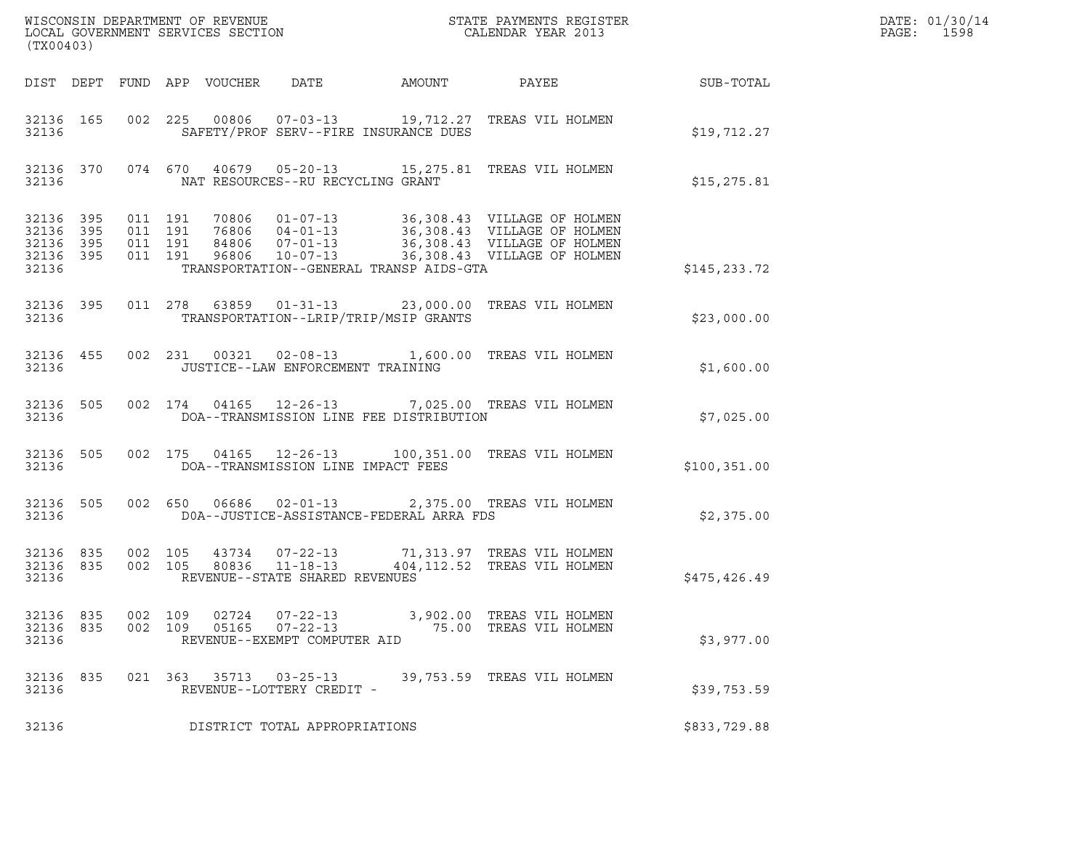| (TX00403)                                                 |     |                    |                    |                            |                                                                    |                                                                                                                                         |                  | DATE: 01/30/14<br>PAGE:<br>1598 |
|-----------------------------------------------------------|-----|--------------------|--------------------|----------------------------|--------------------------------------------------------------------|-----------------------------------------------------------------------------------------------------------------------------------------|------------------|---------------------------------|
|                                                           |     |                    |                    | DIST DEPT FUND APP VOUCHER | DATE<br>AMOUNT                                                     | PAYEE                                                                                                                                   | <b>SUB-TOTAL</b> |                                 |
| 32136 165<br>32136                                        |     |                    |                    |                            | SAFETY/PROF SERV--FIRE INSURANCE DUES                              | 002 225 00806 07-03-13 19,712.27 TREAS VIL HOLMEN                                                                                       | \$19,712.27      |                                 |
| 32136                                                     |     |                    |                    |                            | NAT RESOURCES--RU RECYCLING GRANT                                  | 32136 370 074 670 40679 05-20-13 15,275.81 TREAS VIL HOLMEN                                                                             | \$15, 275.81     |                                 |
| 32136 395<br>32136 395<br>32136 395<br>32136 395<br>32136 |     | 011 191<br>011 191 | 011 191<br>011 191 |                            | TRANSPORTATION--GENERAL TRANSP AIDS-GTA                            |                                                                                                                                         | \$145, 233.72    |                                 |
| 32136 395<br>32136                                        |     |                    |                    |                            | TRANSPORTATION--LRIP/TRIP/MSIP GRANTS                              | 011  278  63859  01-31-13  23,000.00  TREAS VIL HOLMEN                                                                                  | \$23,000.00      |                                 |
| 32136 455<br>32136                                        |     |                    |                    |                            | JUSTICE--LAW ENFORCEMENT TRAINING                                  | 002 231 00321 02-08-13 1,600.00 TREAS VIL HOLMEN                                                                                        | \$1,600.00       |                                 |
| 32136 505<br>32136                                        |     |                    |                    |                            | DOA--TRANSMISSION LINE FEE DISTRIBUTION                            | 002 174 04165 12-26-13 7,025.00 TREAS VIL HOLMEN                                                                                        | \$7,025.00       |                                 |
| 32136 505<br>32136                                        |     |                    |                    |                            | DOA--TRANSMISSION LINE IMPACT FEES                                 | 002 175 04165 12-26-13 100,351.00 TREAS VIL HOLMEN                                                                                      | \$100, 351.00    |                                 |
| 32136 505<br>32136                                        |     |                    |                    |                            | 002 650 06686 02-01-13<br>DOA--JUSTICE-ASSISTANCE-FEDERAL ARRA FDS | 2,375.00 TREAS VIL HOLMEN                                                                                                               | \$2,375.00       |                                 |
| 32136 835<br>32136 835<br>32136                           |     |                    |                    |                            | REVENUE--STATE SHARED REVENUES                                     | 002 105 43734 07-22-13 71,313.97 TREAS VIL HOLMEN<br>002 105 80836 11-18-13 404,112.52 TREAS VIL HOLMEN<br>404, 112.52 TREAS VIL HOLMEN | \$475,426.49     |                                 |
| 32136 835<br>32136<br>32136                               | 835 | 002 109<br>002 109 |                    | 02724<br>05165             | $07 - 22 - 13$<br>$07 - 22 - 13$<br>REVENUE--EXEMPT COMPUTER AID   | 3,902.00 TREAS VIL HOLMEN<br>75.00 TREAS VIL HOLMEN                                                                                     | \$3,977.00       |                                 |
| 32136 835<br>32136                                        |     |                    |                    |                            | 021 363 35713 03-25-13<br>REVENUE--LOTTERY CREDIT -                | 39,753.59 TREAS VIL HOLMEN                                                                                                              | \$39,753.59      |                                 |
| 32136                                                     |     |                    |                    |                            | DISTRICT TOTAL APPROPRIATIONS                                      |                                                                                                                                         | \$833,729.88     |                                 |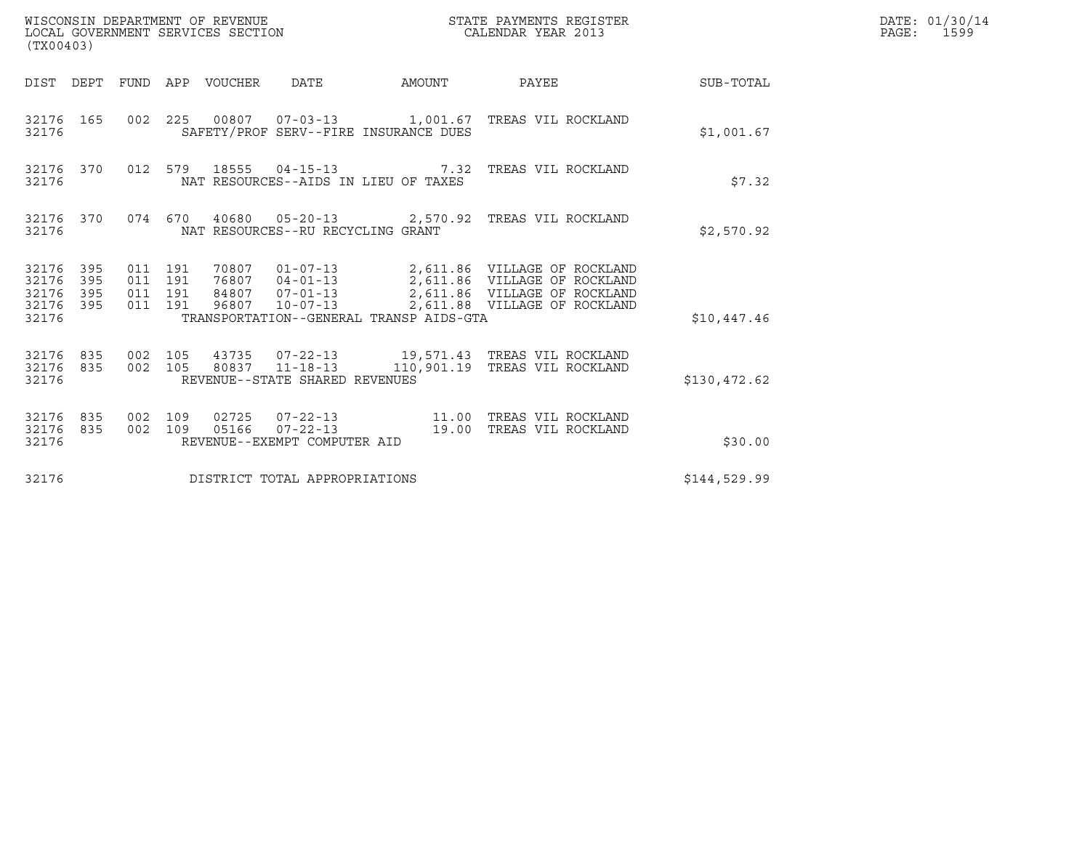| (TX00403)                                                             | WISCONSIN DEPARTMENT OF REVENUE<br>LOCAL GOVERNMENT SERVICES SECTION |                                                           | STATE PAYMENTS REGISTER<br>CALENDAR YEAR 2013                                                                                                                                      |              | DATE: 01/30/14<br>PAGE: 1599 |
|-----------------------------------------------------------------------|----------------------------------------------------------------------|-----------------------------------------------------------|------------------------------------------------------------------------------------------------------------------------------------------------------------------------------------|--------------|------------------------------|
| DIST DEPT                                                             | FUND APP VOUCHER                                                     | DATE                                                      | AMOUNT PAYEE                                                                                                                                                                       | SUB-TOTAL    |                              |
| 32176 165<br>32176                                                    |                                                                      | SAFETY/PROF SERV--FIRE INSURANCE DUES                     | 002  225  00807  07-03-13   1,001.67  TREAS VIL ROCKLAND                                                                                                                           | \$1,001.67   |                              |
| 32176 370<br>32176                                                    |                                                                      | NAT RESOURCES--AIDS IN LIEU OF TAXES                      | 012 579 18555 04-15-13 7.32 TREAS VIL ROCKLAND                                                                                                                                     | \$7.32       |                              |
| 32176 370<br>32176                                                    |                                                                      | NAT RESOURCES--RU RECYCLING GRANT                         | 074 670 40680 05-20-13 2,570.92 TREAS VIL ROCKLAND                                                                                                                                 | \$2,570.92   |                              |
| 32176<br>395<br>32176<br>395<br>395<br>32176<br>395<br>32176<br>32176 | 011 191<br>011 191<br>011 191<br>011 191<br>96807                    | $10 - 07 - 13$<br>TRANSPORTATION--GENERAL TRANSP AIDS-GTA | 70807  01-07-13  2,611.86  VILLAGE OF ROCKLAND<br>76807  04-01-13  2,611.86  VILLAGE OF ROCKLAND<br>84807  07-01-13  2,611.86  VILLAGE OF ROCKLAND<br>2,611.88 VILLAGE OF ROCKLAND | \$10,447.46  |                              |
| 32176<br>835<br>32176 835<br>32176                                    | 002 105<br>002 105                                                   | REVENUE--STATE SHARED REVENUES                            | 43735 07-22-13 19,571.43 TREAS VIL ROCKLAND<br>80837  11-18-13   110,901.19  TREAS VIL ROCKLAND                                                                                    | \$130,472.62 |                              |
| 32176<br>835<br>32176<br>835<br>32176                                 | 002 109<br>02725<br>002 109<br>05166                                 | REVENUE--EXEMPT COMPUTER AID                              | 07-22-13 19.00 TREAS VIL ROCKLAND                                                                                                                                                  | \$30.00      |                              |
| 32176                                                                 |                                                                      | DISTRICT TOTAL APPROPRIATIONS                             |                                                                                                                                                                                    | \$144,529.99 |                              |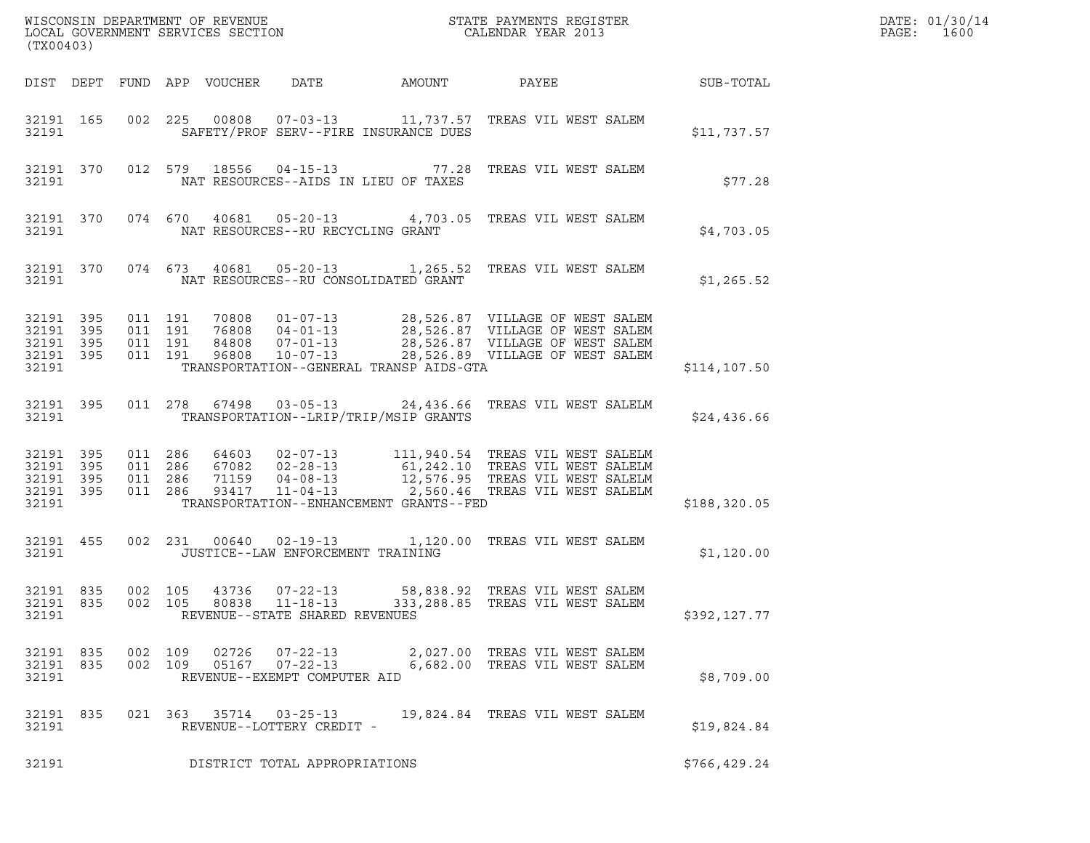| (TX00403)                                                 |           |                                          |                            |                                                                                    |                                         | $\tt WISCONSIM DEPARTMENT OF REVENUE$ $\tt WISCONS IN DEPARTMENT SERVICES SECTION$ $\tt SCALENDAR YEAR$ $2013$                                                                                                   |                  | DATE: 01/30/14<br>$\mathtt{PAGE:}$<br>1600 |
|-----------------------------------------------------------|-----------|------------------------------------------|----------------------------|------------------------------------------------------------------------------------|-----------------------------------------|------------------------------------------------------------------------------------------------------------------------------------------------------------------------------------------------------------------|------------------|--------------------------------------------|
|                                                           |           |                                          | DIST DEPT FUND APP VOUCHER | DATE                                                                               | AMOUNT                                  | PAYEE                                                                                                                                                                                                            | <b>SUB-TOTAL</b> |                                            |
| 32191                                                     | 32191 165 |                                          |                            |                                                                                    | SAFETY/PROF SERV--FIRE INSURANCE DUES   | 002  225  00808  07-03-13  11,737.57  TREAS VIL WEST SALEM                                                                                                                                                       | \$11,737.57      |                                            |
| 32191                                                     | 32191 370 |                                          |                            |                                                                                    | NAT RESOURCES--AIDS IN LIEU OF TAXES    | 012 579 18556 04-15-13 77.28 TREAS VIL WEST SALEM                                                                                                                                                                | \$77.28          |                                            |
| 32191                                                     | 32191 370 |                                          |                            | NAT RESOURCES--RU RECYCLING GRANT                                                  |                                         | 074 670 40681 05-20-13 4,703.05 TREAS VIL WEST SALEM                                                                                                                                                             | \$4,703.05       |                                            |
| 32191                                                     | 32191 370 |                                          |                            |                                                                                    | NAT RESOURCES--RU CONSOLIDATED GRANT    | 074 673 40681 05-20-13 1,265.52 TREAS VIL WEST SALEM                                                                                                                                                             | \$1,265.52       |                                            |
| 32191 395<br>32191 395<br>32191 395<br>32191 395<br>32191 |           | 011 191<br>011 191<br>011 191<br>011 191 |                            |                                                                                    | TRANSPORTATION--GENERAL TRANSP AIDS-GTA | 70808  01-07-13  28,526.87  VILLAGE OF WEST SALEM<br>76808  04-01-13  28,526.87  VILLAGE OF WEST SALEM<br>84808  07-01-13  28,526.87  VILLAGE OF WEST SALEM<br>96808  10-07-13  28,526.89  VILLAGE OF WEST SALEM | \$114, 107.50    |                                            |
| 32191 395<br>32191                                        |           |                                          |                            |                                                                                    | TRANSPORTATION--LRIP/TRIP/MSIP GRANTS   | 011  278  67498  03-05-13  24,436.66 TREAS VIL WEST SALELM                                                                                                                                                       | \$24,436.66      |                                            |
| 32191 395<br>32191 395<br>32191 395<br>32191 395<br>32191 |           | 011 286<br>011 286<br>011 286<br>011 286 | 93417                      |                                                                                    | TRANSPORTATION--ENHANCEMENT GRANTS--FED | 64603 02-07-13 111,940.54 TREAS VIL WEST SALELM<br>67082 02-28-13 61,242.10 TREAS VIL WEST SALELM<br>71159 04-08-13 12,576.95 TREAS VIL WEST SALELM<br>11-04-13 2,560.46 TREAS VIL WEST SALELM                   | \$188,320.05     |                                            |
| 32191 455<br>32191                                        |           |                                          |                            | JUSTICE--LAW ENFORCEMENT TRAINING                                                  |                                         | 002 231 00640 02-19-13 1,120.00 TREAS VIL WEST SALEM                                                                                                                                                             | \$1,120.00       |                                            |
| 32191 835<br>32191 835<br>32191                           |           |                                          |                            | 002 105 43736 07-22-13<br>002 105 80838 11-18-13<br>REVENUE--STATE SHARED REVENUES |                                         | 58,838.92 TREAS VIL WEST SALEM<br>333,288.85 TREAS VIL WEST SALEM                                                                                                                                                | \$392,127.77     |                                            |
| 32191 835<br>32191 835<br>32191                           |           | 002 109<br>002 109                       | 02726                      | $07 - 22 - 13$<br>05167  07-22-13<br>REVENUE--EXEMPT COMPUTER AID                  |                                         | 2,027.00 TREAS VIL WEST SALEM<br>6,682.00 TREAS VIL WEST SALEM                                                                                                                                                   | \$8,709.00       |                                            |
| 32191 835<br>32191                                        |           |                                          |                            | 021 363 35714 03-25-13<br>REVENUE--LOTTERY CREDIT -                                |                                         | 19,824.84 TREAS VIL WEST SALEM                                                                                                                                                                                   | \$19,824.84      |                                            |
| 32191                                                     |           |                                          |                            | DISTRICT TOTAL APPROPRIATIONS                                                      |                                         |                                                                                                                                                                                                                  | \$766, 429.24    |                                            |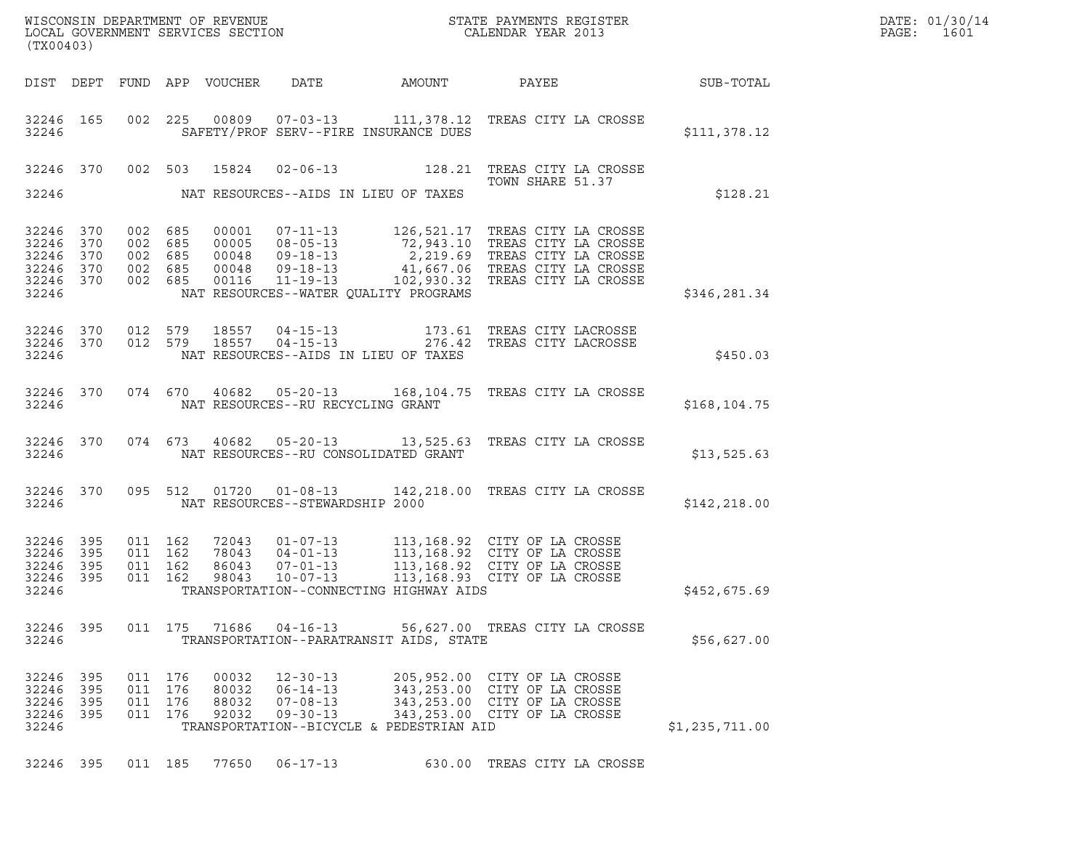| DATE: | 01/30/14 |
|-------|----------|
| PAGE: | 1601     |

| (TX00403)                                                     |           |                                          |                                  |                                                                      |                                          |                                                                                                                                                                                                                                           | DATE: 01/30/14<br>PAGE:<br>1601 |  |
|---------------------------------------------------------------|-----------|------------------------------------------|----------------------------------|----------------------------------------------------------------------|------------------------------------------|-------------------------------------------------------------------------------------------------------------------------------------------------------------------------------------------------------------------------------------------|---------------------------------|--|
|                                                               |           |                                          |                                  |                                                                      | DIST DEPT FUND APP VOUCHER DATE AMOUNT   |                                                                                                                                                                                                                                           | PAYEE SUB-TOTAL                 |  |
| 32246                                                         | 32246 165 |                                          |                                  |                                                                      | SAFETY/PROF SERV--FIRE INSURANCE DUES    | 002 225 00809 07-03-13 111,378.12 TREAS CITY LA CROSSE                                                                                                                                                                                    | \$111,378.12                    |  |
|                                                               | 32246 370 |                                          | 002 503 15824                    |                                                                      |                                          | 02-06-13 128.21 TREAS CITY LA CROSSE<br>TOWN SHARE 51.37                                                                                                                                                                                  |                                 |  |
| 32246                                                         |           |                                          |                                  |                                                                      | NAT RESOURCES--AIDS IN LIEU OF TAXES     |                                                                                                                                                                                                                                           | \$128.21                        |  |
| 32246 370<br>32246 370<br>32246 370<br>32246 370<br>32246 370 |           | 002 685<br>002 685<br>002 685            | 002 685 00048<br>002 685 00116   |                                                                      |                                          | 00001 07-11-13 126,521.17 TREAS CITY LA CROSSE<br>00005 08-05-13 72,943.10 TREAS CITY LA CROSSE<br>00048 09-18-13 2,219.69 TREAS CITY LA CROSSE<br>00048 09-18-13 41,667.06 TREAS CITY LA CROSSE<br>00116 11-19-13 1102,930.32 TREAS CITY |                                 |  |
| 32246                                                         |           |                                          |                                  |                                                                      | NAT RESOURCES--WATER QUALITY PROGRAMS    |                                                                                                                                                                                                                                           | \$346,281.34                    |  |
| 32246 370<br>32246                                            | 32246 370 |                                          | 012 579 18557<br>012 579 18557   |                                                                      | NAT RESOURCES--AIDS IN LIEU OF TAXES     | 04-15-13 173.61 TREAS CITY LACROSSE<br>04-15-13 276.42 TREAS CITY LACROSSE                                                                                                                                                                | \$450.03                        |  |
| 32246                                                         | 32246 370 |                                          | 074 670 40682                    | NAT RESOURCES--RU RECYCLING GRANT                                    |                                          | 05-20-13 168,104.75 TREAS CITY LA CROSSE                                                                                                                                                                                                  | \$168, 104.75                   |  |
| 32246                                                         | 32246 370 |                                          | 074 673 40682                    |                                                                      | NAT RESOURCES--RU CONSOLIDATED GRANT     | 05-20-13 13,525.63 TREAS CITY LA CROSSE                                                                                                                                                                                                   | \$13,525.63                     |  |
| 32246                                                         | 32246 370 |                                          | 095 512 01720                    | NAT RESOURCES--STEWARDSHIP 2000                                      |                                          | 01-08-13 142, 218.00 TREAS CITY LA CROSSE                                                                                                                                                                                                 | \$142,218.00                    |  |
| 32246 395<br>32246 395<br>32246 395<br>32246                  | 32246 395 | 011 162<br>011 162<br>011 162<br>011 162 | 72043<br>78043<br>86043<br>98043 |                                                                      | TRANSPORTATION--CONNECTING HIGHWAY AIDS  | 01-07-13 113,168.92 CITY OF LA CROSSE<br>04-01-13 113,168.92 CITY OF LA CROSSE<br>07-01-13 113,168.92 CITY OF LA CROSSE<br>10-07-13 113,168.93 CITY OF LA CROSSE                                                                          | \$452,675.69                    |  |
| 32246                                                         | 32246 395 |                                          | 011 175 71686                    |                                                                      | TRANSPORTATION--PARATRANSIT AIDS, STATE  | 04-16-13 56,627.00 TREAS CITY LA CROSSE                                                                                                                                                                                                   | \$56,627.00                     |  |
| 32246 395<br>32246 395<br>32246 395<br>32246 395<br>32246     |           | 011 176<br>011 176<br>011 176<br>011 176 | 00032<br>88032<br>92032          | $12 - 30 - 13$<br>80032 06-14-13<br>$07 - 08 - 13$<br>$09 - 30 - 13$ | TRANSPORTATION--BICYCLE & PEDESTRIAN AID | 205,952.00 CITY OF LA CROSSE<br>343,253.00 CITY OF LA CROSSE<br>343,253.00 CITY OF LA CROSSE<br>343,253.00 CITY OF LA CROSSE                                                                                                              | \$1,235,711.00                  |  |
|                                                               | 32246 395 |                                          | 011 185 77650                    | $06 - 17 - 13$                                                       |                                          | 630.00 TREAS CITY LA CROSSE                                                                                                                                                                                                               |                                 |  |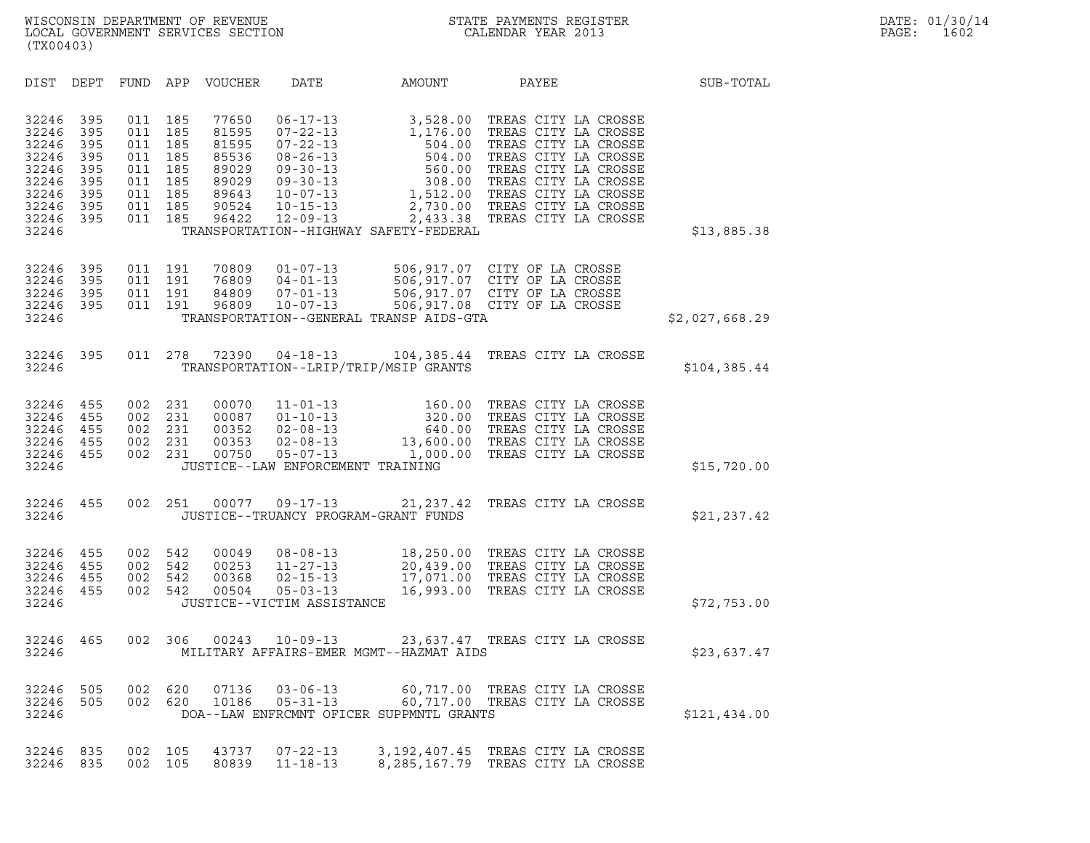| (TX00403)                                                                              |                                                             |                                                             |                                                             |                                                                               |                                                                                                                                                                |                                                                                                        |                                                                                                                                                                                                                                                 |                |
|----------------------------------------------------------------------------------------|-------------------------------------------------------------|-------------------------------------------------------------|-------------------------------------------------------------|-------------------------------------------------------------------------------|----------------------------------------------------------------------------------------------------------------------------------------------------------------|--------------------------------------------------------------------------------------------------------|-------------------------------------------------------------------------------------------------------------------------------------------------------------------------------------------------------------------------------------------------|----------------|
| DIST                                                                                   | DEPT                                                        | FUND                                                        | APP                                                         | <b>VOUCHER</b>                                                                | DATE                                                                                                                                                           | AMOUNT                                                                                                 | PAYEE                                                                                                                                                                                                                                           | SUB-TOTAL      |
| 32246<br>32246<br>32246<br>32246<br>32246<br>32246<br>32246<br>32246<br>32246<br>32246 | 395<br>395<br>395<br>395<br>395<br>395<br>395<br>395<br>395 | 011<br>011<br>011<br>011<br>011<br>011<br>011<br>011<br>011 | 185<br>185<br>185<br>185<br>185<br>185<br>185<br>185<br>185 | 77650<br>81595<br>81595<br>85536<br>89029<br>89029<br>89643<br>90524<br>96422 | $06 - 17 - 13$<br>$07 - 22 - 13$<br>$07 - 22 - 13$<br>$08 - 26 - 13$<br>$09 - 30 - 13$<br>$09 - 30 - 13$<br>$10 - 07 - 13$<br>$10 - 15 - 13$<br>$12 - 09 - 13$ | 3,528.00<br>1,176.00<br>504.00<br>504.00<br>560.00<br>308.00<br>TRANSPORTATION--HIGHWAY SAFETY-FEDERAL | TREAS CITY LA CROSSE<br>TREAS CITY LA CROSSE<br>TREAS CITY LA CROSSE<br>TREAS CITY LA CROSSE<br>TREAS CITY LA CROSSE<br>TREAS CITY LA CROSSE<br>1,512.00 TREAS CITY LA CROSSE<br>2,730.00 TREAS CITY LA CROSSE<br>2,433.38 TREAS CITY LA CROSSE | \$13,885.38    |
| 32246<br>32246<br>32246<br>32246<br>32246                                              | 395<br>395<br>395<br>395                                    | 011<br>011<br>011<br>011                                    | 191<br>191<br>191<br>191                                    | 70809<br>76809<br>84809<br>96809                                              | $01 - 07 - 13$<br>$04 - 01 - 13$<br>$07 - 01 - 13$<br>$10 - 07 - 13$                                                                                           | TRANSPORTATION--GENERAL TRANSP AIDS-GTA                                                                | 506,917.07 CITY OF LA CROSSE<br>506,917.07 CITY OF LA CROSSE<br>506,917.07 CITY OF LA CROSSE<br>506,917.08 CITY OF LA CROSSE                                                                                                                    | \$2,027,668.29 |
| 32246<br>32246                                                                         | 395                                                         | 011                                                         | 278                                                         | 72390                                                                         | $04 - 18 - 13$                                                                                                                                                 | 104,385.44<br>TRANSPORTATION--LRIP/TRIP/MSIP GRANTS                                                    | TREAS CITY LA CROSSE                                                                                                                                                                                                                            | \$104,385.44   |
| 32246<br>32246<br>32246<br>32246<br>32246<br>32246                                     | 455<br>455<br>455<br>455<br>455                             | 002<br>002<br>002<br>002<br>002                             | 231<br>231<br>231<br>231<br>231                             | 00070<br>00087<br>00352<br>00353<br>00750                                     | $11 - 01 - 13$<br>$01 - 10 - 13$<br>$02 - 08 - 13$<br>$02 - 08 - 13$<br>$05 - 07 - 13$<br>JUSTICE--LAW ENFORCEMENT TRAINING                                    | 160.00<br>320.00<br>640.00<br>1,000.00                                                                 | TREAS CITY LA CROSSE<br>TREAS CITY LA CROSSE<br>TREAS CITY LA CROSSE<br>13,600.00 TREAS CITY LA CROSSE<br>TREAS CITY LA CROSSE                                                                                                                  | \$15,720.00    |
| 32246<br>32246                                                                         | 455                                                         | 002                                                         | 251                                                         | 00077                                                                         | $09 - 17 - 13$                                                                                                                                                 | 21, 237.42<br>JUSTICE--TRUANCY PROGRAM-GRANT FUNDS                                                     | TREAS CITY LA CROSSE                                                                                                                                                                                                                            | \$21,237.42    |
| 32246<br>32246<br>32246<br>32246<br>32246                                              | 455<br>455<br>455<br>455                                    | 002<br>002<br>002<br>002                                    | 542<br>542<br>542<br>542                                    | 00049<br>00253<br>00368<br>00504                                              | $08 - 08 - 13$<br>$11 - 27 - 13$<br>$02 - 15 - 13$<br>$05 - 03 - 13$<br>JUSTICE--VICTIM ASSISTANCE                                                             | 18,250.00<br>20,439.00<br>17,071.00<br>16,993.00                                                       | TREAS CITY LA CROSSE<br>TREAS CITY LA CROSSE<br>TREAS CITY LA CROSSE<br>TREAS CITY LA CROSSE                                                                                                                                                    | \$72,753.00    |
| 32246<br>32246                                                                         | 465                                                         | 002                                                         | 306                                                         | 00243                                                                         | $10 - 09 - 13$                                                                                                                                                 | MILITARY AFFAIRS-EMER MGMT--HAZMAT AIDS                                                                | 23,637.47 TREAS CITY LA CROSSE                                                                                                                                                                                                                  | \$23,637.47    |
| 32246<br>32246<br>32246                                                                | 505<br>505                                                  | 002<br>002                                                  | 620<br>620                                                  | 07136<br>10186                                                                | $03 - 06 - 13$<br>$05 - 31 - 13$                                                                                                                               | DOA--LAW ENFRCMNT OFICER SUPPMNTL GRANTS                                                               | 60,717.00 TREAS CITY LA CROSSE<br>60,717.00 TREAS CITY LA CROSSE                                                                                                                                                                                | \$121,434.00   |
| 32246<br>32246                                                                         | 835<br>835                                                  | 002<br>002                                                  | 105<br>105                                                  | 43737<br>80839                                                                | $07 - 22 - 13$<br>$11 - 18 - 13$                                                                                                                               | 3, 192, 407.45<br>8,285,167.79                                                                         | TREAS CITY LA CROSSE<br>TREAS CITY LA CROSSE                                                                                                                                                                                                    |                |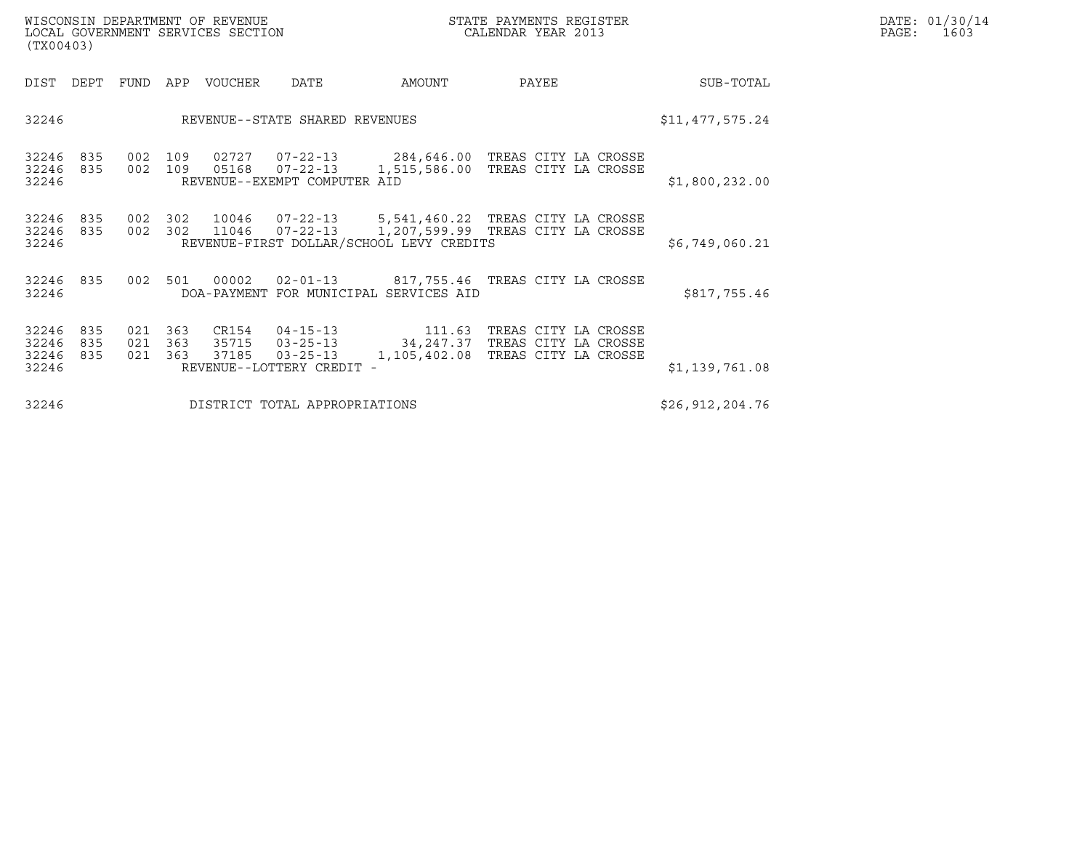| WISCONSIN DEPARTMENT OF REVENUE   | STATE PAYMENTS REGISTER | DATE: 01/30/14 |
|-----------------------------------|-------------------------|----------------|
| LOCAL GOVERNMENT SERVICES SECTION | CALENDAR YEAR 2013      | PAGE :<br>1603 |

| WISCONSIN DEPARTMENT OF REVENUE<br>LOCAL GOVERNMENT SERVICES SECTION<br>(TX00403) |                               |                    |                   |                |                                                               |                                                                                                                                                       | STATE PAYMENTS REGISTER<br>CALENDAR YEAR 2013                        |  |                 | DATE: 01/30/14<br>PAGE: 1603 |
|-----------------------------------------------------------------------------------|-------------------------------|--------------------|-------------------|----------------|---------------------------------------------------------------|-------------------------------------------------------------------------------------------------------------------------------------------------------|----------------------------------------------------------------------|--|-----------------|------------------------------|
| DIST DEPT                                                                         |                               | FUND               |                   | APP VOUCHER    | DATE                                                          | AMOUNT                                                                                                                                                | PAYEE                                                                |  | SUB-TOTAL       |                              |
| 32246                                                                             |                               |                    |                   |                | REVENUE--STATE SHARED REVENUES                                |                                                                                                                                                       |                                                                      |  | \$11,477,575.24 |                              |
| 32246<br>32246 835<br>32246                                                       | 835                           | 002<br>002         | 109<br>109        |                | 05168  07-22-13<br>REVENUE--EXEMPT COMPUTER AID               | 02727  07-22-13  284,646.00 TREAS CITY LA CROSSE<br>1,515,586.00                                                                                      | TREAS CITY LA CROSSE                                                 |  | \$1,800,232.00  |                              |
| 32246<br>32246 835<br>32246                                                       | 835                           | 002 302<br>002 302 |                   |                |                                                               | 10046  07-22-13  5,541,460.22  TREAS CITY LA CROSSE<br>11046  07-22-13  1,207,599.99 TREAS CITY LA CROSSE<br>REVENUE-FIRST DOLLAR/SCHOOL LEVY CREDITS |                                                                      |  | \$6,749,060.21  |                              |
| 32246<br>32246                                                                    | 835                           | 002                | 501               | 00002          |                                                               | 02-01-13  817,755.46  TREAS CITY LA CROSSE<br>DOA-PAYMENT FOR MUNICIPAL SERVICES AID                                                                  |                                                                      |  | \$817,755.46    |                              |
| 32246<br>32246<br>32246<br>32246                                                  | 835<br>835<br>835             | 021<br>021<br>021  | 363<br>363<br>363 | 35715<br>37185 | $03 - 25 - 13$<br>$03 - 25 - 13$<br>REVENUE--LOTTERY CREDIT - | CR154  04-15-13    111.63<br>34, 247.37<br>1,105,402.08                                                                                               | TREAS CITY LA CROSSE<br>TREAS CITY LA CROSSE<br>TREAS CITY LA CROSSE |  | \$1,139,761.08  |                              |
| 32246                                                                             | DISTRICT TOTAL APPROPRIATIONS |                    |                   |                |                                                               |                                                                                                                                                       |                                                                      |  |                 |                              |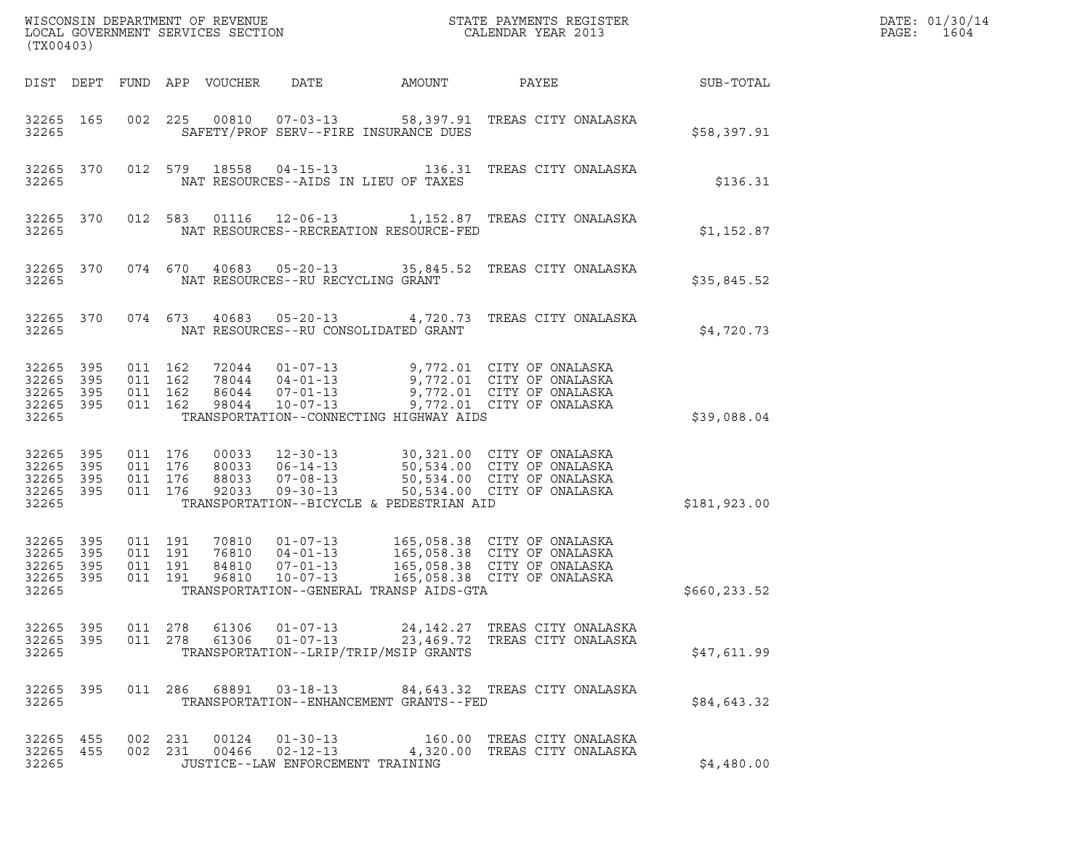| (TX00403)                                     |                   |                                          |         |                                  |                                                                      |                                          |                                                                                                                          |              | DATE: 01/30/14<br>PAGE:<br>1604 |
|-----------------------------------------------|-------------------|------------------------------------------|---------|----------------------------------|----------------------------------------------------------------------|------------------------------------------|--------------------------------------------------------------------------------------------------------------------------|--------------|---------------------------------|
|                                               |                   |                                          |         | DIST DEPT FUND APP VOUCHER       | DATE                                                                 | AMOUNT                                   | PAYEE                                                                                                                    | SUB-TOTAL    |                                 |
| 32265 165<br>32265                            |                   | 002 225                                  |         |                                  |                                                                      | SAFETY/PROF SERV--FIRE INSURANCE DUES    | 00810  07-03-13  58,397.91  TREAS CITY ONALASKA                                                                          | \$58,397.91  |                                 |
| 32265                                         | 32265 370         |                                          |         |                                  |                                                                      | NAT RESOURCES--AIDS IN LIEU OF TAXES     | 012 579 18558 04-15-13 136.31 TREAS CITY ONALASKA                                                                        | \$136.31     |                                 |
| 32265                                         | 32265 370         |                                          | 012 583 |                                  |                                                                      | NAT RESOURCES--RECREATION RESOURCE-FED   | 01116  12-06-13   1,152.87   TREAS CITY ONALASKA                                                                         | \$1,152.87   |                                 |
| 32265                                         | 32265 370         |                                          | 074 670 |                                  | NAT RESOURCES--RU RECYCLING GRANT                                    |                                          | 40683  05-20-13  35,845.52  TREAS CITY ONALASKA                                                                          | \$35,845.52  |                                 |
| 32265                                         | 32265 370         |                                          | 074 673 |                                  |                                                                      | NAT RESOURCES--RU CONSOLIDATED GRANT     | 40683  05-20-13  4,720.73  TREAS CITY ONALASKA                                                                           | \$4,720.73   |                                 |
| 32265<br>32265<br>32265<br>32265 395<br>32265 | 395<br>395<br>395 | 011 162<br>011 162<br>011 162<br>011 162 |         | 98044                            | 72044 01-07-13<br>78044 04-01-13<br>86044 07-01-13<br>10-07-13       | TRANSPORTATION--CONNECTING HIGHWAY AIDS  | 9,772.01 CITY OF ONALASKA<br>9,772.01 CITY OF ONALASKA<br>9,772.01 CITY OF ONALASKA<br>9,772.01 CITY OF ONALASKA         | \$39,088.04  |                                 |
| 32265<br>32265<br>32265<br>32265 395<br>32265 | 395<br>395<br>395 | 011 176<br>011 176<br>011 176<br>011 176 |         | 00033<br>80033<br>88033<br>92033 | $12 - 30 - 13$<br>$06 - 14 - 13$<br>$07 - 08 - 13$<br>$09 - 30 - 13$ | TRANSPORTATION--BICYCLE & PEDESTRIAN AID | 30,321.00 CITY OF ONALASKA<br>50,534.00 CITY OF ONALASKA<br>50,534.00 CITY OF ONALASKA<br>50,534.00 CITY OF ONALASKA     | \$181,923.00 |                                 |
| 32265 395<br>32265<br>32265<br>32265<br>32265 | 395<br>395<br>395 | 011 191<br>011 191<br>011 191<br>011 191 |         | 70810<br>76810<br>84810<br>96810 | $01 - 07 - 13$<br>$04 - 01 - 13$<br>$07 - 01 - 13$<br>$10 - 07 - 13$ | TRANSPORTATION--GENERAL TRANSP AIDS-GTA  | 165,058.38 CITY OF ONALASKA<br>165,058.38 CITY OF ONALASKA<br>165,058.38 CITY OF ONALASKA<br>165,058.38 CITY OF ONALASKA | \$660,233.52 |                                 |
| 32265<br>32265 395<br>32265                   | 395               | 011 278<br>011 278                       |         | 61306                            | 61306 01-07-13                                                       | TRANSPORTATION--LRIP/TRIP/MSIP GRANTS    | 23,469.72 TREAS CITY ONALASKA                                                                                            | \$47,611.99  |                                 |
| 32265 395<br>32265                            |                   |                                          |         |                                  |                                                                      | TRANSPORTATION--ENHANCEMENT GRANTS--FED  | 011 286 68891 03-18-13 84,643.32 TREAS CITY ONALASKA                                                                     | \$84,643.32  |                                 |
| 32265 455<br>32265 455<br>32265               |                   | 002 231<br>002 231                       |         |                                  | 00124 01-30-13<br>JUSTICE--LAW ENFORCEMENT TRAINING                  |                                          | 160.00 TREAS CITY ONALASKA<br>00466  02-12-13  4,320.00 TREAS CITY ONALASKA                                              | \$4,480.00   |                                 |